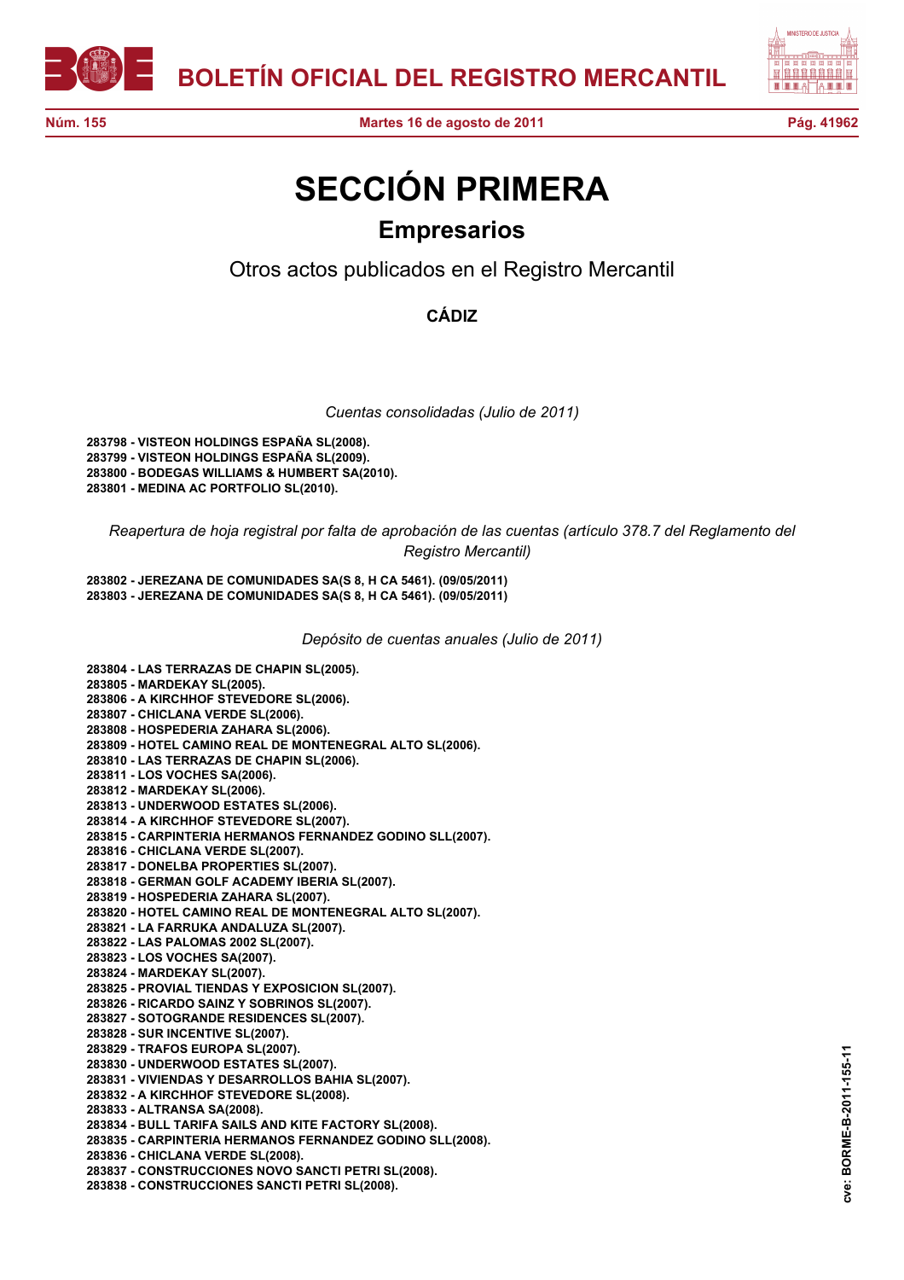



## **SECCIÓN PRIMERA Empresarios**

Otros actos publicados en el Registro Mercantil

**CÁDIZ**

*Cuentas consolidadas (Julio de 2011)*

**283798 - VISTEON HOLDINGS ESPAÑA SL(2008). 283799 - VISTEON HOLDINGS ESPAÑA SL(2009). 283800 - BODEGAS WILLIAMS & HUMBERT SA(2010). 283801 - MEDINA AC PORTFOLIO SL(2010).**

*Reapertura de hoja registral por falta de aprobación de las cuentas (artículo 378.7 del Reglamento del Registro Mercantil)*

**283802 - JEREZANA DE COMUNIDADES SA(S 8, H CA 5461). (09/05/2011) 283803 - JEREZANA DE COMUNIDADES SA(S 8, H CA 5461). (09/05/2011)**

*Depósito de cuentas anuales (Julio de 2011)*

**283804 - LAS TERRAZAS DE CHAPIN SL(2005). 283805 - MARDEKAY SL(2005). 283806 - A KIRCHHOF STEVEDORE SL(2006). 283807 - CHICLANA VERDE SL(2006). 283808 - HOSPEDERIA ZAHARA SL(2006). 283809 - HOTEL CAMINO REAL DE MONTENEGRAL ALTO SL(2006). 283810 - LAS TERRAZAS DE CHAPIN SL(2006). 283811 - LOS VOCHES SA(2006). 283812 - MARDEKAY SL(2006). 283813 - UNDERWOOD ESTATES SL(2006). 283814 - A KIRCHHOF STEVEDORE SL(2007). 283815 - CARPINTERIA HERMANOS FERNANDEZ GODINO SLL(2007). 283816 - CHICLANA VERDE SL(2007). 283817 - DONELBA PROPERTIES SL(2007). 283818 - GERMAN GOLF ACADEMY IBERIA SL(2007). 283819 - HOSPEDERIA ZAHARA SL(2007). 283820 - HOTEL CAMINO REAL DE MONTENEGRAL ALTO SL(2007). 283821 - LA FARRUKA ANDALUZA SL(2007). 283822 - LAS PALOMAS 2002 SL(2007). 283823 - LOS VOCHES SA(2007). 283824 - MARDEKAY SL(2007). 283825 - PROVIAL TIENDAS Y EXPOSICION SL(2007). 283826 - RICARDO SAINZ Y SOBRINOS SL(2007). 283827 - SOTOGRANDE RESIDENCES SL(2007). 283828 - SUR INCENTIVE SL(2007). 283829 - TRAFOS EUROPA SL(2007). 283830 - UNDERWOOD ESTATES SL(2007). 283831 - VIVIENDAS Y DESARROLLOS BAHIA SL(2007). 283832 - A KIRCHHOF STEVEDORE SL(2008). 283833 - ALTRANSA SA(2008). 283834 - BULL TARIFA SAILS AND KITE FACTORY SL(2008). 283835 - CARPINTERIA HERMANOS FERNANDEZ GODINO SLL(2008). 283836 - CHICLANA VERDE SL(2008). 283837 - CONSTRUCCIONES NOVO SANCTI PETRI SL(2008). 283838 - CONSTRUCCIONES SANCTI PETRI SL(2008).**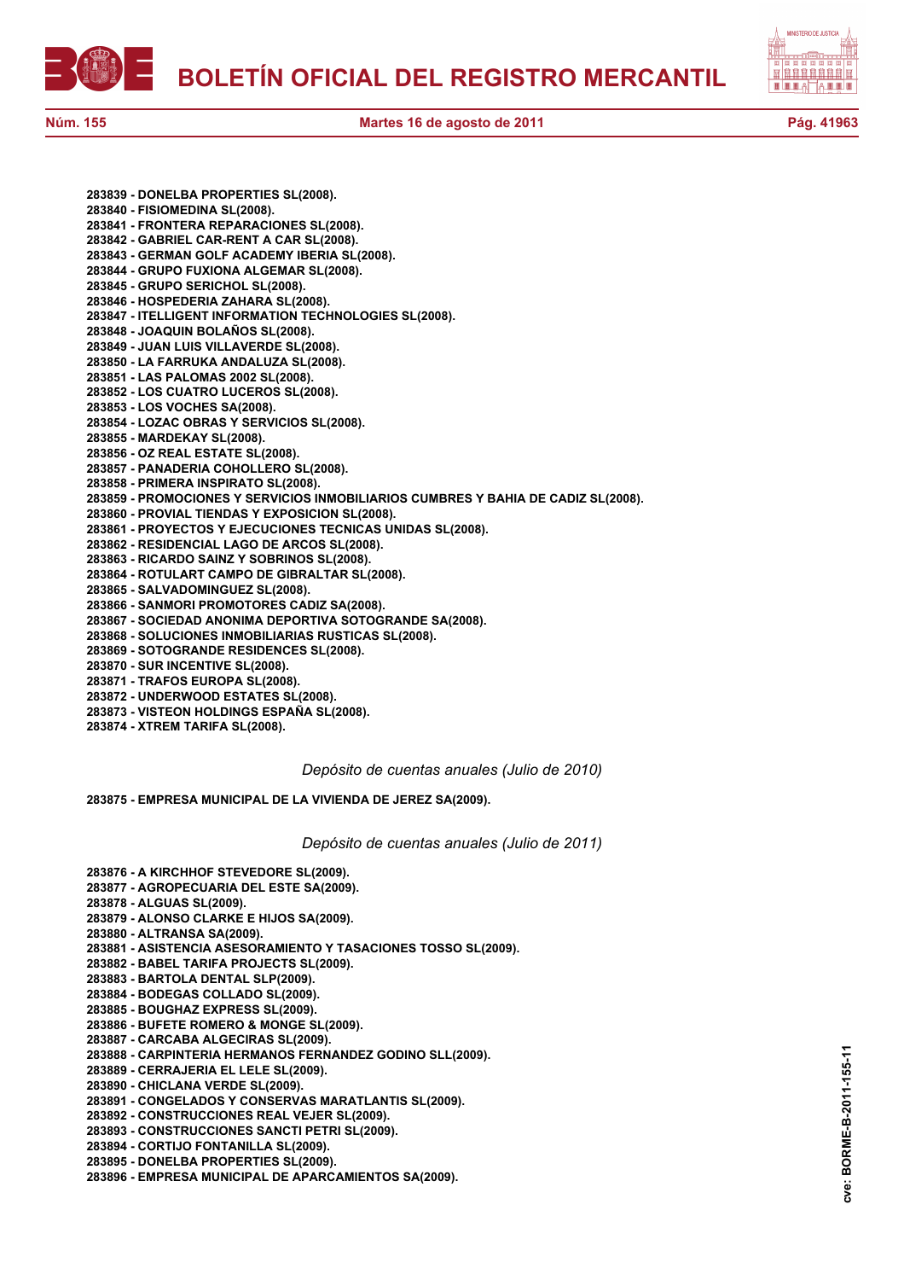



**283839 - DONELBA PROPERTIES SL(2008). 283840 - FISIOMEDINA SL(2008). 283841 - FRONTERA REPARACIONES SL(2008). 283842 - GABRIEL CAR-RENT A CAR SL(2008). 283843 - GERMAN GOLF ACADEMY IBERIA SL(2008). 283844 - GRUPO FUXIONA ALGEMAR SL(2008). 283845 - GRUPO SERICHOL SL(2008). 283846 - HOSPEDERIA ZAHARA SL(2008). 283847 - ITELLIGENT INFORMATION TECHNOLOGIES SL(2008). 283848 - JOAQUIN BOLAÑOS SL(2008). 283849 - JUAN LUIS VILLAVERDE SL(2008). 283850 - LA FARRUKA ANDALUZA SL(2008). 283851 - LAS PALOMAS 2002 SL(2008). 283852 - LOS CUATRO LUCEROS SL(2008). 283853 - LOS VOCHES SA(2008). 283854 - LOZAC OBRAS Y SERVICIOS SL(2008). 283855 - MARDEKAY SL(2008). 283856 - OZ REAL ESTATE SL(2008). 283857 - PANADERIA COHOLLERO SL(2008). 283858 - PRIMERA INSPIRATO SL(2008). 283859 - PROMOCIONES Y SERVICIOS INMOBILIARIOS CUMBRES Y BAHIA DE CADIZ SL(2008). 283860 - PROVIAL TIENDAS Y EXPOSICION SL(2008). 283861 - PROYECTOS Y EJECUCIONES TECNICAS UNIDAS SL(2008). 283862 - RESIDENCIAL LAGO DE ARCOS SL(2008). 283863 - RICARDO SAINZ Y SOBRINOS SL(2008). 283864 - ROTULART CAMPO DE GIBRALTAR SL(2008).**

- **283865 SALVADOMINGUEZ SL(2008).**
- **283866 SANMORI PROMOTORES CADIZ SA(2008).**
- **283867 SOCIEDAD ANONIMA DEPORTIVA SOTOGRANDE SA(2008).**
- **283868 SOLUCIONES INMOBILIARIAS RUSTICAS SL(2008).**
- **283869 SOTOGRANDE RESIDENCES SL(2008).**
- **283870 SUR INCENTIVE SL(2008).**
- **283871 TRAFOS EUROPA SL(2008).**
- **283872 UNDERWOOD ESTATES SL(2008).**
- **283873 VISTEON HOLDINGS ESPAÑA SL(2008).**
- **283874 XTREM TARIFA SL(2008).**

*Depósito de cuentas anuales (Julio de 2010)*

**283875 - EMPRESA MUNICIPAL DE LA VIVIENDA DE JEREZ SA(2009).**

*Depósito de cuentas anuales (Julio de 2011)*

- **283876 A KIRCHHOF STEVEDORE SL(2009). 283877 - AGROPECUARIA DEL ESTE SA(2009). 283878 - ALGUAS SL(2009). 283879 - ALONSO CLARKE E HIJOS SA(2009). 283880 - ALTRANSA SA(2009). 283881 - ASISTENCIA ASESORAMIENTO Y TASACIONES TOSSO SL(2009). 283882 - BABEL TARIFA PROJECTS SL(2009). 283883 - BARTOLA DENTAL SLP(2009). 283884 - BODEGAS COLLADO SL(2009). 283885 - BOUGHAZ EXPRESS SL(2009). 283886 - BUFETE ROMERO & MONGE SL(2009). 283887 - CARCABA ALGECIRAS SL(2009). 283888 - CARPINTERIA HERMANOS FERNANDEZ GODINO SLL(2009). 283889 - CERRAJERIA EL LELE SL(2009). 283890 - CHICLANA VERDE SL(2009). 283891 - CONGELADOS Y CONSERVAS MARATLANTIS SL(2009). 283892 - CONSTRUCCIONES REAL VEJER SL(2009). 283893 - CONSTRUCCIONES SANCTI PETRI SL(2009).**
- **283894 CORTIJO FONTANILLA SL(2009).**
- **283895 DONELBA PROPERTIES SL(2009).**
- **283896 EMPRESA MUNICIPAL DE APARCAMIENTOS SA(2009).**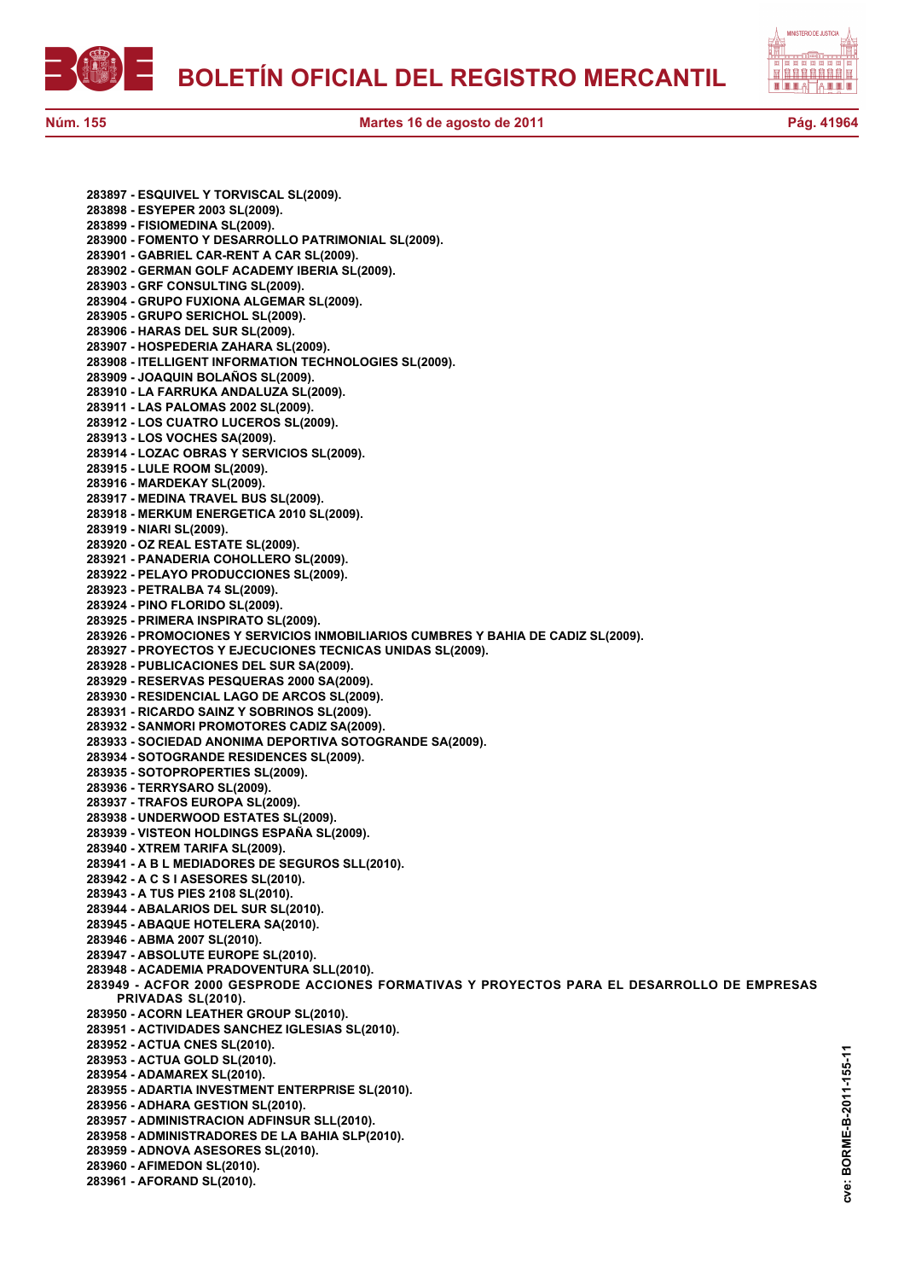

**cve: BORME-B-2011-155-11**

cve:

BORME-B-2011-155-11

**283897 - ESQUIVEL Y TORVISCAL SL(2009). 283898 - ESYEPER 2003 SL(2009). 283899 - FISIOMEDINA SL(2009). 283900 - FOMENTO Y DESARROLLO PATRIMONIAL SL(2009). 283901 - GABRIEL CAR-RENT A CAR SL(2009). 283902 - GERMAN GOLF ACADEMY IBERIA SL(2009). 283903 - GRF CONSULTING SL(2009). 283904 - GRUPO FUXIONA ALGEMAR SL(2009). 283905 - GRUPO SERICHOL SL(2009). 283906 - HARAS DEL SUR SL(2009). 283907 - HOSPEDERIA ZAHARA SL(2009). 283908 - ITELLIGENT INFORMATION TECHNOLOGIES SL(2009). 283909 - JOAQUIN BOLAÑOS SL(2009). 283910 - LA FARRUKA ANDALUZA SL(2009). 283911 - LAS PALOMAS 2002 SL(2009). 283912 - LOS CUATRO LUCEROS SL(2009). 283913 - LOS VOCHES SA(2009). 283914 - LOZAC OBRAS Y SERVICIOS SL(2009). 283915 - LULE ROOM SL(2009). 283916 - MARDEKAY SL(2009). 283917 - MEDINA TRAVEL BUS SL(2009). 283918 - MERKUM ENERGETICA 2010 SL(2009). 283919 - NIARI SL(2009). 283920 - OZ REAL ESTATE SL(2009). 283921 - PANADERIA COHOLLERO SL(2009). 283922 - PELAYO PRODUCCIONES SL(2009). 283923 - PETRALBA 74 SL(2009). 283924 - PINO FLORIDO SL(2009). 283925 - PRIMERA INSPIRATO SL(2009). 283926 - PROMOCIONES Y SERVICIOS INMOBILIARIOS CUMBRES Y BAHIA DE CADIZ SL(2009). 283927 - PROYECTOS Y EJECUCIONES TECNICAS UNIDAS SL(2009). 283928 - PUBLICACIONES DEL SUR SA(2009). 283929 - RESERVAS PESQUERAS 2000 SA(2009). 283930 - RESIDENCIAL LAGO DE ARCOS SL(2009). 283931 - RICARDO SAINZ Y SOBRINOS SL(2009). 283932 - SANMORI PROMOTORES CADIZ SA(2009). 283933 - SOCIEDAD ANONIMA DEPORTIVA SOTOGRANDE SA(2009). 283934 - SOTOGRANDE RESIDENCES SL(2009). 283935 - SOTOPROPERTIES SL(2009). 283936 - TERRYSARO SL(2009). 283937 - TRAFOS EUROPA SL(2009). 283938 - UNDERWOOD ESTATES SL(2009). 283939 - VISTEON HOLDINGS ESPAÑA SL(2009). 283940 - XTREM TARIFA SL(2009). 283941 - A B L MEDIADORES DE SEGUROS SLL(2010). 283942 - A C S I ASESORES SL(2010). 283943 - A TUS PIES 2108 SL(2010). 283944 - ABALARIOS DEL SUR SL(2010). 283945 - ABAQUE HOTELERA SA(2010). 283946 - ABMA 2007 SL(2010). 283947 - ABSOLUTE EUROPE SL(2010). 283948 - ACADEMIA PRADOVENTURA SLL(2010). 283949 - ACFOR 2000 GESPRODE ACCIONES FORMATIVAS Y PROYECTOS PARA EL DESARROLLO DE EMPRESAS PRIVADAS SL(2010). 283950 - ACORN LEATHER GROUP SL(2010). 283951 - ACTIVIDADES SANCHEZ IGLESIAS SL(2010). 283952 - ACTUA CNES SL(2010). 283953 - ACTUA GOLD SL(2010). 283954 - ADAMAREX SL(2010). 283955 - ADARTIA INVESTMENT ENTERPRISE SL(2010). 283956 - ADHARA GESTION SL(2010). 283957 - ADMINISTRACION ADFINSUR SLL(2010). 283958 - ADMINISTRADORES DE LA BAHIA SLP(2010). 283959 - ADNOVA ASESORES SL(2010). 283960 - AFIMEDON SL(2010). 283961 - AFORAND SL(2010).**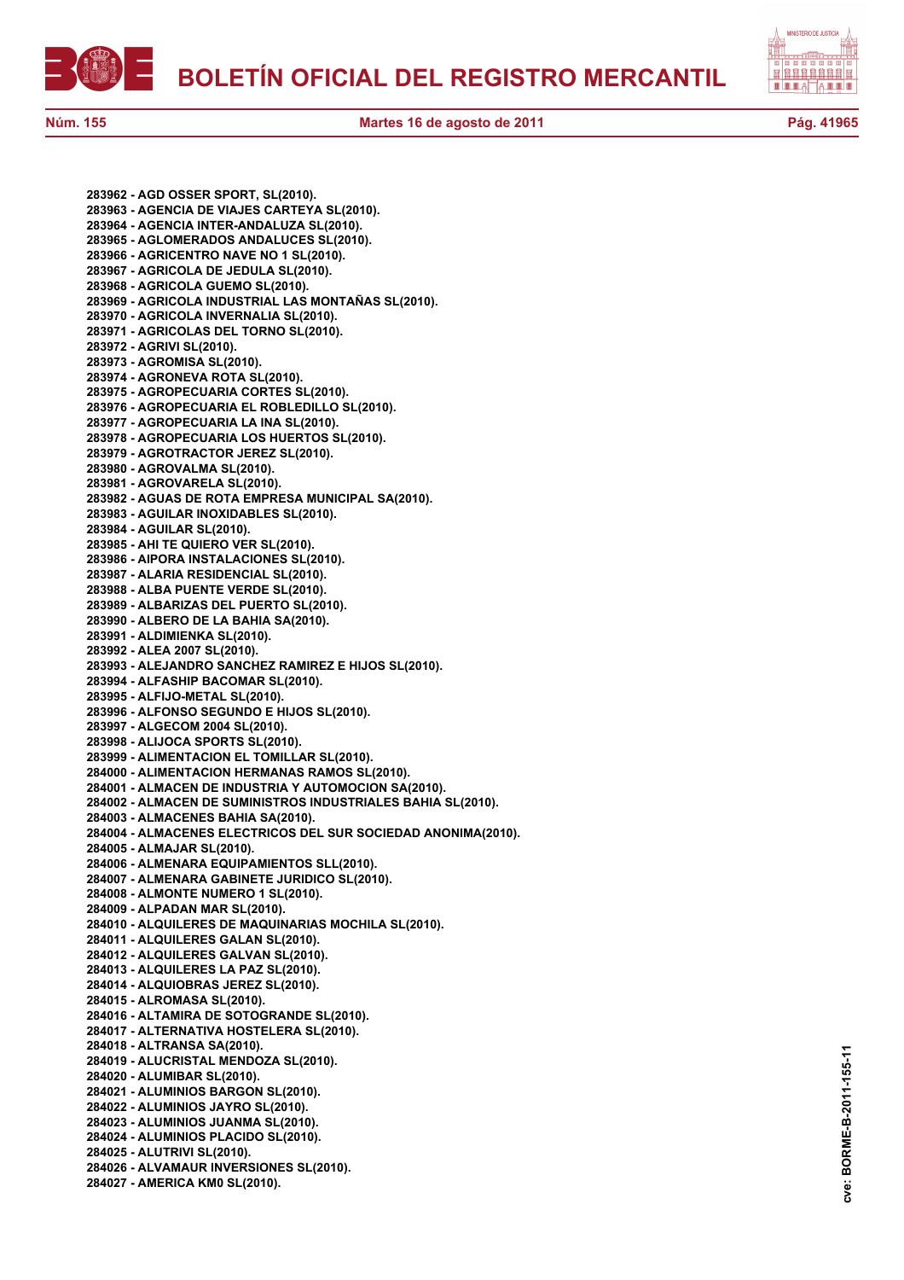

**283962 - AGD OSSER SPORT, SL(2010). 283963 - AGENCIA DE VIAJES CARTEYA SL(2010). 283964 - AGENCIA INTER-ANDALUZA SL(2010). 283965 - AGLOMERADOS ANDALUCES SL(2010). 283966 - AGRICENTRO NAVE NO 1 SL(2010). 283967 - AGRICOLA DE JEDULA SL(2010). 283968 - AGRICOLA GUEMO SL(2010). 283969 - AGRICOLA INDUSTRIAL LAS MONTAÑAS SL(2010). 283970 - AGRICOLA INVERNALIA SL(2010). 283971 - AGRICOLAS DEL TORNO SL(2010). 283972 - AGRIVI SL(2010). 283973 - AGROMISA SL(2010). 283974 - AGRONEVA ROTA SL(2010). 283975 - AGROPECUARIA CORTES SL(2010). 283976 - AGROPECUARIA EL ROBLEDILLO SL(2010). 283977 - AGROPECUARIA LA INA SL(2010). 283978 - AGROPECUARIA LOS HUERTOS SL(2010). 283979 - AGROTRACTOR JEREZ SL(2010). 283980 - AGROVALMA SL(2010). 283981 - AGROVARELA SL(2010). 283982 - AGUAS DE ROTA EMPRESA MUNICIPAL SA(2010). 283983 - AGUILAR INOXIDABLES SL(2010). 283984 - AGUILAR SL(2010). 283985 - AHI TE QUIERO VER SL(2010). 283986 - AIPORA INSTALACIONES SL(2010). 283987 - ALARIA RESIDENCIAL SL(2010). 283988 - ALBA PUENTE VERDE SL(2010). 283989 - ALBARIZAS DEL PUERTO SL(2010). 283990 - ALBERO DE LA BAHIA SA(2010). 283991 - ALDIMIENKA SL(2010). 283992 - ALEA 2007 SL(2010). 283993 - ALEJANDRO SANCHEZ RAMIREZ E HIJOS SL(2010). 283994 - ALFASHIP BACOMAR SL(2010). 283995 - ALFIJO-METAL SL(2010). 283996 - ALFONSO SEGUNDO E HIJOS SL(2010). 283997 - ALGECOM 2004 SL(2010). 283998 - ALIJOCA SPORTS SL(2010). 283999 - ALIMENTACION EL TOMILLAR SL(2010). 284000 - ALIMENTACION HERMANAS RAMOS SL(2010). 284001 - ALMACEN DE INDUSTRIA Y AUTOMOCION SA(2010). 284002 - ALMACEN DE SUMINISTROS INDUSTRIALES BAHIA SL(2010). 284003 - ALMACENES BAHIA SA(2010). 284004 - ALMACENES ELECTRICOS DEL SUR SOCIEDAD ANONIMA(2010). 284005 - ALMAJAR SL(2010). 284006 - ALMENARA EQUIPAMIENTOS SLL(2010). 284007 - ALMENARA GABINETE JURIDICO SL(2010). 284008 - ALMONTE NUMERO 1 SL(2010). 284009 - ALPADAN MAR SL(2010). 284010 - ALQUILERES DE MAQUINARIAS MOCHILA SL(2010). 284011 - ALQUILERES GALAN SL(2010). 284012 - ALQUILERES GALVAN SL(2010). 284013 - ALQUILERES LA PAZ SL(2010). 284014 - ALQUIOBRAS JEREZ SL(2010). 284015 - ALROMASA SL(2010). 284016 - ALTAMIRA DE SOTOGRANDE SL(2010). 284017 - ALTERNATIVA HOSTELERA SL(2010). 284018 - ALTRANSA SA(2010). 284019 - ALUCRISTAL MENDOZA SL(2010). 284020 - ALUMIBAR SL(2010). 284021 - ALUMINIOS BARGON SL(2010). 284022 - ALUMINIOS JAYRO SL(2010). 284023 - ALUMINIOS JUANMA SL(2010). 284024 - ALUMINIOS PLACIDO SL(2010). 284025 - ALUTRIVI SL(2010). 284026 - ALVAMAUR INVERSIONES SL(2010). 284027 - AMERICA KM0 SL(2010).**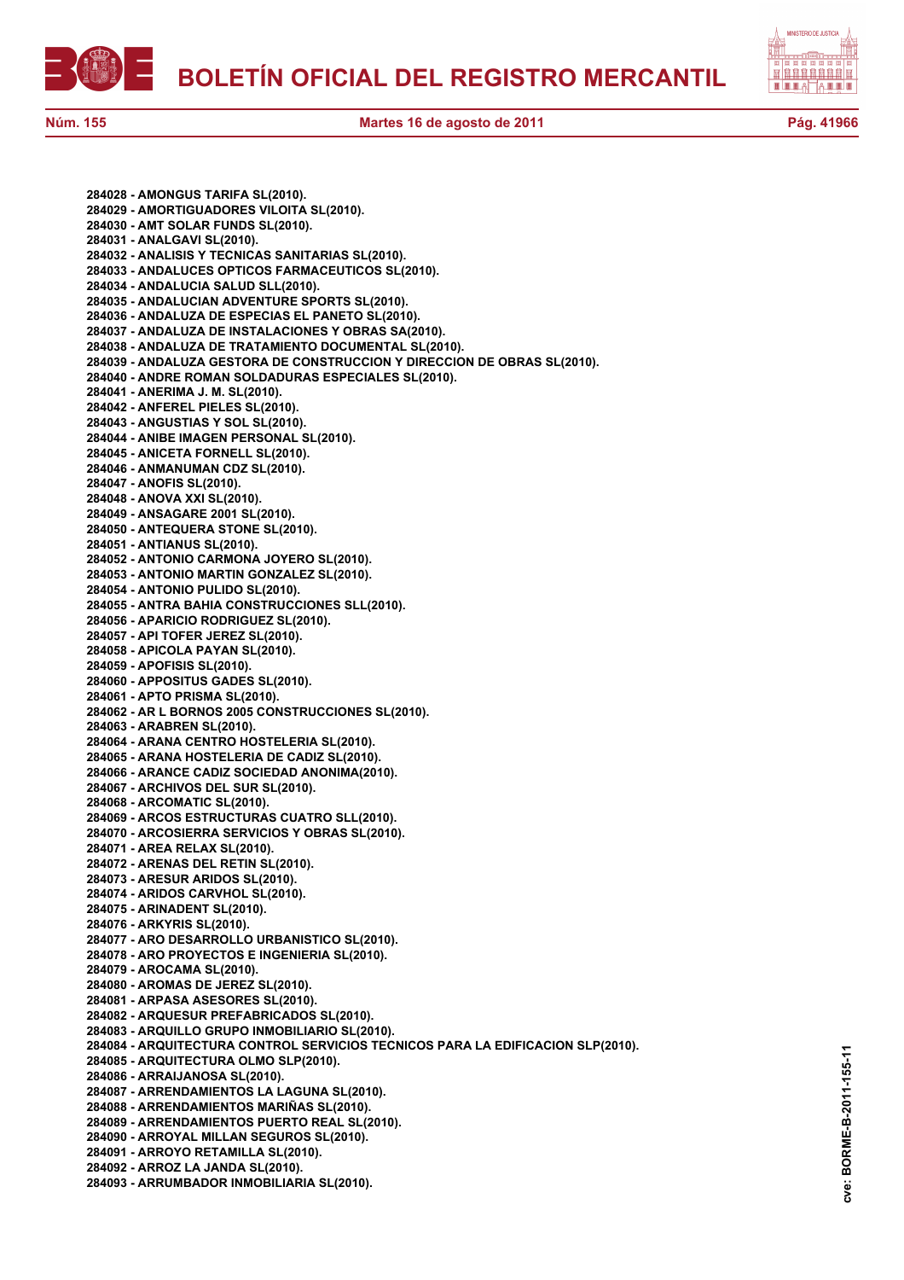



**284028 - AMONGUS TARIFA SL(2010). 284029 - AMORTIGUADORES VILOITA SL(2010). 284030 - AMT SOLAR FUNDS SL(2010). 284031 - ANALGAVI SL(2010). 284032 - ANALISIS Y TECNICAS SANITARIAS SL(2010). 284033 - ANDALUCES OPTICOS FARMACEUTICOS SL(2010). 284034 - ANDALUCIA SALUD SLL(2010). 284035 - ANDALUCIAN ADVENTURE SPORTS SL(2010). 284036 - ANDALUZA DE ESPECIAS EL PANETO SL(2010). 284037 - ANDALUZA DE INSTALACIONES Y OBRAS SA(2010). 284038 - ANDALUZA DE TRATAMIENTO DOCUMENTAL SL(2010). 284039 - ANDALUZA GESTORA DE CONSTRUCCION Y DIRECCION DE OBRAS SL(2010). 284040 - ANDRE ROMAN SOLDADURAS ESPECIALES SL(2010). 284041 - ANERIMA J. M. SL(2010). 284042 - ANFEREL PIELES SL(2010). 284043 - ANGUSTIAS Y SOL SL(2010). 284044 - ANIBE IMAGEN PERSONAL SL(2010). 284045 - ANICETA FORNELL SL(2010). 284046 - ANMANUMAN CDZ SL(2010). 284047 - ANOFIS SL(2010). 284048 - ANOVA XXI SL(2010). 284049 - ANSAGARE 2001 SL(2010). 284050 - ANTEQUERA STONE SL(2010). 284051 - ANTIANUS SL(2010). 284052 - ANTONIO CARMONA JOYERO SL(2010). 284053 - ANTONIO MARTIN GONZALEZ SL(2010). 284054 - ANTONIO PULIDO SL(2010). 284055 - ANTRA BAHIA CONSTRUCCIONES SLL(2010). 284056 - APARICIO RODRIGUEZ SL(2010). 284057 - API TOFER JEREZ SL(2010). 284058 - APICOLA PAYAN SL(2010). 284059 - APOFISIS SL(2010). 284060 - APPOSITUS GADES SL(2010). 284061 - APTO PRISMA SL(2010). 284062 - AR L BORNOS 2005 CONSTRUCCIONES SL(2010). 284063 - ARABREN SL(2010). 284064 - ARANA CENTRO HOSTELERIA SL(2010). 284065 - ARANA HOSTELERIA DE CADIZ SL(2010). 284066 - ARANCE CADIZ SOCIEDAD ANONIMA(2010). 284067 - ARCHIVOS DEL SUR SL(2010). 284068 - ARCOMATIC SL(2010). 284069 - ARCOS ESTRUCTURAS CUATRO SLL(2010). 284070 - ARCOSIERRA SERVICIOS Y OBRAS SL(2010). 284071 - AREA RELAX SL(2010). 284072 - ARENAS DEL RETIN SL(2010). 284073 - ARESUR ARIDOS SL(2010). 284074 - ARIDOS CARVHOL SL(2010). 284075 - ARINADENT SL(2010). 284076 - ARKYRIS SL(2010). 284077 - ARO DESARROLLO URBANISTICO SL(2010). 284078 - ARO PROYECTOS E INGENIERIA SL(2010). 284079 - AROCAMA SL(2010). 284080 - AROMAS DE JEREZ SL(2010). 284081 - ARPASA ASESORES SL(2010). 284082 - ARQUESUR PREFABRICADOS SL(2010). 284083 - ARQUILLO GRUPO INMOBILIARIO SL(2010). 284084 - ARQUITECTURA CONTROL SERVICIOS TECNICOS PARA LA EDIFICACION SLP(2010). 284085 - ARQUITECTURA OLMO SLP(2010). 284086 - ARRAIJANOSA SL(2010). 284087 - ARRENDAMIENTOS LA LAGUNA SL(2010). 284088 - ARRENDAMIENTOS MARIÑAS SL(2010). 284089 - ARRENDAMIENTOS PUERTO REAL SL(2010). 284090 - ARROYAL MILLAN SEGUROS SL(2010). 284091 - ARROYO RETAMILLA SL(2010). 284092 - ARROZ LA JANDA SL(2010). 284093 - ARRUMBADOR INMOBILIARIA SL(2010).**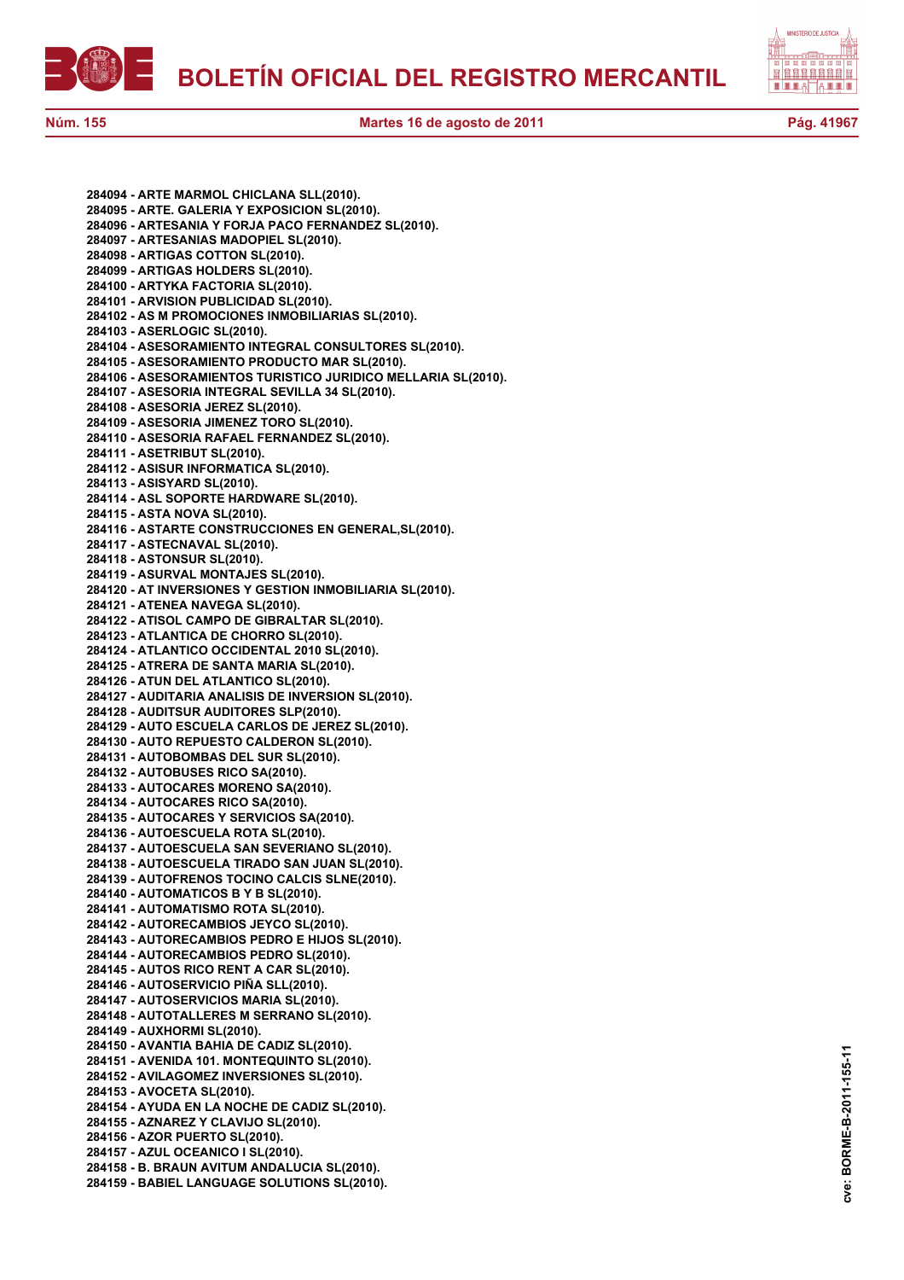

**284094 - ARTE MARMOL CHICLANA SLL(2010). 284095 - ARTE. GALERIA Y EXPOSICION SL(2010). 284096 - ARTESANIA Y FORJA PACO FERNANDEZ SL(2010). 284097 - ARTESANIAS MADOPIEL SL(2010). 284098 - ARTIGAS COTTON SL(2010). 284099 - ARTIGAS HOLDERS SL(2010). 284100 - ARTYKA FACTORIA SL(2010). 284101 - ARVISION PUBLICIDAD SL(2010). 284102 - AS M PROMOCIONES INMOBILIARIAS SL(2010). 284103 - ASERLOGIC SL(2010). 284104 - ASESORAMIENTO INTEGRAL CONSULTORES SL(2010). 284105 - ASESORAMIENTO PRODUCTO MAR SL(2010). 284106 - ASESORAMIENTOS TURISTICO JURIDICO MELLARIA SL(2010). 284107 - ASESORIA INTEGRAL SEVILLA 34 SL(2010). 284108 - ASESORIA JEREZ SL(2010). 284109 - ASESORIA JIMENEZ TORO SL(2010). 284110 - ASESORIA RAFAEL FERNANDEZ SL(2010). 284111 - ASETRIBUT SL(2010). 284112 - ASISUR INFORMATICA SL(2010). 284113 - ASISYARD SL(2010). 284114 - ASL SOPORTE HARDWARE SL(2010). 284115 - ASTA NOVA SL(2010). 284116 - ASTARTE CONSTRUCCIONES EN GENERAL,SL(2010). 284117 - ASTECNAVAL SL(2010). 284118 - ASTONSUR SL(2010). 284119 - ASURVAL MONTAJES SL(2010). 284120 - AT INVERSIONES Y GESTION INMOBILIARIA SL(2010). 284121 - ATENEA NAVEGA SL(2010). 284122 - ATISOL CAMPO DE GIBRALTAR SL(2010). 284123 - ATLANTICA DE CHORRO SL(2010). 284124 - ATLANTICO OCCIDENTAL 2010 SL(2010). 284125 - ATRERA DE SANTA MARIA SL(2010). 284126 - ATUN DEL ATLANTICO SL(2010). 284127 - AUDITARIA ANALISIS DE INVERSION SL(2010). 284128 - AUDITSUR AUDITORES SLP(2010). 284129 - AUTO ESCUELA CARLOS DE JEREZ SL(2010). 284130 - AUTO REPUESTO CALDERON SL(2010). 284131 - AUTOBOMBAS DEL SUR SL(2010). 284132 - AUTOBUSES RICO SA(2010). 284133 - AUTOCARES MORENO SA(2010). 284134 - AUTOCARES RICO SA(2010). 284135 - AUTOCARES Y SERVICIOS SA(2010). 284136 - AUTOESCUELA ROTA SL(2010). 284137 - AUTOESCUELA SAN SEVERIANO SL(2010). 284138 - AUTOESCUELA TIRADO SAN JUAN SL(2010). 284139 - AUTOFRENOS TOCINO CALCIS SLNE(2010). 284140 - AUTOMATICOS B Y B SL(2010). 284141 - AUTOMATISMO ROTA SL(2010). 284142 - AUTORECAMBIOS JEYCO SL(2010). 284143 - AUTORECAMBIOS PEDRO E HIJOS SL(2010). 284144 - AUTORECAMBIOS PEDRO SL(2010). 284145 - AUTOS RICO RENT A CAR SL(2010). 284146 - AUTOSERVICIO PIÑA SLL(2010). 284147 - AUTOSERVICIOS MARIA SL(2010). 284148 - AUTOTALLERES M SERRANO SL(2010). 284149 - AUXHORMI SL(2010). 284150 - AVANTIA BAHIA DE CADIZ SL(2010). 284151 - AVENIDA 101. MONTEQUINTO SL(2010). 284152 - AVILAGOMEZ INVERSIONES SL(2010). 284153 - AVOCETA SL(2010). 284154 - AYUDA EN LA NOCHE DE CADIZ SL(2010). 284155 - AZNAREZ Y CLAVIJO SL(2010). 284156 - AZOR PUERTO SL(2010). 284157 - AZUL OCEANICO I SL(2010). 284158 - B. BRAUN AVITUM ANDALUCIA SL(2010). 284159 - BABIEL LANGUAGE SOLUTIONS SL(2010).**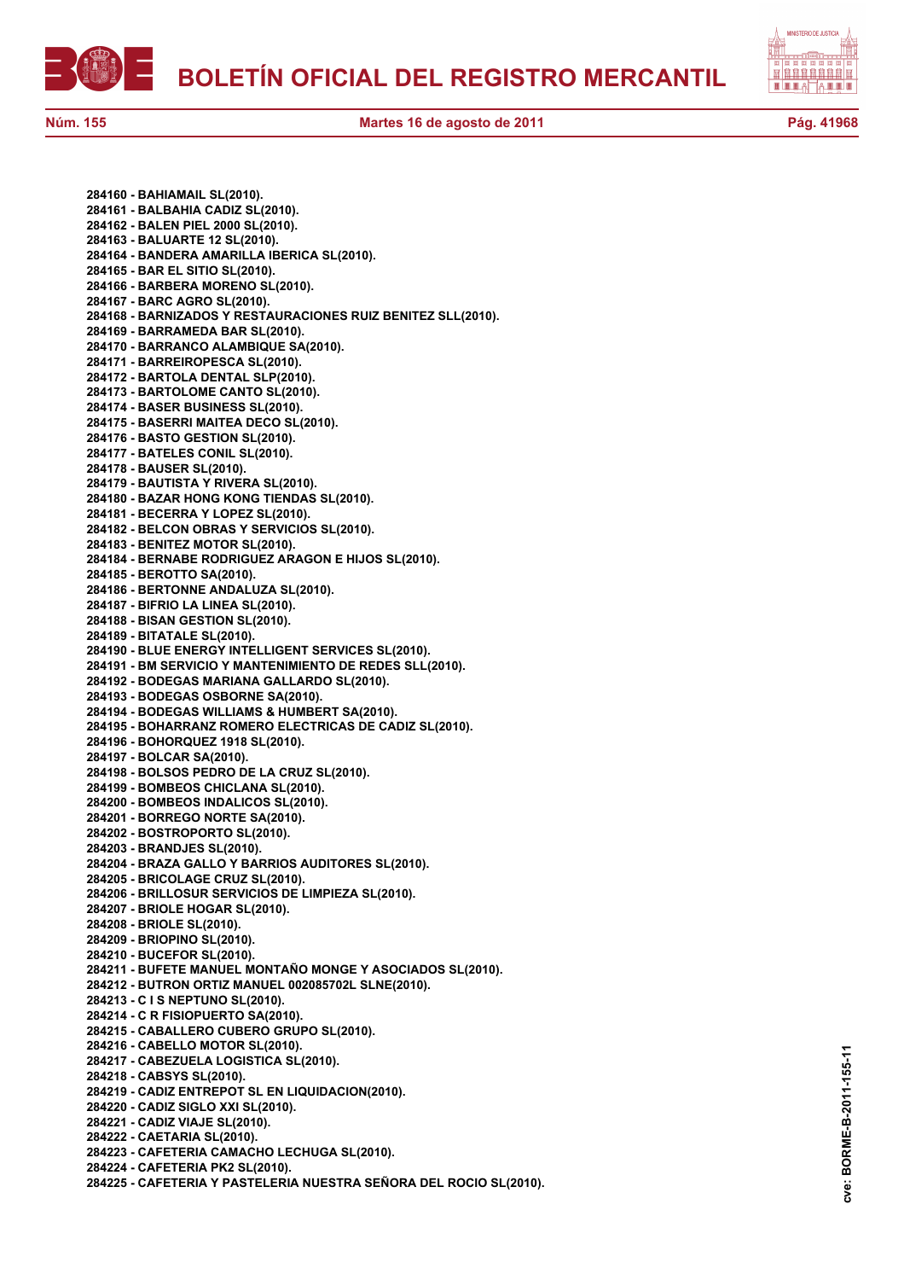

自自自自自自自自 A E E E

**cve: BORME-B-2011-155-11**

cve:

BORME-B-2011-155-11

**284160 - BAHIAMAIL SL(2010). 284161 - BALBAHIA CADIZ SL(2010). 284162 - BALEN PIEL 2000 SL(2010). 284163 - BALUARTE 12 SL(2010). 284164 - BANDERA AMARILLA IBERICA SL(2010). 284165 - BAR EL SITIO SL(2010). 284166 - BARBERA MORENO SL(2010). 284167 - BARC AGRO SL(2010). 284168 - BARNIZADOS Y RESTAURACIONES RUIZ BENITEZ SLL(2010). 284169 - BARRAMEDA BAR SL(2010). 284170 - BARRANCO ALAMBIQUE SA(2010). 284171 - BARREIROPESCA SL(2010). 284172 - BARTOLA DENTAL SLP(2010). 284173 - BARTOLOME CANTO SL(2010). 284174 - BASER BUSINESS SL(2010). 284175 - BASERRI MAITEA DECO SL(2010). 284176 - BASTO GESTION SL(2010). 284177 - BATELES CONIL SL(2010). 284178 - BAUSER SL(2010). 284179 - BAUTISTA Y RIVERA SL(2010). 284180 - BAZAR HONG KONG TIENDAS SL(2010). 284181 - BECERRA Y LOPEZ SL(2010). 284182 - BELCON OBRAS Y SERVICIOS SL(2010). 284183 - BENITEZ MOTOR SL(2010). 284184 - BERNABE RODRIGUEZ ARAGON E HIJOS SL(2010). 284185 - BEROTTO SA(2010). 284186 - BERTONNE ANDALUZA SL(2010). 284187 - BIFRIO LA LINEA SL(2010). 284188 - BISAN GESTION SL(2010). 284189 - BITATALE SL(2010). 284190 - BLUE ENERGY INTELLIGENT SERVICES SL(2010). 284191 - BM SERVICIO Y MANTENIMIENTO DE REDES SLL(2010). 284192 - BODEGAS MARIANA GALLARDO SL(2010). 284193 - BODEGAS OSBORNE SA(2010). 284194 - BODEGAS WILLIAMS & HUMBERT SA(2010). 284195 - BOHARRANZ ROMERO ELECTRICAS DE CADIZ SL(2010). 284196 - BOHORQUEZ 1918 SL(2010). 284197 - BOLCAR SA(2010). 284198 - BOLSOS PEDRO DE LA CRUZ SL(2010). 284199 - BOMBEOS CHICLANA SL(2010). 284200 - BOMBEOS INDALICOS SL(2010). 284201 - BORREGO NORTE SA(2010). 284202 - BOSTROPORTO SL(2010). 284203 - BRANDJES SL(2010). 284204 - BRAZA GALLO Y BARRIOS AUDITORES SL(2010). 284205 - BRICOLAGE CRUZ SL(2010). 284206 - BRILLOSUR SERVICIOS DE LIMPIEZA SL(2010). 284207 - BRIOLE HOGAR SL(2010). 284208 - BRIOLE SL(2010). 284209 - BRIOPINO SL(2010). 284210 - BUCEFOR SL(2010). 284211 - BUFETE MANUEL MONTAÑO MONGE Y ASOCIADOS SL(2010). 284212 - BUTRON ORTIZ MANUEL 002085702L SLNE(2010). 284213 - C I S NEPTUNO SL(2010). 284214 - C R FISIOPUERTO SA(2010). 284215 - CABALLERO CUBERO GRUPO SL(2010). 284216 - CABELLO MOTOR SL(2010). 284217 - CABEZUELA LOGISTICA SL(2010). 284218 - CABSYS SL(2010). 284219 - CADIZ ENTREPOT SL EN LIQUIDACION(2010). 284220 - CADIZ SIGLO XXI SL(2010). 284221 - CADIZ VIAJE SL(2010). 284222 - CAETARIA SL(2010). 284223 - CAFETERIA CAMACHO LECHUGA SL(2010). 284224 - CAFETERIA PK2 SL(2010). 284225 - CAFETERIA Y PASTELERIA NUESTRA SEÑORA DEL ROCIO SL(2010).**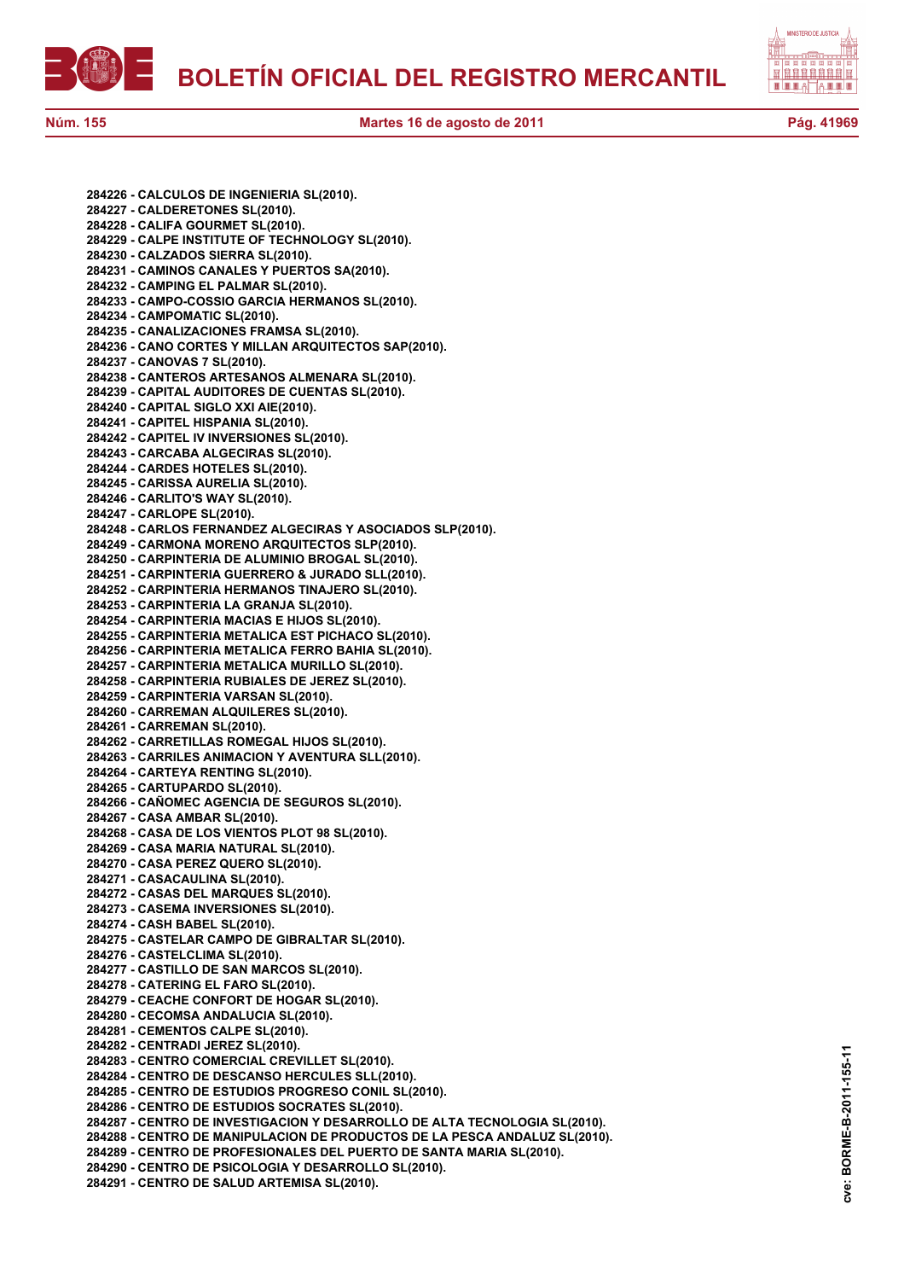

**284226 - CALCULOS DE INGENIERIA SL(2010).**

**284227 - CALDERETONES SL(2010). 284228 - CALIFA GOURMET SL(2010). 284229 - CALPE INSTITUTE OF TECHNOLOGY SL(2010). 284230 - CALZADOS SIERRA SL(2010). 284231 - CAMINOS CANALES Y PUERTOS SA(2010). 284232 - CAMPING EL PALMAR SL(2010). 284233 - CAMPO-COSSIO GARCIA HERMANOS SL(2010). 284234 - CAMPOMATIC SL(2010). 284235 - CANALIZACIONES FRAMSA SL(2010). 284236 - CANO CORTES Y MILLAN ARQUITECTOS SAP(2010). 284237 - CANOVAS 7 SL(2010). 284238 - CANTEROS ARTESANOS ALMENARA SL(2010). 284239 - CAPITAL AUDITORES DE CUENTAS SL(2010). 284240 - CAPITAL SIGLO XXI AIE(2010). 284241 - CAPITEL HISPANIA SL(2010). 284242 - CAPITEL IV INVERSIONES SL(2010). 284243 - CARCABA ALGECIRAS SL(2010). 284244 - CARDES HOTELES SL(2010). 284245 - CARISSA AURELIA SL(2010). 284246 - CARLITO'S WAY SL(2010). 284247 - CARLOPE SL(2010). 284248 - CARLOS FERNANDEZ ALGECIRAS Y ASOCIADOS SLP(2010). 284249 - CARMONA MORENO ARQUITECTOS SLP(2010). 284250 - CARPINTERIA DE ALUMINIO BROGAL SL(2010). 284251 - CARPINTERIA GUERRERO & JURADO SLL(2010). 284252 - CARPINTERIA HERMANOS TINAJERO SL(2010). 284253 - CARPINTERIA LA GRANJA SL(2010). 284254 - CARPINTERIA MACIAS E HIJOS SL(2010). 284255 - CARPINTERIA METALICA EST PICHACO SL(2010). 284256 - CARPINTERIA METALICA FERRO BAHIA SL(2010). 284257 - CARPINTERIA METALICA MURILLO SL(2010). 284258 - CARPINTERIA RUBIALES DE JEREZ SL(2010). 284259 - CARPINTERIA VARSAN SL(2010). 284260 - CARREMAN ALQUILERES SL(2010). 284261 - CARREMAN SL(2010). 284262 - CARRETILLAS ROMEGAL HIJOS SL(2010). 284263 - CARRILES ANIMACION Y AVENTURA SLL(2010). 284264 - CARTEYA RENTING SL(2010). 284265 - CARTUPARDO SL(2010). 284266 - CAÑOMEC AGENCIA DE SEGUROS SL(2010). 284267 - CASA AMBAR SL(2010). 284268 - CASA DE LOS VIENTOS PLOT 98 SL(2010). 284269 - CASA MARIA NATURAL SL(2010). 284270 - CASA PEREZ QUERO SL(2010). 284271 - CASACAULINA SL(2010). 284272 - CASAS DEL MARQUES SL(2010). 284273 - CASEMA INVERSIONES SL(2010). 284274 - CASH BABEL SL(2010). 284275 - CASTELAR CAMPO DE GIBRALTAR SL(2010). 284276 - CASTELCLIMA SL(2010). 284277 - CASTILLO DE SAN MARCOS SL(2010). 284278 - CATERING EL FARO SL(2010). 284279 - CEACHE CONFORT DE HOGAR SL(2010). 284280 - CECOMSA ANDALUCIA SL(2010). 284281 - CEMENTOS CALPE SL(2010). 284282 - CENTRADI JEREZ SL(2010). 284283 - CENTRO COMERCIAL CREVILLET SL(2010). 284284 - CENTRO DE DESCANSO HERCULES SLL(2010). 284285 - CENTRO DE ESTUDIOS PROGRESO CONIL SL(2010). 284286 - CENTRO DE ESTUDIOS SOCRATES SL(2010). 284287 - CENTRO DE INVESTIGACION Y DESARROLLO DE ALTA TECNOLOGIA SL(2010). 284288 - CENTRO DE MANIPULACION DE PRODUCTOS DE LA PESCA ANDALUZ SL(2010). 284289 - CENTRO DE PROFESIONALES DEL PUERTO DE SANTA MARIA SL(2010). 284290 - CENTRO DE PSICOLOGIA Y DESARROLLO SL(2010). 284291 - CENTRO DE SALUD ARTEMISA SL(2010).**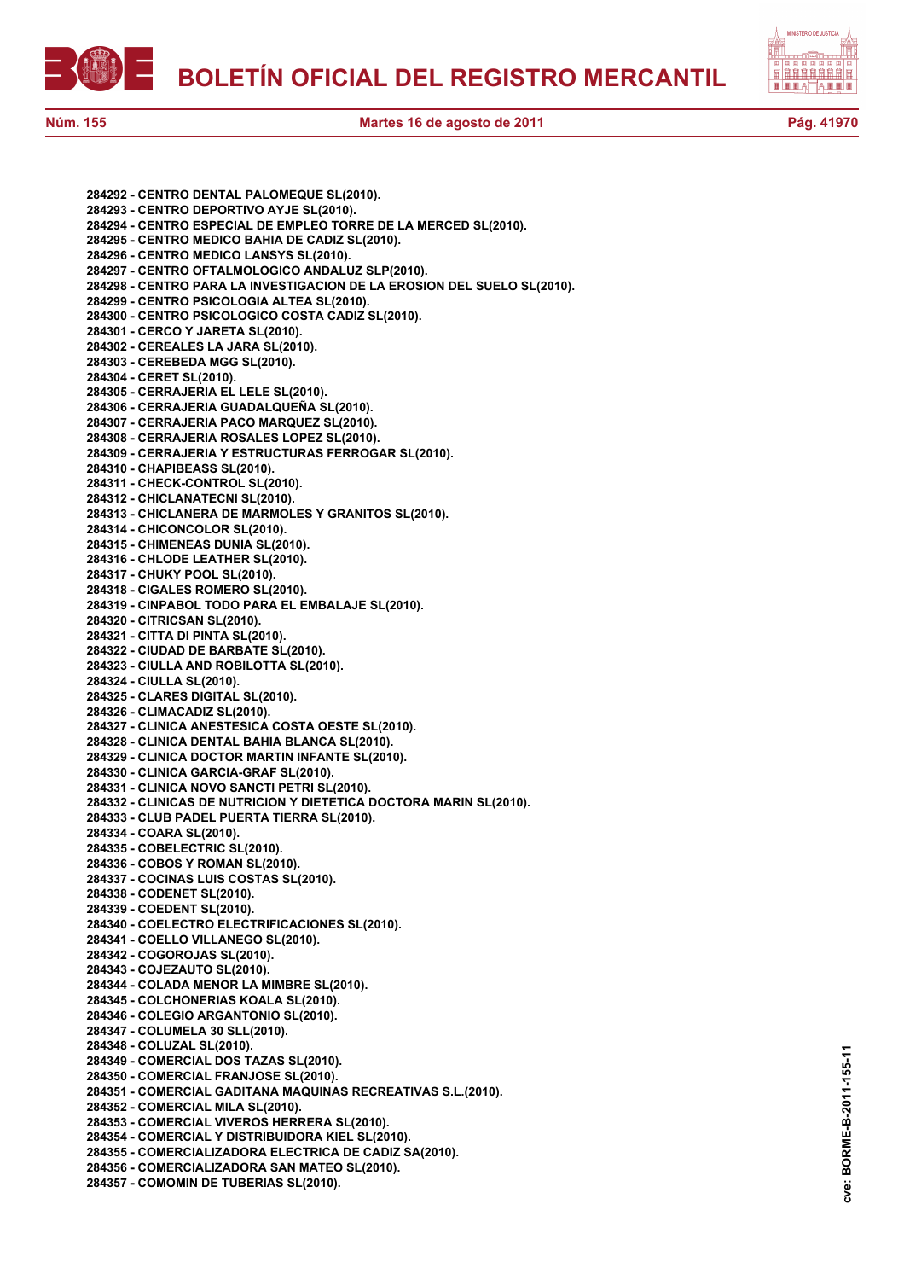



**284292 - CENTRO DENTAL PALOMEQUE SL(2010). 284293 - CENTRO DEPORTIVO AYJE SL(2010). 284294 - CENTRO ESPECIAL DE EMPLEO TORRE DE LA MERCED SL(2010). 284295 - CENTRO MEDICO BAHIA DE CADIZ SL(2010). 284296 - CENTRO MEDICO LANSYS SL(2010). 284297 - CENTRO OFTALMOLOGICO ANDALUZ SLP(2010). 284298 - CENTRO PARA LA INVESTIGACION DE LA EROSION DEL SUELO SL(2010). 284299 - CENTRO PSICOLOGIA ALTEA SL(2010). 284300 - CENTRO PSICOLOGICO COSTA CADIZ SL(2010). 284301 - CERCO Y JARETA SL(2010). 284302 - CEREALES LA JARA SL(2010). 284303 - CEREBEDA MGG SL(2010). 284304 - CERET SL(2010). 284305 - CERRAJERIA EL LELE SL(2010). 284306 - CERRAJERIA GUADALQUEÑA SL(2010). 284307 - CERRAJERIA PACO MARQUEZ SL(2010). 284308 - CERRAJERIA ROSALES LOPEZ SL(2010). 284309 - CERRAJERIA Y ESTRUCTURAS FERROGAR SL(2010). 284310 - CHAPIBEASS SL(2010). 284311 - CHECK-CONTROL SL(2010). 284312 - CHICLANATECNI SL(2010). 284313 - CHICLANERA DE MARMOLES Y GRANITOS SL(2010). 284314 - CHICONCOLOR SL(2010). 284315 - CHIMENEAS DUNIA SL(2010). 284316 - CHLODE LEATHER SL(2010). 284317 - CHUKY POOL SL(2010). 284318 - CIGALES ROMERO SL(2010). 284319 - CINPABOL TODO PARA EL EMBALAJE SL(2010). 284320 - CITRICSAN SL(2010). 284321 - CITTA DI PINTA SL(2010). 284322 - CIUDAD DE BARBATE SL(2010). 284323 - CIULLA AND ROBILOTTA SL(2010). 284324 - CIULLA SL(2010). 284325 - CLARES DIGITAL SL(2010). 284326 - CLIMACADIZ SL(2010). 284327 - CLINICA ANESTESICA COSTA OESTE SL(2010). 284328 - CLINICA DENTAL BAHIA BLANCA SL(2010). 284329 - CLINICA DOCTOR MARTIN INFANTE SL(2010). 284330 - CLINICA GARCIA-GRAF SL(2010). 284331 - CLINICA NOVO SANCTI PETRI SL(2010). 284332 - CLINICAS DE NUTRICION Y DIETETICA DOCTORA MARIN SL(2010). 284333 - CLUB PADEL PUERTA TIERRA SL(2010). 284334 - COARA SL(2010). 284335 - COBELECTRIC SL(2010). 284336 - COBOS Y ROMAN SL(2010). 284337 - COCINAS LUIS COSTAS SL(2010). 284338 - CODENET SL(2010). 284339 - COEDENT SL(2010). 284340 - COELECTRO ELECTRIFICACIONES SL(2010). 284341 - COELLO VILLANEGO SL(2010). 284342 - COGOROJAS SL(2010). 284343 - COJEZAUTO SL(2010). 284344 - COLADA MENOR LA MIMBRE SL(2010). 284345 - COLCHONERIAS KOALA SL(2010). 284346 - COLEGIO ARGANTONIO SL(2010). 284347 - COLUMELA 30 SLL(2010). 284348 - COLUZAL SL(2010). 284349 - COMERCIAL DOS TAZAS SL(2010). 284350 - COMERCIAL FRANJOSE SL(2010). 284351 - COMERCIAL GADITANA MAQUINAS RECREATIVAS S.L.(2010). 284352 - COMERCIAL MILA SL(2010). 284353 - COMERCIAL VIVEROS HERRERA SL(2010). 284354 - COMERCIAL Y DISTRIBUIDORA KIEL SL(2010). 284355 - COMERCIALIZADORA ELECTRICA DE CADIZ SA(2010). 284356 - COMERCIALIZADORA SAN MATEO SL(2010). 284357 - COMOMIN DE TUBERIAS SL(2010).**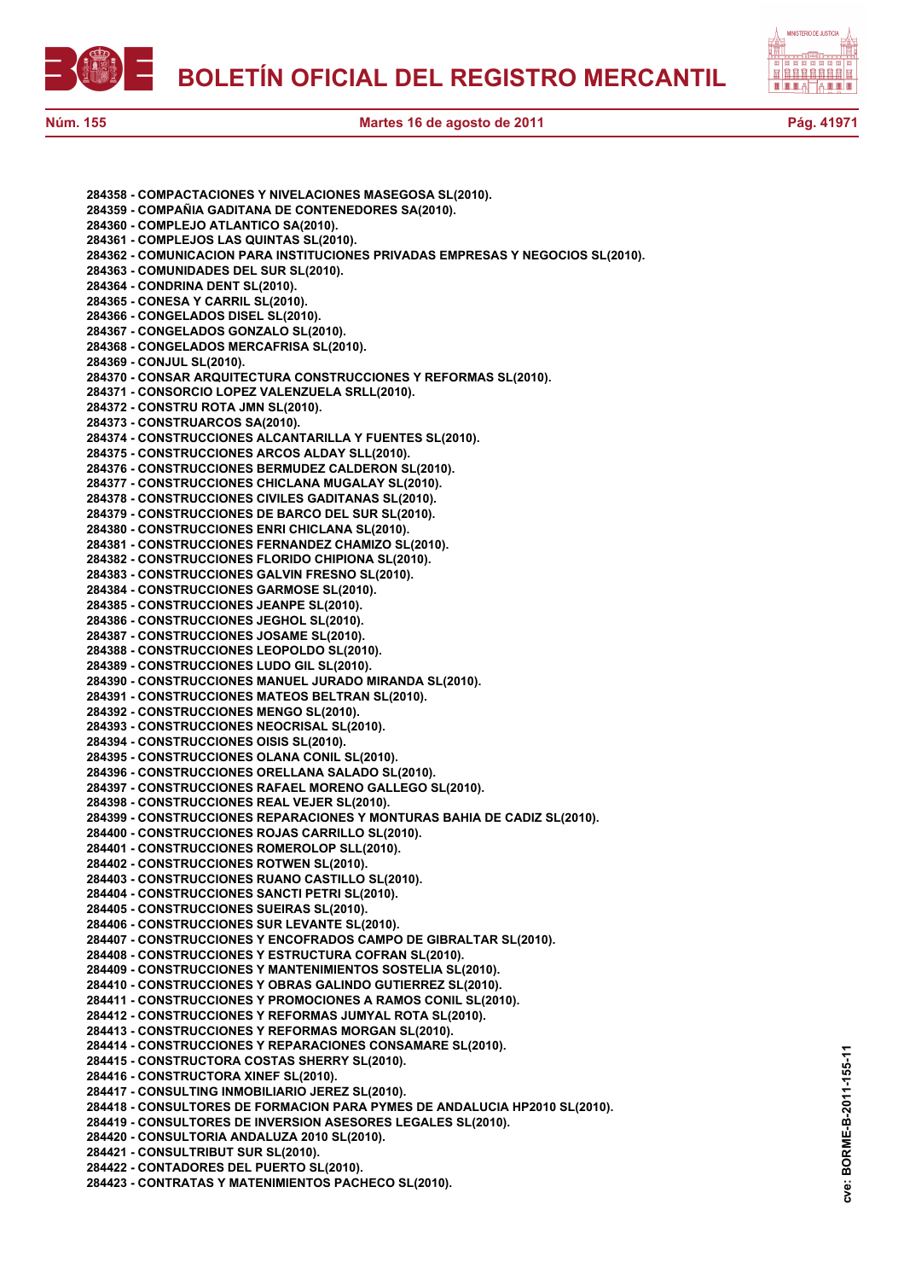



**Núm. 155 Martes 16 de agosto de 2011 Pág. 41971**

| 284358 - COMPACTACIONES Y NIVELACIONES MASEGOSA SL(2010).                       |
|---------------------------------------------------------------------------------|
| 284359 - COMPAÑIA GADITANA DE CONTENEDORES SA(2010).                            |
|                                                                                 |
| 284360 - COMPLEJO ATLANTICO SA(2010).                                           |
| 284361 - COMPLEJOS LAS QUINTAS SL(2010).                                        |
| 284362 - COMUNICACION PARA INSTITUCIONES PRIVADAS EMPRESAS Y NEGOCIOS SL(2010). |
| 284363 - COMUNIDADES DEL SUR SL(2010).                                          |
| 284364 - CONDRINA DENT SL(2010).                                                |
| 284365 - CONESA Y CARRIL SL(2010).                                              |
| 284366 - CONGELADOS DISEL SL(2010).                                             |
| 284367 - CONGELADOS GONZALO SL(2010).                                           |
| 284368 - CONGELADOS MERCAFRISA SL(2010).                                        |
| 284369 - CONJUL SL(2010).                                                       |
|                                                                                 |
| 284370 - CONSAR ARQUITECTURA CONSTRUCCIONES Y REFORMAS SL(2010).                |
| 284371 - CONSORCIO LOPEZ VALENZUELA SRLL(2010).                                 |
| 284372 - CONSTRU ROTA JMN SL(2010).                                             |
| 284373 - CONSTRUARCOS SA(2010).                                                 |
| 284374 - CONSTRUCCIONES ALCANTARILLA Y FUENTES SL(2010).                        |
| 284375 - CONSTRUCCIONES ARCOS ALDAY SLL(2010).                                  |
| 284376 - CONSTRUCCIONES BERMUDEZ CALDERON SL(2010).                             |
| 284377 - CONSTRUCCIONES CHICLANA MUGALAY SL(2010).                              |
| 284378 - CONSTRUCCIONES CIVILES GADITANAS SL(2010).                             |
| 284379 - CONSTRUCCIONES DE BARCO DEL SUR SL(2010).                              |
|                                                                                 |
| 284380 - CONSTRUCCIONES ENRI CHICLANA SL(2010).                                 |
| 284381 - CONSTRUCCIONES FERNANDEZ CHAMIZO SL(2010).                             |
| 284382 - CONSTRUCCIONES FLORIDO CHIPIONA SL(2010).                              |
| 284383 - CONSTRUCCIONES GALVIN FRESNO SL(2010).                                 |
| 284384 - CONSTRUCCIONES GARMOSE SL(2010).                                       |
| 284385 - CONSTRUCCIONES JEANPE SL(2010).                                        |
| 284386 - CONSTRUCCIONES JEGHOL SL(2010).                                        |
| 284387 - CONSTRUCCIONES JOSAME SL(2010).                                        |
| 284388 - CONSTRUCCIONES LEOPOLDO SL(2010).                                      |
| 284389 - CONSTRUCCIONES LUDO GIL SL(2010).                                      |
| 284390 - CONSTRUCCIONES MANUEL JURADO MIRANDA SL(2010).                         |
|                                                                                 |
| 284391 - CONSTRUCCIONES MATEOS BELTRAN SL(2010).                                |
| 284392 - CONSTRUCCIONES MENGO SL(2010).                                         |
| 284393 - CONSTRUCCIONES NEOCRISAL SL(2010).                                     |
| 284394 - CONSTRUCCIONES OISIS SL(2010).                                         |
| 284395 - CONSTRUCCIONES OLANA CONIL SL(2010).                                   |
| 284396 - CONSTRUCCIONES ORELLANA SALADO SL(2010).                               |
| 284397 - CONSTRUCCIONES RAFAEL MORENO GALLEGO SL(2010).                         |
| 284398 - CONSTRUCCIONES REAL VEJER SL(2010).                                    |
| 284399 - CONSTRUCCIONES REPARACIONES Y MONTURAS BAHIA DE CADIZ SL(2010).        |
| 284400 - CONSTRUCCIONES ROJAS CARRILLO SL(2010).                                |
| 284401 - CONSTRUCCIONES ROMEROLOP SLL(2010).                                    |
|                                                                                 |
| 284402 - CONSTRUCCIONES ROTWEN SL(2010).                                        |
| 284403 - CONSTRUCCIONES RUANO CASTILLO SL(2010).                                |
| 284404 - CONSTRUCCIONES SANCTI PETRI SL(2010).                                  |
| 284405 - CONSTRUCCIONES SUEIRAS SL(2010).                                       |
| 284406 - CONSTRUCCIONES SUR LEVANTE SL(2010).                                   |
| 284407 - CONSTRUCCIONES Y ENCOFRADOS CAMPO DE GIBRALTAR SL(2010).               |
| 284408 - CONSTRUCCIONES Y ESTRUCTURA COFRAN SL(2010).                           |
| 284409 - CONSTRUCCIONES Y MANTENIMIENTOS SOSTELIA SL(2010).                     |
| 284410 - CONSTRUCCIONES Y OBRAS GALINDO GUTIERREZ SL(2010).                     |
| 284411 - CONSTRUCCIONES Y PROMOCIONES A RAMOS CONIL SL(2010).                   |
|                                                                                 |
| 284412 - CONSTRUCCIONES Y REFORMAS JUMYAL ROTA SL(2010).                        |
| 284413 - CONSTRUCCIONES Y REFORMAS MORGAN SL(2010).                             |
| 284414 - CONSTRUCCIONES Y REPARACIONES CONSAMARE SL(2010).                      |
| 284415 - CONSTRUCTORA COSTAS SHERRY SL(2010).                                   |
| 284416 - CONSTRUCTORA XINEF SL(2010).                                           |
| 284417 - CONSULTING INMOBILIARIO JEREZ SL(2010).                                |
| 284418 - CONSULTORES DE FORMACION PARA PYMES DE ANDALUCIA HP2010 SL(2010).      |
| 284419 - CONSULTORES DE INVERSION ASESORES LEGALES SL(2010).                    |
| 284420 - CONSULTORIA ANDALUZA 2010 SL(2010).                                    |
|                                                                                 |
| 284421 - CONSULTRIBUT SUR SL(2010).                                             |
| 284422 - CONTADORES DEL PUERTO SL(2010).                                        |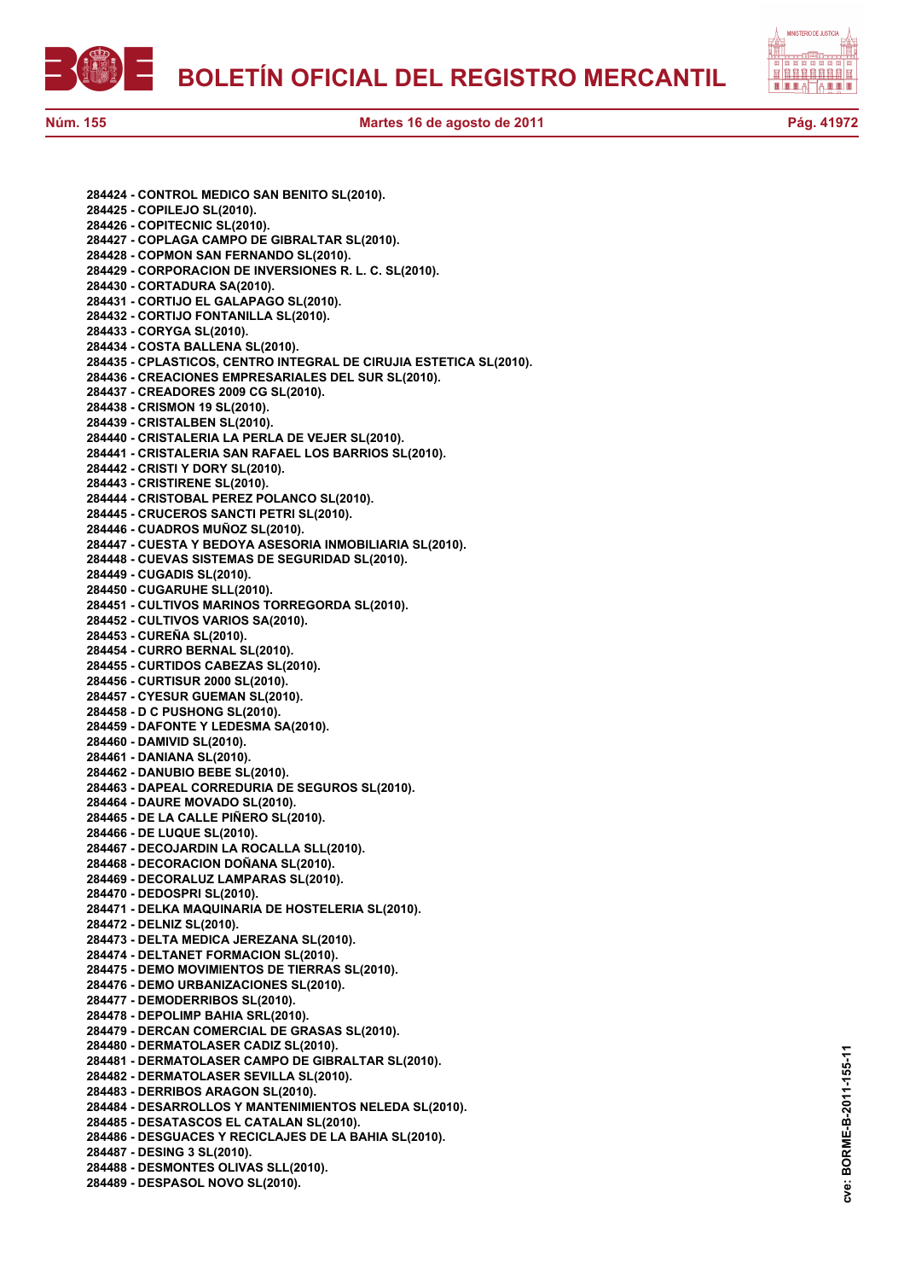

自自自自自自自自 a e e ie

**Núm. 155 Martes 16 de agosto de 2011 Pág. 41972**

**284424 - CONTROL MEDICO SAN BENITO SL(2010). 284425 - COPILEJO SL(2010). 284426 - COPITECNIC SL(2010). 284427 - COPLAGA CAMPO DE GIBRALTAR SL(2010). 284428 - COPMON SAN FERNANDO SL(2010). 284429 - CORPORACION DE INVERSIONES R. L. C. SL(2010). 284430 - CORTADURA SA(2010). 284431 - CORTIJO EL GALAPAGO SL(2010). 284432 - CORTIJO FONTANILLA SL(2010). 284433 - CORYGA SL(2010). 284434 - COSTA BALLENA SL(2010). 284435 - CPLASTICOS, CENTRO INTEGRAL DE CIRUJIA ESTETICA SL(2010). 284436 - CREACIONES EMPRESARIALES DEL SUR SL(2010). 284437 - CREADORES 2009 CG SL(2010). 284438 - CRISMON 19 SL(2010). 284439 - CRISTALBEN SL(2010). 284440 - CRISTALERIA LA PERLA DE VEJER SL(2010). 284441 - CRISTALERIA SAN RAFAEL LOS BARRIOS SL(2010). 284442 - CRISTI Y DORY SL(2010). 284443 - CRISTIRENE SL(2010). 284444 - CRISTOBAL PEREZ POLANCO SL(2010). 284445 - CRUCEROS SANCTI PETRI SL(2010). 284446 - CUADROS MUÑOZ SL(2010). 284447 - CUESTA Y BEDOYA ASESORIA INMOBILIARIA SL(2010). 284448 - CUEVAS SISTEMAS DE SEGURIDAD SL(2010). 284449 - CUGADIS SL(2010). 284450 - CUGARUHE SLL(2010). 284451 - CULTIVOS MARINOS TORREGORDA SL(2010). 284452 - CULTIVOS VARIOS SA(2010). 284453 - CUREÑA SL(2010). 284454 - CURRO BERNAL SL(2010). 284455 - CURTIDOS CABEZAS SL(2010). 284456 - CURTISUR 2000 SL(2010). 284457 - CYESUR GUEMAN SL(2010). 284458 - D C PUSHONG SL(2010). 284459 - DAFONTE Y LEDESMA SA(2010). 284460 - DAMIVID SL(2010). 284461 - DANIANA SL(2010). 284462 - DANUBIO BEBE SL(2010). 284463 - DAPEAL CORREDURIA DE SEGUROS SL(2010). 284464 - DAURE MOVADO SL(2010). 284465 - DE LA CALLE PIÑERO SL(2010). 284466 - DE LUQUE SL(2010). 284467 - DECOJARDIN LA ROCALLA SLL(2010). 284468 - DECORACION DOÑANA SL(2010). 284469 - DECORALUZ LAMPARAS SL(2010). 284470 - DEDOSPRI SL(2010). 284471 - DELKA MAQUINARIA DE HOSTELERIA SL(2010). 284472 - DELNIZ SL(2010). 284473 - DELTA MEDICA JEREZANA SL(2010). 284474 - DELTANET FORMACION SL(2010). 284475 - DEMO MOVIMIENTOS DE TIERRAS SL(2010). 284476 - DEMO URBANIZACIONES SL(2010). 284477 - DEMODERRIBOS SL(2010). 284478 - DEPOLIMP BAHIA SRL(2010). 284479 - DERCAN COMERCIAL DE GRASAS SL(2010). 284480 - DERMATOLASER CADIZ SL(2010). 284481 - DERMATOLASER CAMPO DE GIBRALTAR SL(2010). 284482 - DERMATOLASER SEVILLA SL(2010). 284483 - DERRIBOS ARAGON SL(2010). 284484 - DESARROLLOS Y MANTENIMIENTOS NELEDA SL(2010). 284485 - DESATASCOS EL CATALAN SL(2010). 284486 - DESGUACES Y RECICLAJES DE LA BAHIA SL(2010). 284487 - DESING 3 SL(2010). 284488 - DESMONTES OLIVAS SLL(2010). 284489 - DESPASOL NOVO SL(2010).**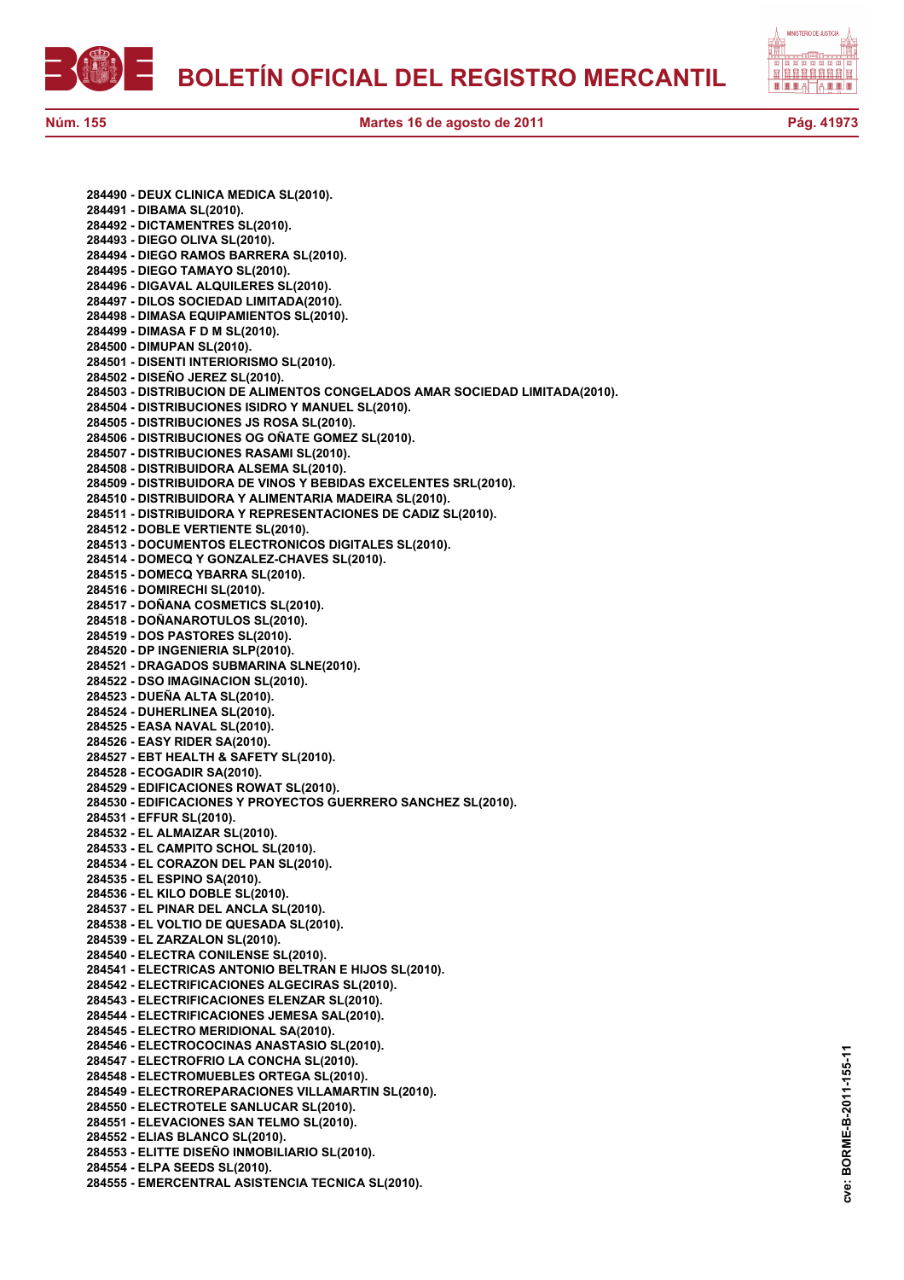

**284490 - DEUX CLINICA MEDICA SL(2010). 284491 - DIBAMA SL(2010). 284492 - DICTAMENTRES SL(2010). 284493 - DIEGO OLIVA SL(2010). 284494 - DIEGO RAMOS BARRERA SL(2010). 284495 - DIEGO TAMAYO SL(2010). 284496 - DIGAVAL ALQUILERES SL(2010). 284497 - DILOS SOCIEDAD LIMITADA(2010). 284498 - DIMASA EQUIPAMIENTOS SL(2010). 284499 - DIMASA F D M SL(2010). 284500 - DIMUPAN SL(2010). 284501 - DISENTI INTERIORISMO SL(2010). 284502 - DISEÑO JEREZ SL(2010). 284503 - DISTRIBUCION DE ALIMENTOS CONGELADOS AMAR SOCIEDAD LIMITADA(2010). 284504 - DISTRIBUCIONES ISIDRO Y MANUEL SL(2010). 284505 - DISTRIBUCIONES JS ROSA SL(2010). 284506 - DISTRIBUCIONES OG OÑATE GOMEZ SL(2010). 284507 - DISTRIBUCIONES RASAMI SL(2010). 284508 - DISTRIBUIDORA ALSEMA SL(2010). 284509 - DISTRIBUIDORA DE VINOS Y BEBIDAS EXCELENTES SRL(2010). 284510 - DISTRIBUIDORA Y ALIMENTARIA MADEIRA SL(2010). 284511 - DISTRIBUIDORA Y REPRESENTACIONES DE CADIZ SL(2010). 284512 - DOBLE VERTIENTE SL(2010). 284513 - DOCUMENTOS ELECTRONICOS DIGITALES SL(2010). 284514 - DOMECQ Y GONZALEZ-CHAVES SL(2010). 284515 - DOMECQ YBARRA SL(2010). 284516 - DOMIRECHI SL(2010). 284517 - DOÑANA COSMETICS SL(2010). 284518 - DOÑANAROTULOS SL(2010). 284519 - DOS PASTORES SL(2010). 284520 - DP INGENIERIA SLP(2010). 284521 - DRAGADOS SUBMARINA SLNE(2010). 284522 - DSO IMAGINACION SL(2010). 284523 - DUEÑA ALTA SL(2010). 284524 - DUHERLINEA SL(2010). 284525 - EASA NAVAL SL(2010). 284526 - EASY RIDER SA(2010). 284527 - EBT HEALTH & SAFETY SL(2010). 284528 - ECOGADIR SA(2010). 284529 - EDIFICACIONES ROWAT SL(2010). 284530 - EDIFICACIONES Y PROYECTOS GUERRERO SANCHEZ SL(2010). 284531 - EFFUR SL(2010). 284532 - EL ALMAIZAR SL(2010). 284533 - EL CAMPITO SCHOL SL(2010). 284534 - EL CORAZON DEL PAN SL(2010). 284535 - EL ESPINO SA(2010). 284536 - EL KILO DOBLE SL(2010). 284537 - EL PINAR DEL ANCLA SL(2010). 284538 - EL VOLTIO DE QUESADA SL(2010). 284539 - EL ZARZALON SL(2010). 284540 - ELECTRA CONILENSE SL(2010). 284541 - ELECTRICAS ANTONIO BELTRAN E HIJOS SL(2010). 284542 - ELECTRIFICACIONES ALGECIRAS SL(2010). 284543 - ELECTRIFICACIONES ELENZAR SL(2010). 284544 - ELECTRIFICACIONES JEMESA SAL(2010). 284545 - ELECTRO MERIDIONAL SA(2010). 284546 - ELECTROCOCINAS ANASTASIO SL(2010). 284547 - ELECTROFRIO LA CONCHA SL(2010). 284548 - ELECTROMUEBLES ORTEGA SL(2010). 284549 - ELECTROREPARACIONES VILLAMARTIN SL(2010). 284550 - ELECTROTELE SANLUCAR SL(2010). 284551 - ELEVACIONES SAN TELMO SL(2010). 284552 - ELIAS BLANCO SL(2010). 284553 - ELITTE DISEÑO INMOBILIARIO SL(2010). 284554 - ELPA SEEDS SL(2010). 284555 - EMERCENTRAL ASISTENCIA TECNICA SL(2010).**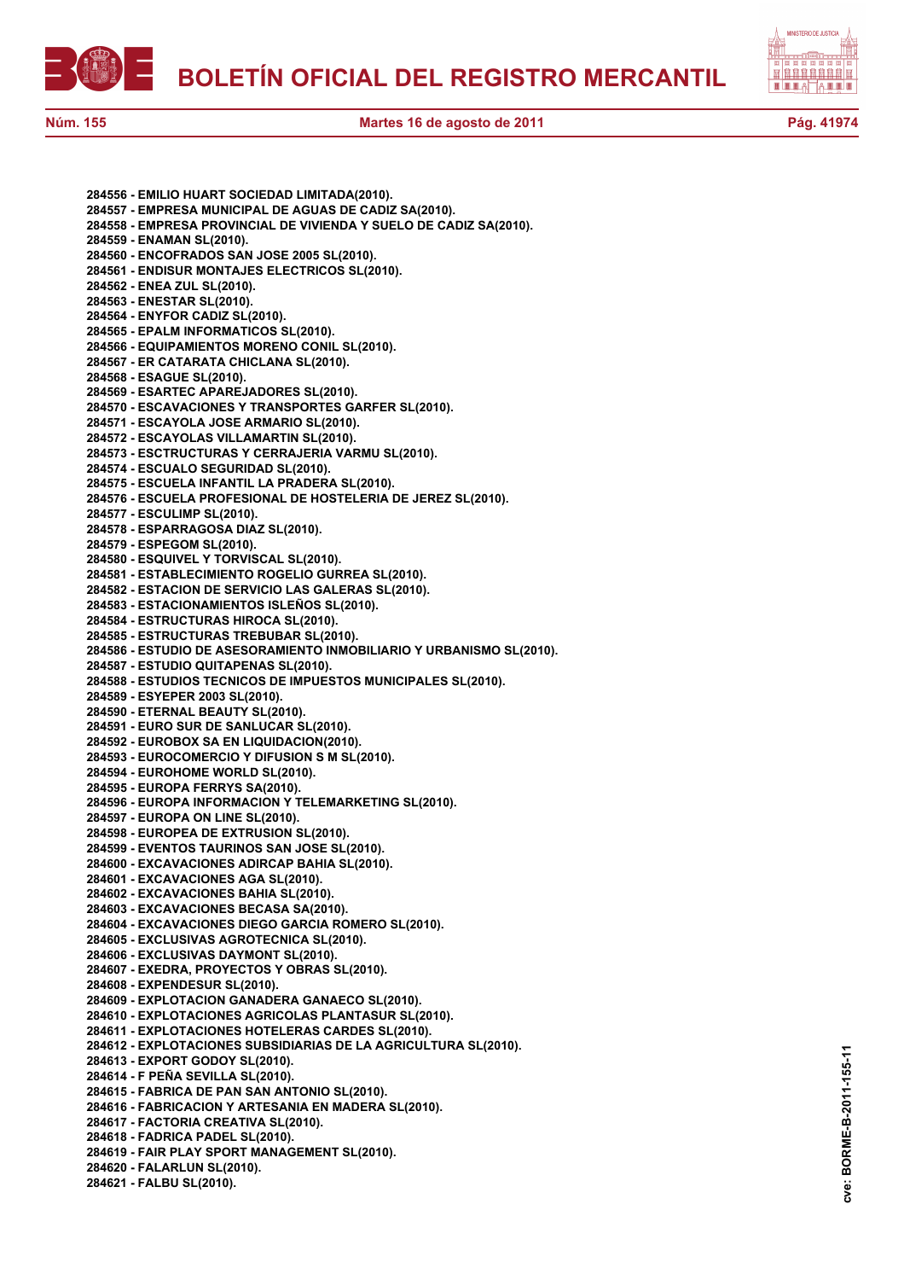



**284556 - EMILIO HUART SOCIEDAD LIMITADA(2010). 284557 - EMPRESA MUNICIPAL DE AGUAS DE CADIZ SA(2010). 284558 - EMPRESA PROVINCIAL DE VIVIENDA Y SUELO DE CADIZ SA(2010). 284559 - ENAMAN SL(2010). 284560 - ENCOFRADOS SAN JOSE 2005 SL(2010). 284561 - ENDISUR MONTAJES ELECTRICOS SL(2010). 284562 - ENEA ZUL SL(2010). 284563 - ENESTAR SL(2010). 284564 - ENYFOR CADIZ SL(2010). 284565 - EPALM INFORMATICOS SL(2010). 284566 - EQUIPAMIENTOS MORENO CONIL SL(2010). 284567 - ER CATARATA CHICLANA SL(2010). 284568 - ESAGUE SL(2010). 284569 - ESARTEC APAREJADORES SL(2010). 284570 - ESCAVACIONES Y TRANSPORTES GARFER SL(2010). 284571 - ESCAYOLA JOSE ARMARIO SL(2010). 284572 - ESCAYOLAS VILLAMARTIN SL(2010). 284573 - ESCTRUCTURAS Y CERRAJERIA VARMU SL(2010). 284574 - ESCUALO SEGURIDAD SL(2010). 284575 - ESCUELA INFANTIL LA PRADERA SL(2010). 284576 - ESCUELA PROFESIONAL DE HOSTELERIA DE JEREZ SL(2010). 284577 - ESCULIMP SL(2010). 284578 - ESPARRAGOSA DIAZ SL(2010). 284579 - ESPEGOM SL(2010). 284580 - ESQUIVEL Y TORVISCAL SL(2010). 284581 - ESTABLECIMIENTO ROGELIO GURREA SL(2010). 284582 - ESTACION DE SERVICIO LAS GALERAS SL(2010). 284583 - ESTACIONAMIENTOS ISLEÑOS SL(2010). 284584 - ESTRUCTURAS HIROCA SL(2010). 284585 - ESTRUCTURAS TREBUBAR SL(2010). 284586 - ESTUDIO DE ASESORAMIENTO INMOBILIARIO Y URBANISMO SL(2010). 284587 - ESTUDIO QUITAPENAS SL(2010). 284588 - ESTUDIOS TECNICOS DE IMPUESTOS MUNICIPALES SL(2010). 284589 - ESYEPER 2003 SL(2010). 284590 - ETERNAL BEAUTY SL(2010). 284591 - EURO SUR DE SANLUCAR SL(2010). 284592 - EUROBOX SA EN LIQUIDACION(2010). 284593 - EUROCOMERCIO Y DIFUSION S M SL(2010). 284594 - EUROHOME WORLD SL(2010). 284595 - EUROPA FERRYS SA(2010). 284596 - EUROPA INFORMACION Y TELEMARKETING SL(2010). 284597 - EUROPA ON LINE SL(2010). 284598 - EUROPEA DE EXTRUSION SL(2010). 284599 - EVENTOS TAURINOS SAN JOSE SL(2010). 284600 - EXCAVACIONES ADIRCAP BAHIA SL(2010). 284601 - EXCAVACIONES AGA SL(2010). 284602 - EXCAVACIONES BAHIA SL(2010). 284603 - EXCAVACIONES BECASA SA(2010). 284604 - EXCAVACIONES DIEGO GARCIA ROMERO SL(2010). 284605 - EXCLUSIVAS AGROTECNICA SL(2010). 284606 - EXCLUSIVAS DAYMONT SL(2010). 284607 - EXEDRA, PROYECTOS Y OBRAS SL(2010). 284608 - EXPENDESUR SL(2010). 284609 - EXPLOTACION GANADERA GANAECO SL(2010). 284610 - EXPLOTACIONES AGRICOLAS PLANTASUR SL(2010). 284611 - EXPLOTACIONES HOTELERAS CARDES SL(2010). 284612 - EXPLOTACIONES SUBSIDIARIAS DE LA AGRICULTURA SL(2010). 284613 - EXPORT GODOY SL(2010). 284614 - F PEÑA SEVILLA SL(2010). 284615 - FABRICA DE PAN SAN ANTONIO SL(2010). 284616 - FABRICACION Y ARTESANIA EN MADERA SL(2010). 284617 - FACTORIA CREATIVA SL(2010). 284618 - FADRICA PADEL SL(2010). 284619 - FAIR PLAY SPORT MANAGEMENT SL(2010). 284620 - FALARLUN SL(2010). 284621 - FALBU SL(2010).**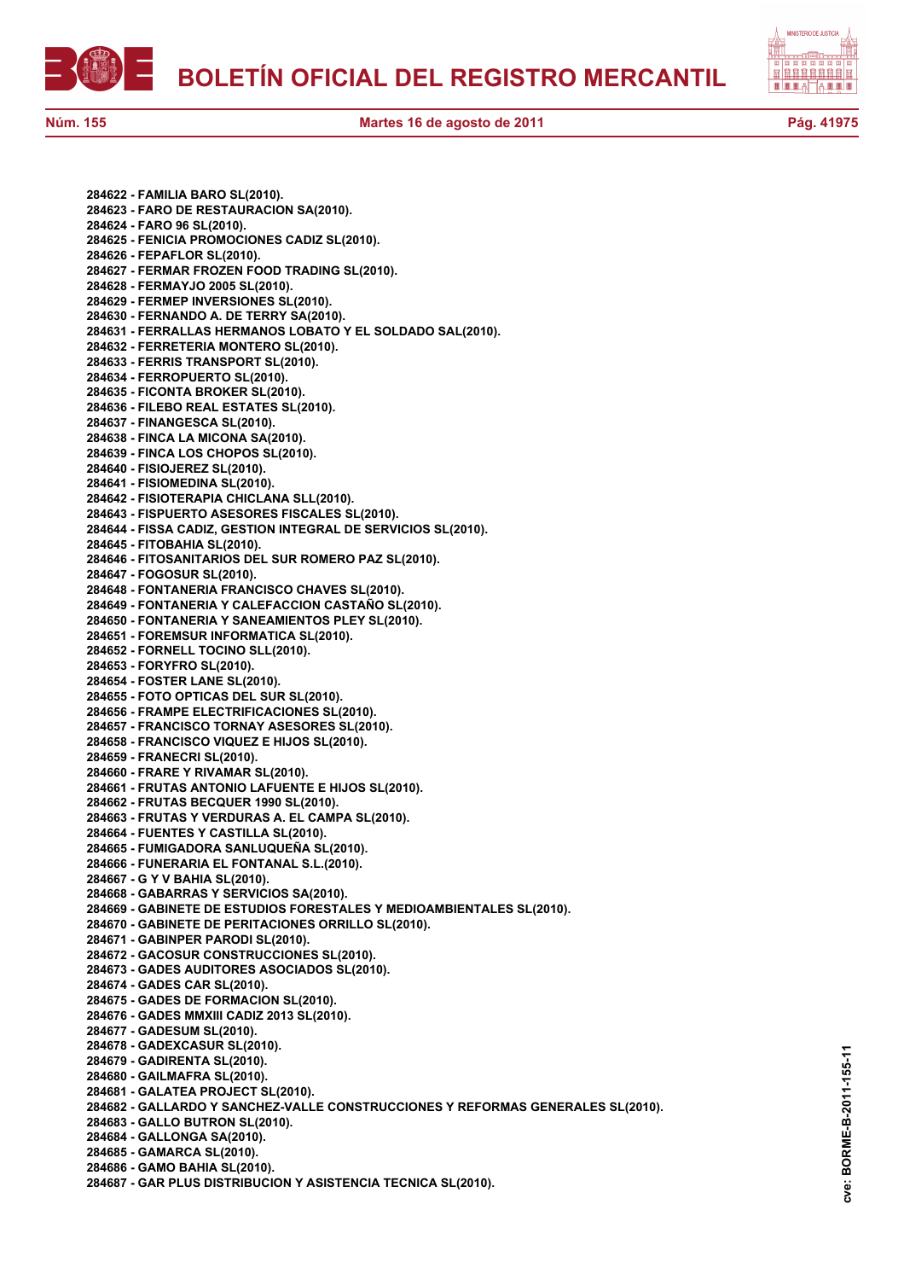



**Núm. 155 Martes 16 de agosto de 2011 Pág. 41975**

**284622 - FAMILIA BARO SL(2010). 284623 - FARO DE RESTAURACION SA(2010). 284624 - FARO 96 SL(2010). 284625 - FENICIA PROMOCIONES CADIZ SL(2010). 284626 - FEPAFLOR SL(2010). 284627 - FERMAR FROZEN FOOD TRADING SL(2010). 284628 - FERMAYJO 2005 SL(2010). 284629 - FERMEP INVERSIONES SL(2010). 284630 - FERNANDO A. DE TERRY SA(2010). 284631 - FERRALLAS HERMANOS LOBATO Y EL SOLDADO SAL(2010). 284632 - FERRETERIA MONTERO SL(2010). 284633 - FERRIS TRANSPORT SL(2010). 284634 - FERROPUERTO SL(2010). 284635 - FICONTA BROKER SL(2010). 284636 - FILEBO REAL ESTATES SL(2010). 284637 - FINANGESCA SL(2010). 284638 - FINCA LA MICONA SA(2010). 284639 - FINCA LOS CHOPOS SL(2010). 284640 - FISIOJEREZ SL(2010). 284641 - FISIOMEDINA SL(2010). 284642 - FISIOTERAPIA CHICLANA SLL(2010). 284643 - FISPUERTO ASESORES FISCALES SL(2010). 284644 - FISSA CADIZ, GESTION INTEGRAL DE SERVICIOS SL(2010). 284645 - FITOBAHIA SL(2010). 284646 - FITOSANITARIOS DEL SUR ROMERO PAZ SL(2010). 284647 - FOGOSUR SL(2010). 284648 - FONTANERIA FRANCISCO CHAVES SL(2010). 284649 - FONTANERIA Y CALEFACCION CASTAÑO SL(2010). 284650 - FONTANERIA Y SANEAMIENTOS PLEY SL(2010). 284651 - FOREMSUR INFORMATICA SL(2010). 284652 - FORNELL TOCINO SLL(2010). 284653 - FORYFRO SL(2010). 284654 - FOSTER LANE SL(2010). 284655 - FOTO OPTICAS DEL SUR SL(2010). 284656 - FRAMPE ELECTRIFICACIONES SL(2010). 284657 - FRANCISCO TORNAY ASESORES SL(2010). 284658 - FRANCISCO VIQUEZ E HIJOS SL(2010). 284659 - FRANECRI SL(2010). 284660 - FRARE Y RIVAMAR SL(2010). 284661 - FRUTAS ANTONIO LAFUENTE E HIJOS SL(2010). 284662 - FRUTAS BECQUER 1990 SL(2010). 284663 - FRUTAS Y VERDURAS A. EL CAMPA SL(2010). 284664 - FUENTES Y CASTILLA SL(2010). 284665 - FUMIGADORA SANLUQUEÑA SL(2010). 284666 - FUNERARIA EL FONTANAL S.L.(2010). 284667 - G Y V BAHIA SL(2010). 284668 - GABARRAS Y SERVICIOS SA(2010). 284669 - GABINETE DE ESTUDIOS FORESTALES Y MEDIOAMBIENTALES SL(2010). 284670 - GABINETE DE PERITACIONES ORRILLO SL(2010). 284671 - GABINPER PARODI SL(2010). 284672 - GACOSUR CONSTRUCCIONES SL(2010). 284673 - GADES AUDITORES ASOCIADOS SL(2010). 284674 - GADES CAR SL(2010). 284675 - GADES DE FORMACION SL(2010). 284676 - GADES MMXIII CADIZ 2013 SL(2010). 284677 - GADESUM SL(2010). 284678 - GADEXCASUR SL(2010). 284679 - GADIRENTA SL(2010). 284680 - GAILMAFRA SL(2010). 284681 - GALATEA PROJECT SL(2010). 284682 - GALLARDO Y SANCHEZ-VALLE CONSTRUCCIONES Y REFORMAS GENERALES SL(2010). 284683 - GALLO BUTRON SL(2010). 284684 - GALLONGA SA(2010). 284685 - GAMARCA SL(2010). 284686 - GAMO BAHIA SL(2010). 284687 - GAR PLUS DISTRIBUCION Y ASISTENCIA TECNICA SL(2010).**

BORME-B-2011-155-11 **cve: BORME-B-2011-155-11** cve: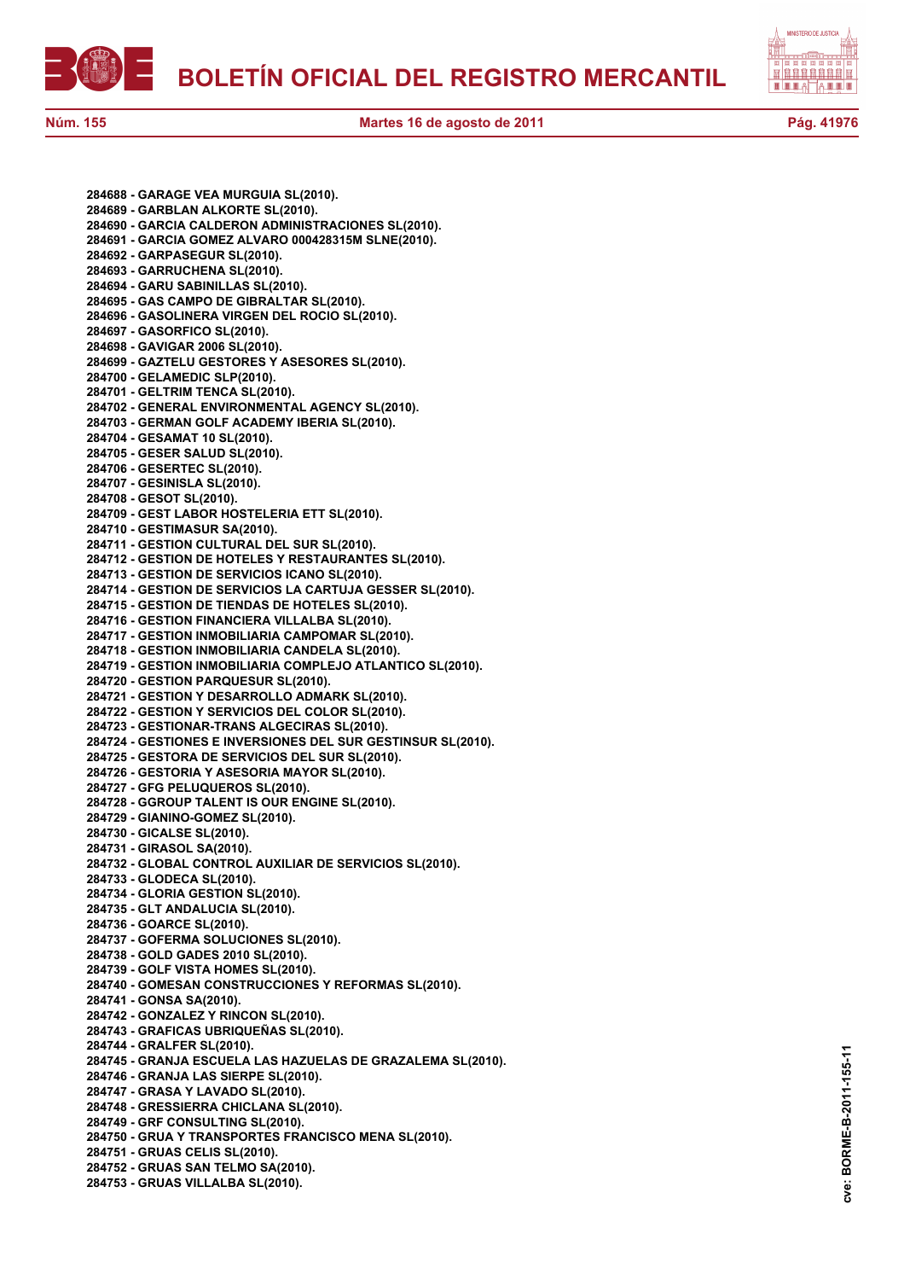



**cve: BORME-B-2011-155-11**

cve:

BORME-B-2011-155-11

**284688 - GARAGE VEA MURGUIA SL(2010). 284689 - GARBLAN ALKORTE SL(2010). 284690 - GARCIA CALDERON ADMINISTRACIONES SL(2010). 284691 - GARCIA GOMEZ ALVARO 000428315M SLNE(2010). 284692 - GARPASEGUR SL(2010). 284693 - GARRUCHENA SL(2010). 284694 - GARU SABINILLAS SL(2010). 284695 - GAS CAMPO DE GIBRALTAR SL(2010). 284696 - GASOLINERA VIRGEN DEL ROCIO SL(2010). 284697 - GASORFICO SL(2010). 284698 - GAVIGAR 2006 SL(2010). 284699 - GAZTELU GESTORES Y ASESORES SL(2010). 284700 - GELAMEDIC SLP(2010). 284701 - GELTRIM TENCA SL(2010). 284702 - GENERAL ENVIRONMENTAL AGENCY SL(2010). 284703 - GERMAN GOLF ACADEMY IBERIA SL(2010). 284704 - GESAMAT 10 SL(2010). 284705 - GESER SALUD SL(2010). 284706 - GESERTEC SL(2010). 284707 - GESINISLA SL(2010). 284708 - GESOT SL(2010). 284709 - GEST LABOR HOSTELERIA ETT SL(2010). 284710 - GESTIMASUR SA(2010). 284711 - GESTION CULTURAL DEL SUR SL(2010). 284712 - GESTION DE HOTELES Y RESTAURANTES SL(2010). 284713 - GESTION DE SERVICIOS ICANO SL(2010). 284714 - GESTION DE SERVICIOS LA CARTUJA GESSER SL(2010). 284715 - GESTION DE TIENDAS DE HOTELES SL(2010). 284716 - GESTION FINANCIERA VILLALBA SL(2010). 284717 - GESTION INMOBILIARIA CAMPOMAR SL(2010). 284718 - GESTION INMOBILIARIA CANDELA SL(2010). 284719 - GESTION INMOBILIARIA COMPLEJO ATLANTICO SL(2010). 284720 - GESTION PARQUESUR SL(2010). 284721 - GESTION Y DESARROLLO ADMARK SL(2010). 284722 - GESTION Y SERVICIOS DEL COLOR SL(2010). 284723 - GESTIONAR-TRANS ALGECIRAS SL(2010). 284724 - GESTIONES E INVERSIONES DEL SUR GESTINSUR SL(2010). 284725 - GESTORA DE SERVICIOS DEL SUR SL(2010). 284726 - GESTORIA Y ASESORIA MAYOR SL(2010). 284727 - GFG PELUQUEROS SL(2010). 284728 - GGROUP TALENT IS OUR ENGINE SL(2010). 284729 - GIANINO-GOMEZ SL(2010). 284730 - GICALSE SL(2010). 284731 - GIRASOL SA(2010). 284732 - GLOBAL CONTROL AUXILIAR DE SERVICIOS SL(2010). 284733 - GLODECA SL(2010). 284734 - GLORIA GESTION SL(2010). 284735 - GLT ANDALUCIA SL(2010). 284736 - GOARCE SL(2010). 284737 - GOFERMA SOLUCIONES SL(2010). 284738 - GOLD GADES 2010 SL(2010). 284739 - GOLF VISTA HOMES SL(2010). 284740 - GOMESAN CONSTRUCCIONES Y REFORMAS SL(2010). 284741 - GONSA SA(2010). 284742 - GONZALEZ Y RINCON SL(2010). 284743 - GRAFICAS UBRIQUEÑAS SL(2010). 284744 - GRALFER SL(2010). 284745 - GRANJA ESCUELA LAS HAZUELAS DE GRAZALEMA SL(2010). 284746 - GRANJA LAS SIERPE SL(2010). 284747 - GRASA Y LAVADO SL(2010). 284748 - GRESSIERRA CHICLANA SL(2010). 284749 - GRF CONSULTING SL(2010). 284750 - GRUA Y TRANSPORTES FRANCISCO MENA SL(2010). 284751 - GRUAS CELIS SL(2010). 284752 - GRUAS SAN TELMO SA(2010). 284753 - GRUAS VILLALBA SL(2010).**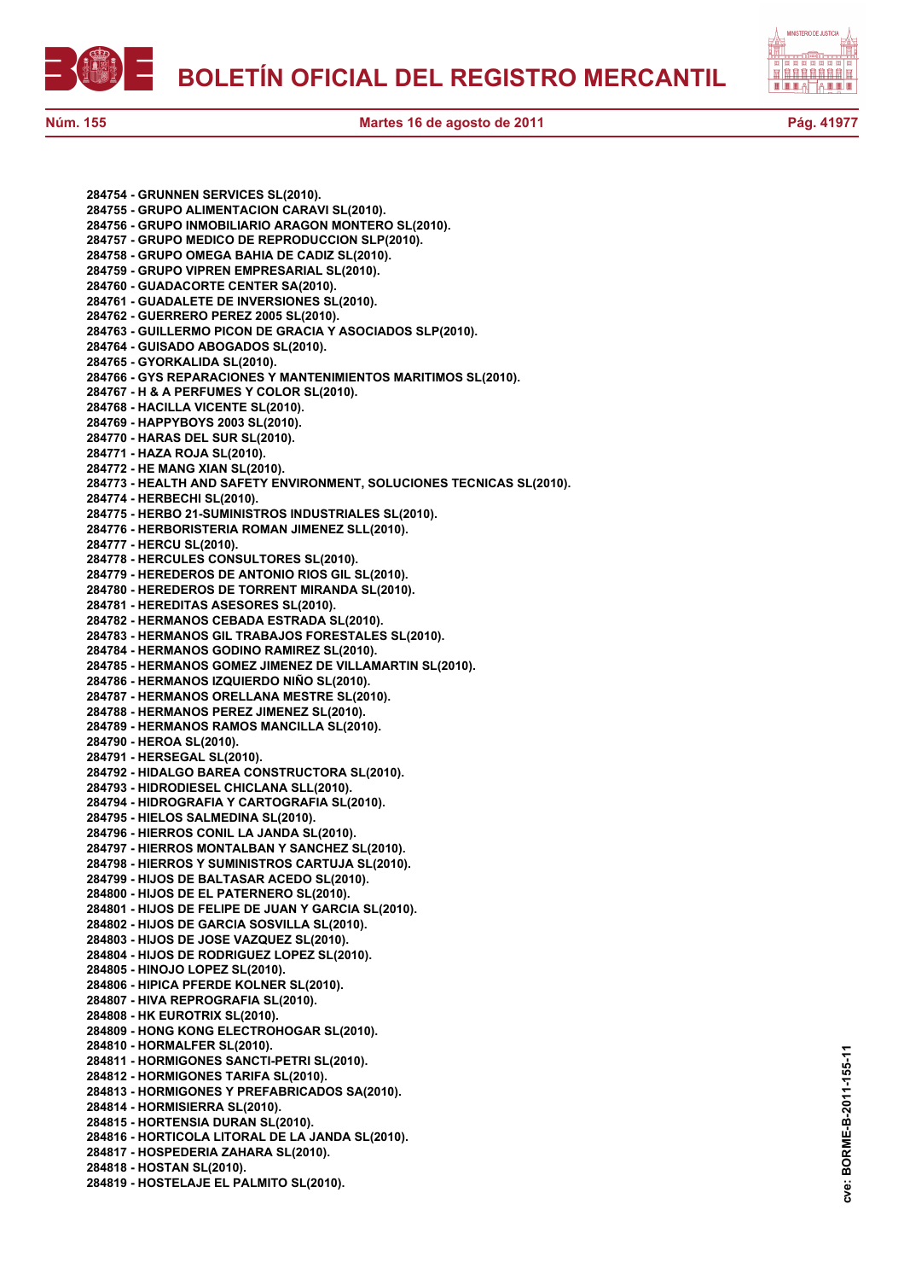



**284754 - GRUNNEN SERVICES SL(2010). 284755 - GRUPO ALIMENTACION CARAVI SL(2010). 284756 - GRUPO INMOBILIARIO ARAGON MONTERO SL(2010). 284757 - GRUPO MEDICO DE REPRODUCCION SLP(2010). 284758 - GRUPO OMEGA BAHIA DE CADIZ SL(2010). 284759 - GRUPO VIPREN EMPRESARIAL SL(2010). 284760 - GUADACORTE CENTER SA(2010). 284761 - GUADALETE DE INVERSIONES SL(2010). 284762 - GUERRERO PEREZ 2005 SL(2010). 284763 - GUILLERMO PICON DE GRACIA Y ASOCIADOS SLP(2010). 284764 - GUISADO ABOGADOS SL(2010). 284765 - GYORKALIDA SL(2010). 284766 - GYS REPARACIONES Y MANTENIMIENTOS MARITIMOS SL(2010). 284767 - H & A PERFUMES Y COLOR SL(2010). 284768 - HACILLA VICENTE SL(2010). 284769 - HAPPYBOYS 2003 SL(2010). 284770 - HARAS DEL SUR SL(2010). 284771 - HAZA ROJA SL(2010). 284772 - HE MANG XIAN SL(2010). 284773 - HEALTH AND SAFETY ENVIRONMENT, SOLUCIONES TECNICAS SL(2010). 284774 - HERBECHI SL(2010). 284775 - HERBO 21-SUMINISTROS INDUSTRIALES SL(2010). 284776 - HERBORISTERIA ROMAN JIMENEZ SLL(2010). 284777 - HERCU SL(2010). 284778 - HERCULES CONSULTORES SL(2010). 284779 - HEREDEROS DE ANTONIO RIOS GIL SL(2010). 284780 - HEREDEROS DE TORRENT MIRANDA SL(2010). 284781 - HEREDITAS ASESORES SL(2010). 284782 - HERMANOS CEBADA ESTRADA SL(2010). 284783 - HERMANOS GIL TRABAJOS FORESTALES SL(2010). 284784 - HERMANOS GODINO RAMIREZ SL(2010). 284785 - HERMANOS GOMEZ JIMENEZ DE VILLAMARTIN SL(2010). 284786 - HERMANOS IZQUIERDO NIÑO SL(2010). 284787 - HERMANOS ORELLANA MESTRE SL(2010). 284788 - HERMANOS PEREZ JIMENEZ SL(2010). 284789 - HERMANOS RAMOS MANCILLA SL(2010). 284790 - HEROA SL(2010). 284791 - HERSEGAL SL(2010). 284792 - HIDALGO BAREA CONSTRUCTORA SL(2010). 284793 - HIDRODIESEL CHICLANA SLL(2010). 284794 - HIDROGRAFIA Y CARTOGRAFIA SL(2010). 284795 - HIELOS SALMEDINA SL(2010). 284796 - HIERROS CONIL LA JANDA SL(2010). 284797 - HIERROS MONTALBAN Y SANCHEZ SL(2010). 284798 - HIERROS Y SUMINISTROS CARTUJA SL(2010). 284799 - HIJOS DE BALTASAR ACEDO SL(2010). 284800 - HIJOS DE EL PATERNERO SL(2010). 284801 - HIJOS DE FELIPE DE JUAN Y GARCIA SL(2010). 284802 - HIJOS DE GARCIA SOSVILLA SL(2010). 284803 - HIJOS DE JOSE VAZQUEZ SL(2010). 284804 - HIJOS DE RODRIGUEZ LOPEZ SL(2010). 284805 - HINOJO LOPEZ SL(2010). 284806 - HIPICA PFERDE KOLNER SL(2010). 284807 - HIVA REPROGRAFIA SL(2010). 284808 - HK EUROTRIX SL(2010). 284809 - HONG KONG ELECTROHOGAR SL(2010). 284810 - HORMALFER SL(2010). 284811 - HORMIGONES SANCTI-PETRI SL(2010). 284812 - HORMIGONES TARIFA SL(2010). 284813 - HORMIGONES Y PREFABRICADOS SA(2010). 284814 - HORMISIERRA SL(2010). 284815 - HORTENSIA DURAN SL(2010). 284816 - HORTICOLA LITORAL DE LA JANDA SL(2010). 284817 - HOSPEDERIA ZAHARA SL(2010). 284818 - HOSTAN SL(2010). 284819 - HOSTELAJE EL PALMITO SL(2010).**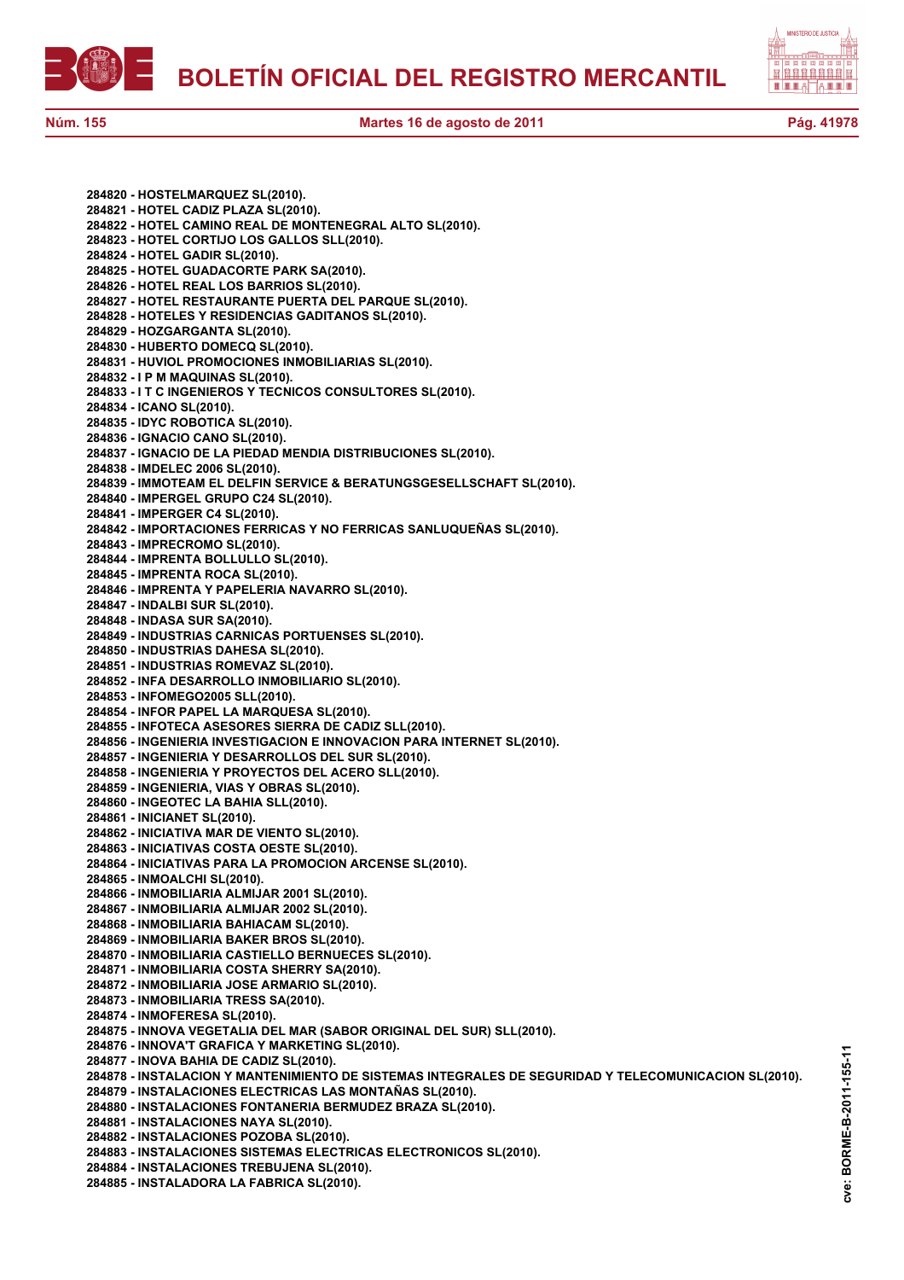

**cve: BORME-B-2011-155-11**

cve:

BORME-B-2011-155-11

**284820 - HOSTELMARQUEZ SL(2010). 284821 - HOTEL CADIZ PLAZA SL(2010). 284822 - HOTEL CAMINO REAL DE MONTENEGRAL ALTO SL(2010). 284823 - HOTEL CORTIJO LOS GALLOS SLL(2010). 284824 - HOTEL GADIR SL(2010). 284825 - HOTEL GUADACORTE PARK SA(2010). 284826 - HOTEL REAL LOS BARRIOS SL(2010). 284827 - HOTEL RESTAURANTE PUERTA DEL PARQUE SL(2010). 284828 - HOTELES Y RESIDENCIAS GADITANOS SL(2010). 284829 - HOZGARGANTA SL(2010). 284830 - HUBERTO DOMECQ SL(2010). 284831 - HUVIOL PROMOCIONES INMOBILIARIAS SL(2010). 284832 - I P M MAQUINAS SL(2010). 284833 - I T C INGENIEROS Y TECNICOS CONSULTORES SL(2010). 284834 - ICANO SL(2010). 284835 - IDYC ROBOTICA SL(2010). 284836 - IGNACIO CANO SL(2010). 284837 - IGNACIO DE LA PIEDAD MENDIA DISTRIBUCIONES SL(2010). 284838 - IMDELEC 2006 SL(2010). 284839 - IMMOTEAM EL DELFIN SERVICE & BERATUNGSGESELLSCHAFT SL(2010). 284840 - IMPERGEL GRUPO C24 SL(2010). 284841 - IMPERGER C4 SL(2010). 284842 - IMPORTACIONES FERRICAS Y NO FERRICAS SANLUQUEÑAS SL(2010). 284843 - IMPRECROMO SL(2010). 284844 - IMPRENTA BOLLULLO SL(2010). 284845 - IMPRENTA ROCA SL(2010). 284846 - IMPRENTA Y PAPELERIA NAVARRO SL(2010). 284847 - INDALBI SUR SL(2010). 284848 - INDASA SUR SA(2010). 284849 - INDUSTRIAS CARNICAS PORTUENSES SL(2010). 284850 - INDUSTRIAS DAHESA SL(2010). 284851 - INDUSTRIAS ROMEVAZ SL(2010). 284852 - INFA DESARROLLO INMOBILIARIO SL(2010). 284853 - INFOMEGO2005 SLL(2010). 284854 - INFOR PAPEL LA MARQUESA SL(2010). 284855 - INFOTECA ASESORES SIERRA DE CADIZ SLL(2010). 284856 - INGENIERIA INVESTIGACION E INNOVACION PARA INTERNET SL(2010). 284857 - INGENIERIA Y DESARROLLOS DEL SUR SL(2010). 284858 - INGENIERIA Y PROYECTOS DEL ACERO SLL(2010). 284859 - INGENIERIA, VIAS Y OBRAS SL(2010). 284860 - INGEOTEC LA BAHIA SLL(2010). 284861 - INICIANET SL(2010). 284862 - INICIATIVA MAR DE VIENTO SL(2010). 284863 - INICIATIVAS COSTA OESTE SL(2010). 284864 - INICIATIVAS PARA LA PROMOCION ARCENSE SL(2010). 284865 - INMOALCHI SL(2010). 284866 - INMOBILIARIA ALMIJAR 2001 SL(2010). 284867 - INMOBILIARIA ALMIJAR 2002 SL(2010). 284868 - INMOBILIARIA BAHIACAM SL(2010). 284869 - INMOBILIARIA BAKER BROS SL(2010). 284870 - INMOBILIARIA CASTIELLO BERNUECES SL(2010). 284871 - INMOBILIARIA COSTA SHERRY SA(2010). 284872 - INMOBILIARIA JOSE ARMARIO SL(2010). 284873 - INMOBILIARIA TRESS SA(2010). 284874 - INMOFERESA SL(2010). 284875 - INNOVA VEGETALIA DEL MAR (SABOR ORIGINAL DEL SUR) SLL(2010). 284876 - INNOVA'T GRAFICA Y MARKETING SL(2010). 284877 - INOVA BAHIA DE CADIZ SL(2010). 284878 - INSTALACION Y MANTENIMIENTO DE SISTEMAS INTEGRALES DE SEGURIDAD Y TELECOMUNICACION SL(2010). 284879 - INSTALACIONES ELECTRICAS LAS MONTAÑAS SL(2010). 284880 - INSTALACIONES FONTANERIA BERMUDEZ BRAZA SL(2010). 284881 - INSTALACIONES NAYA SL(2010). 284882 - INSTALACIONES POZOBA SL(2010). 284883 - INSTALACIONES SISTEMAS ELECTRICAS ELECTRONICOS SL(2010). 284884 - INSTALACIONES TREBUJENA SL(2010). 284885 - INSTALADORA LA FABRICA SL(2010).**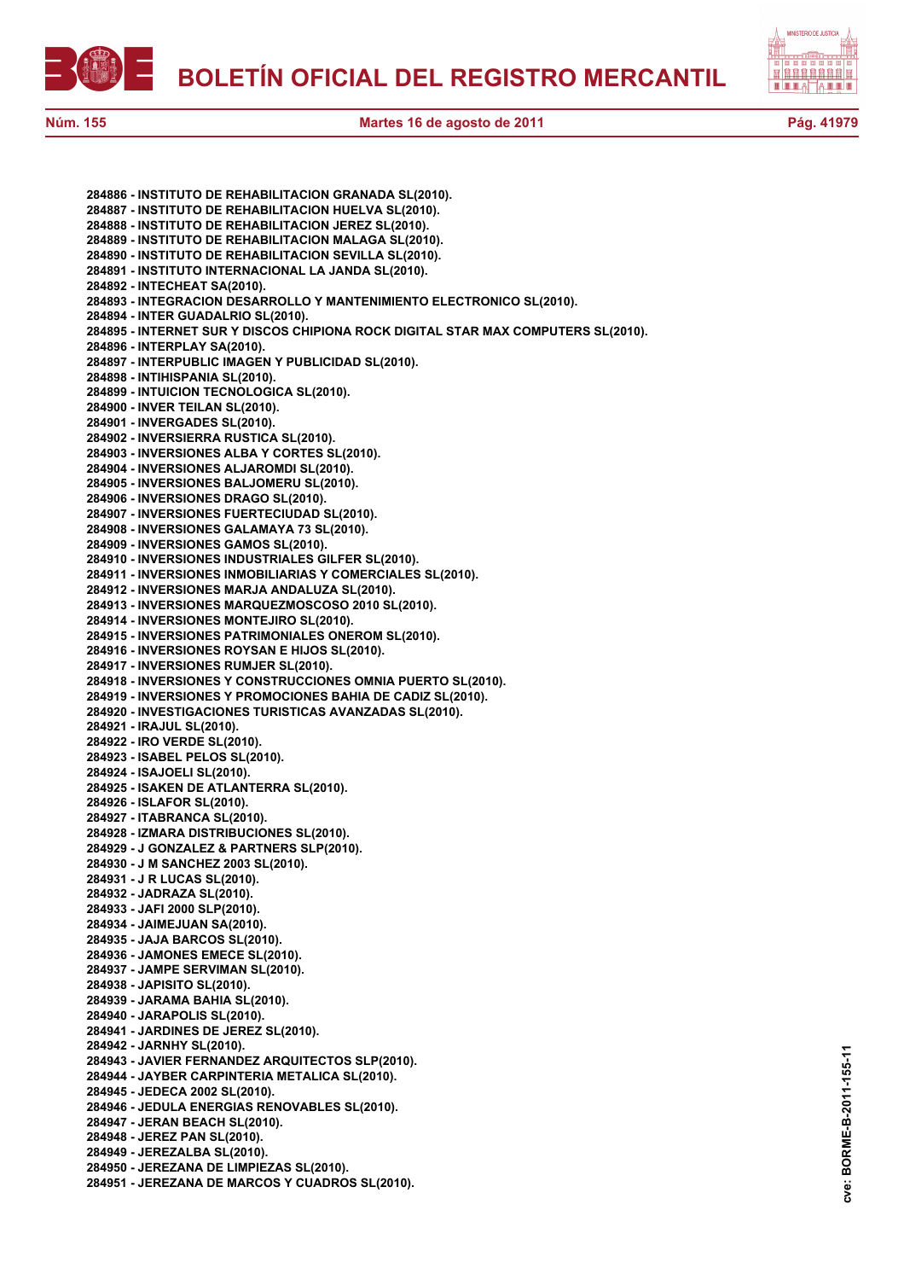



**284886 - INSTITUTO DE REHABILITACION GRANADA SL(2010). 284887 - INSTITUTO DE REHABILITACION HUELVA SL(2010). 284888 - INSTITUTO DE REHABILITACION JEREZ SL(2010). 284889 - INSTITUTO DE REHABILITACION MALAGA SL(2010). 284890 - INSTITUTO DE REHABILITACION SEVILLA SL(2010). 284891 - INSTITUTO INTERNACIONAL LA JANDA SL(2010). 284892 - INTECHEAT SA(2010). 284893 - INTEGRACION DESARROLLO Y MANTENIMIENTO ELECTRONICO SL(2010). 284894 - INTER GUADALRIO SL(2010). 284895 - INTERNET SUR Y DISCOS CHIPIONA ROCK DIGITAL STAR MAX COMPUTERS SL(2010). 284896 - INTERPLAY SA(2010). 284897 - INTERPUBLIC IMAGEN Y PUBLICIDAD SL(2010). 284898 - INTIHISPANIA SL(2010). 284899 - INTUICION TECNOLOGICA SL(2010). 284900 - INVER TEILAN SL(2010). 284901 - INVERGADES SL(2010). 284902 - INVERSIERRA RUSTICA SL(2010). 284903 - INVERSIONES ALBA Y CORTES SL(2010). 284904 - INVERSIONES ALJAROMDI SL(2010). 284905 - INVERSIONES BALJOMERU SL(2010). 284906 - INVERSIONES DRAGO SL(2010). 284907 - INVERSIONES FUERTECIUDAD SL(2010). 284908 - INVERSIONES GALAMAYA 73 SL(2010). 284909 - INVERSIONES GAMOS SL(2010). 284910 - INVERSIONES INDUSTRIALES GILFER SL(2010). 284911 - INVERSIONES INMOBILIARIAS Y COMERCIALES SL(2010). 284912 - INVERSIONES MARJA ANDALUZA SL(2010). 284913 - INVERSIONES MARQUEZMOSCOSO 2010 SL(2010). 284914 - INVERSIONES MONTEJIRO SL(2010). 284915 - INVERSIONES PATRIMONIALES ONEROM SL(2010). 284916 - INVERSIONES ROYSAN E HIJOS SL(2010). 284917 - INVERSIONES RUMJER SL(2010). 284918 - INVERSIONES Y CONSTRUCCIONES OMNIA PUERTO SL(2010). 284919 - INVERSIONES Y PROMOCIONES BAHIA DE CADIZ SL(2010). 284920 - INVESTIGACIONES TURISTICAS AVANZADAS SL(2010). 284921 - IRAJUL SL(2010). 284922 - IRO VERDE SL(2010). 284923 - ISABEL PELOS SL(2010). 284924 - ISAJOELI SL(2010). 284925 - ISAKEN DE ATLANTERRA SL(2010). 284926 - ISLAFOR SL(2010). 284927 - ITABRANCA SL(2010). 284928 - IZMARA DISTRIBUCIONES SL(2010). 284929 - J GONZALEZ & PARTNERS SLP(2010). 284930 - J M SANCHEZ 2003 SL(2010). 284931 - J R LUCAS SL(2010). 284932 - JADRAZA SL(2010). 284933 - JAFI 2000 SLP(2010). 284934 - JAIMEJUAN SA(2010). 284935 - JAJA BARCOS SL(2010). 284936 - JAMONES EMECE SL(2010). 284937 - JAMPE SERVIMAN SL(2010). 284938 - JAPISITO SL(2010). 284939 - JARAMA BAHIA SL(2010). 284940 - JARAPOLIS SL(2010). 284941 - JARDINES DE JEREZ SL(2010). 284942 - JARNHY SL(2010). 284943 - JAVIER FERNANDEZ ARQUITECTOS SLP(2010). 284944 - JAYBER CARPINTERIA METALICA SL(2010). 284945 - JEDECA 2002 SL(2010). 284946 - JEDULA ENERGIAS RENOVABLES SL(2010). 284947 - JERAN BEACH SL(2010). 284948 - JEREZ PAN SL(2010). 284949 - JEREZALBA SL(2010). 284950 - JEREZANA DE LIMPIEZAS SL(2010). 284951 - JEREZANA DE MARCOS Y CUADROS SL(2010).**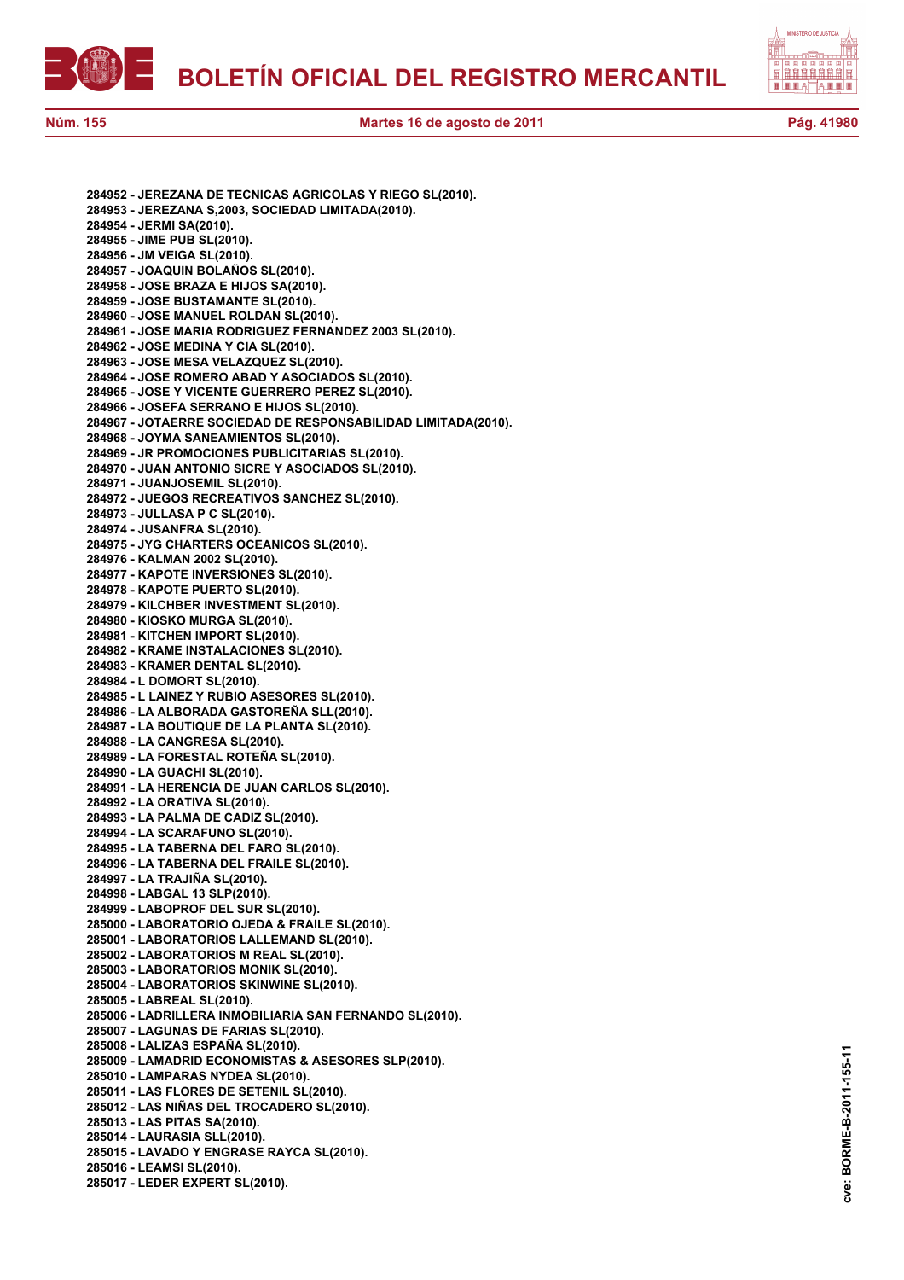



**Núm. 155 Martes 16 de agosto de 2011 Pág. 41980**

**284952 - JEREZANA DE TECNICAS AGRICOLAS Y RIEGO SL(2010). 284953 - JEREZANA S,2003, SOCIEDAD LIMITADA(2010). 284954 - JERMI SA(2010). 284955 - JIME PUB SL(2010). 284956 - JM VEIGA SL(2010). 284957 - JOAQUIN BOLAÑOS SL(2010). 284958 - JOSE BRAZA E HIJOS SA(2010). 284959 - JOSE BUSTAMANTE SL(2010). 284960 - JOSE MANUEL ROLDAN SL(2010). 284961 - JOSE MARIA RODRIGUEZ FERNANDEZ 2003 SL(2010). 284962 - JOSE MEDINA Y CIA SL(2010). 284963 - JOSE MESA VELAZQUEZ SL(2010). 284964 - JOSE ROMERO ABAD Y ASOCIADOS SL(2010). 284965 - JOSE Y VICENTE GUERRERO PEREZ SL(2010). 284966 - JOSEFA SERRANO E HIJOS SL(2010). 284967 - JOTAERRE SOCIEDAD DE RESPONSABILIDAD LIMITADA(2010). 284968 - JOYMA SANEAMIENTOS SL(2010). 284969 - JR PROMOCIONES PUBLICITARIAS SL(2010). 284970 - JUAN ANTONIO SICRE Y ASOCIADOS SL(2010). 284971 - JUANJOSEMIL SL(2010). 284972 - JUEGOS RECREATIVOS SANCHEZ SL(2010). 284973 - JULLASA P C SL(2010). 284974 - JUSANFRA SL(2010). 284975 - JYG CHARTERS OCEANICOS SL(2010). 284976 - KALMAN 2002 SL(2010). 284977 - KAPOTE INVERSIONES SL(2010). 284978 - KAPOTE PUERTO SL(2010). 284979 - KILCHBER INVESTMENT SL(2010). 284980 - KIOSKO MURGA SL(2010). 284981 - KITCHEN IMPORT SL(2010). 284982 - KRAME INSTALACIONES SL(2010). 284983 - KRAMER DENTAL SL(2010). 284984 - L DOMORT SL(2010). 284985 - L LAINEZ Y RUBIO ASESORES SL(2010). 284986 - LA ALBORADA GASTOREÑA SLL(2010). 284987 - LA BOUTIQUE DE LA PLANTA SL(2010). 284988 - LA CANGRESA SL(2010). 284989 - LA FORESTAL ROTEÑA SL(2010). 284990 - LA GUACHI SL(2010). 284991 - LA HERENCIA DE JUAN CARLOS SL(2010). 284992 - LA ORATIVA SL(2010). 284993 - LA PALMA DE CADIZ SL(2010). 284994 - LA SCARAFUNO SL(2010). 284995 - LA TABERNA DEL FARO SL(2010). 284996 - LA TABERNA DEL FRAILE SL(2010). 284997 - LA TRAJIÑA SL(2010). 284998 - LABGAL 13 SLP(2010). 284999 - LABOPROF DEL SUR SL(2010). 285000 - LABORATORIO OJEDA & FRAILE SL(2010). 285001 - LABORATORIOS LALLEMAND SL(2010). 285002 - LABORATORIOS M REAL SL(2010). 285003 - LABORATORIOS MONIK SL(2010). 285004 - LABORATORIOS SKINWINE SL(2010). 285005 - LABREAL SL(2010). 285006 - LADRILLERA INMOBILIARIA SAN FERNANDO SL(2010). 285007 - LAGUNAS DE FARIAS SL(2010). 285008 - LALIZAS ESPAÑA SL(2010). 285009 - LAMADRID ECONOMISTAS & ASESORES SLP(2010). 285010 - LAMPARAS NYDEA SL(2010). 285011 - LAS FLORES DE SETENIL SL(2010). 285012 - LAS NIÑAS DEL TROCADERO SL(2010). 285013 - LAS PITAS SA(2010). 285014 - LAURASIA SLL(2010). 285015 - LAVADO Y ENGRASE RAYCA SL(2010). 285016 - LEAMSI SL(2010). 285017 - LEDER EXPERT SL(2010).**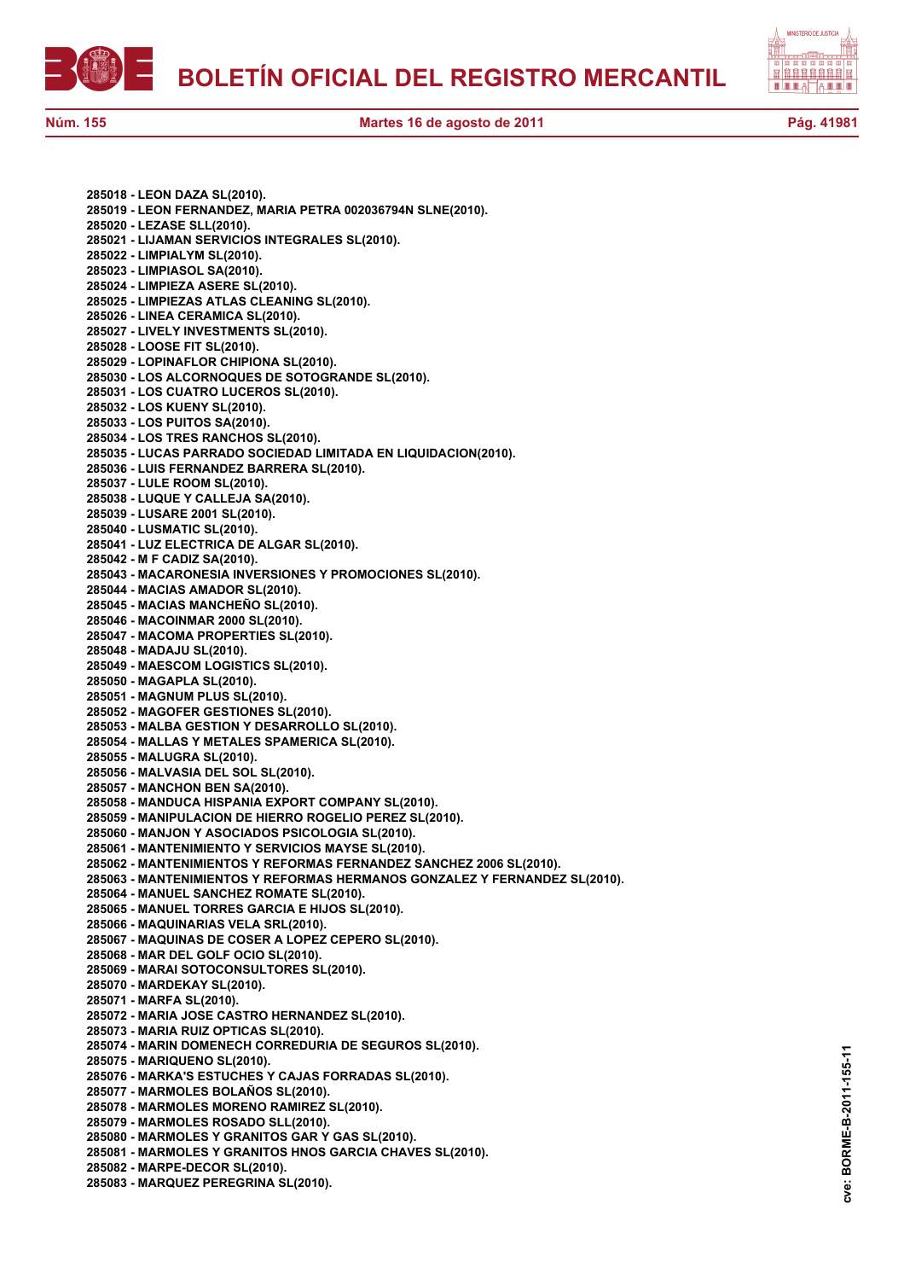



**285018 - LEON DAZA SL(2010). 285019 - LEON FERNANDEZ, MARIA PETRA 002036794N SLNE(2010). 285020 - LEZASE SLL(2010). 285021 - LIJAMAN SERVICIOS INTEGRALES SL(2010). 285022 - LIMPIALYM SL(2010). 285023 - LIMPIASOL SA(2010). 285024 - LIMPIEZA ASERE SL(2010). 285025 - LIMPIEZAS ATLAS CLEANING SL(2010). 285026 - LINEA CERAMICA SL(2010). 285027 - LIVELY INVESTMENTS SL(2010). 285028 - LOOSE FIT SL(2010). 285029 - LOPINAFLOR CHIPIONA SL(2010). 285030 - LOS ALCORNOQUES DE SOTOGRANDE SL(2010). 285031 - LOS CUATRO LUCEROS SL(2010). 285032 - LOS KUENY SL(2010). 285033 - LOS PUITOS SA(2010). 285034 - LOS TRES RANCHOS SL(2010). 285035 - LUCAS PARRADO SOCIEDAD LIMITADA EN LIQUIDACION(2010). 285036 - LUIS FERNANDEZ BARRERA SL(2010). 285037 - LULE ROOM SL(2010). 285038 - LUQUE Y CALLEJA SA(2010). 285039 - LUSARE 2001 SL(2010). 285040 - LUSMATIC SL(2010). 285041 - LUZ ELECTRICA DE ALGAR SL(2010). 285042 - M F CADIZ SA(2010). 285043 - MACARONESIA INVERSIONES Y PROMOCIONES SL(2010). 285044 - MACIAS AMADOR SL(2010). 285045 - MACIAS MANCHEÑO SL(2010). 285046 - MACOINMAR 2000 SL(2010). 285047 - MACOMA PROPERTIES SL(2010). 285048 - MADAJU SL(2010). 285049 - MAESCOM LOGISTICS SL(2010). 285050 - MAGAPLA SL(2010). 285051 - MAGNUM PLUS SL(2010). 285052 - MAGOFER GESTIONES SL(2010). 285053 - MALBA GESTION Y DESARROLLO SL(2010). 285054 - MALLAS Y METALES SPAMERICA SL(2010). 285055 - MALUGRA SL(2010). 285056 - MALVASIA DEL SOL SL(2010). 285057 - MANCHON BEN SA(2010). 285058 - MANDUCA HISPANIA EXPORT COMPANY SL(2010). 285059 - MANIPULACION DE HIERRO ROGELIO PEREZ SL(2010). 285060 - MANJON Y ASOCIADOS PSICOLOGIA SL(2010). 285061 - MANTENIMIENTO Y SERVICIOS MAYSE SL(2010). 285062 - MANTENIMIENTOS Y REFORMAS FERNANDEZ SANCHEZ 2006 SL(2010). 285063 - MANTENIMIENTOS Y REFORMAS HERMANOS GONZALEZ Y FERNANDEZ SL(2010). 285064 - MANUEL SANCHEZ ROMATE SL(2010). 285065 - MANUEL TORRES GARCIA E HIJOS SL(2010). 285066 - MAQUINARIAS VELA SRL(2010). 285067 - MAQUINAS DE COSER A LOPEZ CEPERO SL(2010). 285068 - MAR DEL GOLF OCIO SL(2010). 285069 - MARAI SOTOCONSULTORES SL(2010). 285070 - MARDEKAY SL(2010). 285071 - MARFA SL(2010). 285072 - MARIA JOSE CASTRO HERNANDEZ SL(2010). 285073 - MARIA RUIZ OPTICAS SL(2010). 285074 - MARIN DOMENECH CORREDURIA DE SEGUROS SL(2010). 285075 - MARIQUENO SL(2010). 285076 - MARKA'S ESTUCHES Y CAJAS FORRADAS SL(2010). 285077 - MARMOLES BOLAÑOS SL(2010). 285078 - MARMOLES MORENO RAMIREZ SL(2010). 285079 - MARMOLES ROSADO SLL(2010). 285080 - MARMOLES Y GRANITOS GAR Y GAS SL(2010). 285081 - MARMOLES Y GRANITOS HNOS GARCIA CHAVES SL(2010). 285082 - MARPE-DECOR SL(2010). 285083 - MARQUEZ PEREGRINA SL(2010).**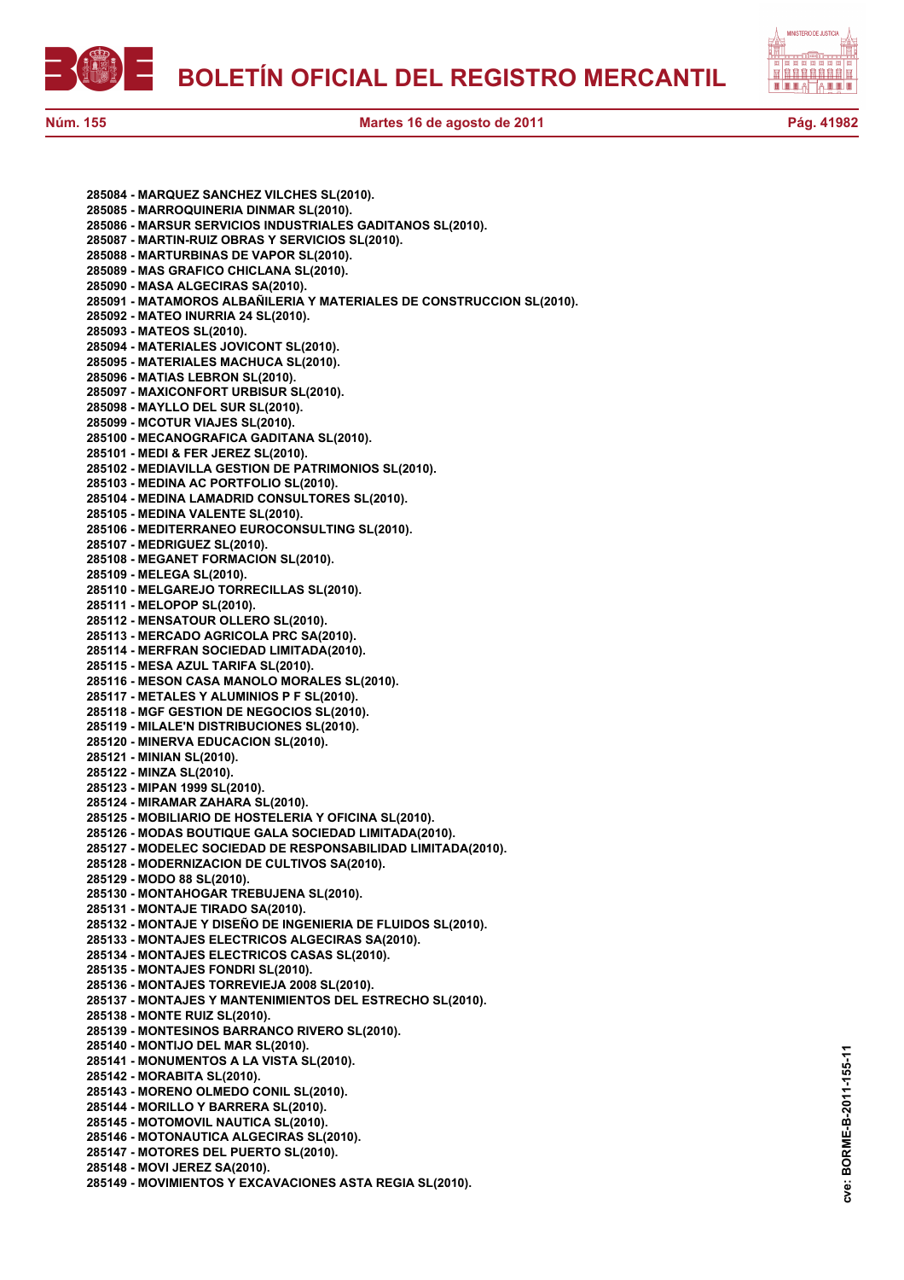



**285084 - MARQUEZ SANCHEZ VILCHES SL(2010). 285085 - MARROQUINERIA DINMAR SL(2010). 285086 - MARSUR SERVICIOS INDUSTRIALES GADITANOS SL(2010). 285087 - MARTIN-RUIZ OBRAS Y SERVICIOS SL(2010). 285088 - MARTURBINAS DE VAPOR SL(2010). 285089 - MAS GRAFICO CHICLANA SL(2010). 285090 - MASA ALGECIRAS SA(2010). 285091 - MATAMOROS ALBAÑILERIA Y MATERIALES DE CONSTRUCCION SL(2010). 285092 - MATEO INURRIA 24 SL(2010). 285093 - MATEOS SL(2010). 285094 - MATERIALES JOVICONT SL(2010). 285095 - MATERIALES MACHUCA SL(2010). 285096 - MATIAS LEBRON SL(2010). 285097 - MAXICONFORT URBISUR SL(2010). 285098 - MAYLLO DEL SUR SL(2010). 285099 - MCOTUR VIAJES SL(2010). 285100 - MECANOGRAFICA GADITANA SL(2010). 285101 - MEDI & FER JEREZ SL(2010). 285102 - MEDIAVILLA GESTION DE PATRIMONIOS SL(2010). 285103 - MEDINA AC PORTFOLIO SL(2010). 285104 - MEDINA LAMADRID CONSULTORES SL(2010). 285105 - MEDINA VALENTE SL(2010). 285106 - MEDITERRANEO EUROCONSULTING SL(2010). 285107 - MEDRIGUEZ SL(2010). 285108 - MEGANET FORMACION SL(2010). 285109 - MELEGA SL(2010). 285110 - MELGAREJO TORRECILLAS SL(2010). 285111 - MELOPOP SL(2010). 285112 - MENSATOUR OLLERO SL(2010). 285113 - MERCADO AGRICOLA PRC SA(2010). 285114 - MERFRAN SOCIEDAD LIMITADA(2010). 285115 - MESA AZUL TARIFA SL(2010). 285116 - MESON CASA MANOLO MORALES SL(2010). 285117 - METALES Y ALUMINIOS P F SL(2010). 285118 - MGF GESTION DE NEGOCIOS SL(2010). 285119 - MILALE'N DISTRIBUCIONES SL(2010). 285120 - MINERVA EDUCACION SL(2010). 285121 - MINIAN SL(2010). 285122 - MINZA SL(2010). 285123 - MIPAN 1999 SL(2010). 285124 - MIRAMAR ZAHARA SL(2010). 285125 - MOBILIARIO DE HOSTELERIA Y OFICINA SL(2010). 285126 - MODAS BOUTIQUE GALA SOCIEDAD LIMITADA(2010). 285127 - MODELEC SOCIEDAD DE RESPONSABILIDAD LIMITADA(2010). 285128 - MODERNIZACION DE CULTIVOS SA(2010). 285129 - MODO 88 SL(2010). 285130 - MONTAHOGAR TREBUJENA SL(2010). 285131 - MONTAJE TIRADO SA(2010). 285132 - MONTAJE Y DISEÑO DE INGENIERIA DE FLUIDOS SL(2010). 285133 - MONTAJES ELECTRICOS ALGECIRAS SA(2010). 285134 - MONTAJES ELECTRICOS CASAS SL(2010). 285135 - MONTAJES FONDRI SL(2010). 285136 - MONTAJES TORREVIEJA 2008 SL(2010). 285137 - MONTAJES Y MANTENIMIENTOS DEL ESTRECHO SL(2010). 285138 - MONTE RUIZ SL(2010). 285139 - MONTESINOS BARRANCO RIVERO SL(2010). 285140 - MONTIJO DEL MAR SL(2010). 285141 - MONUMENTOS A LA VISTA SL(2010). 285142 - MORABITA SL(2010). 285143 - MORENO OLMEDO CONIL SL(2010). 285144 - MORILLO Y BARRERA SL(2010). 285145 - MOTOMOVIL NAUTICA SL(2010). 285146 - MOTONAUTICA ALGECIRAS SL(2010). 285147 - MOTORES DEL PUERTO SL(2010). 285148 - MOVI JEREZ SA(2010). 285149 - MOVIMIENTOS Y EXCAVACIONES ASTA REGIA SL(2010).**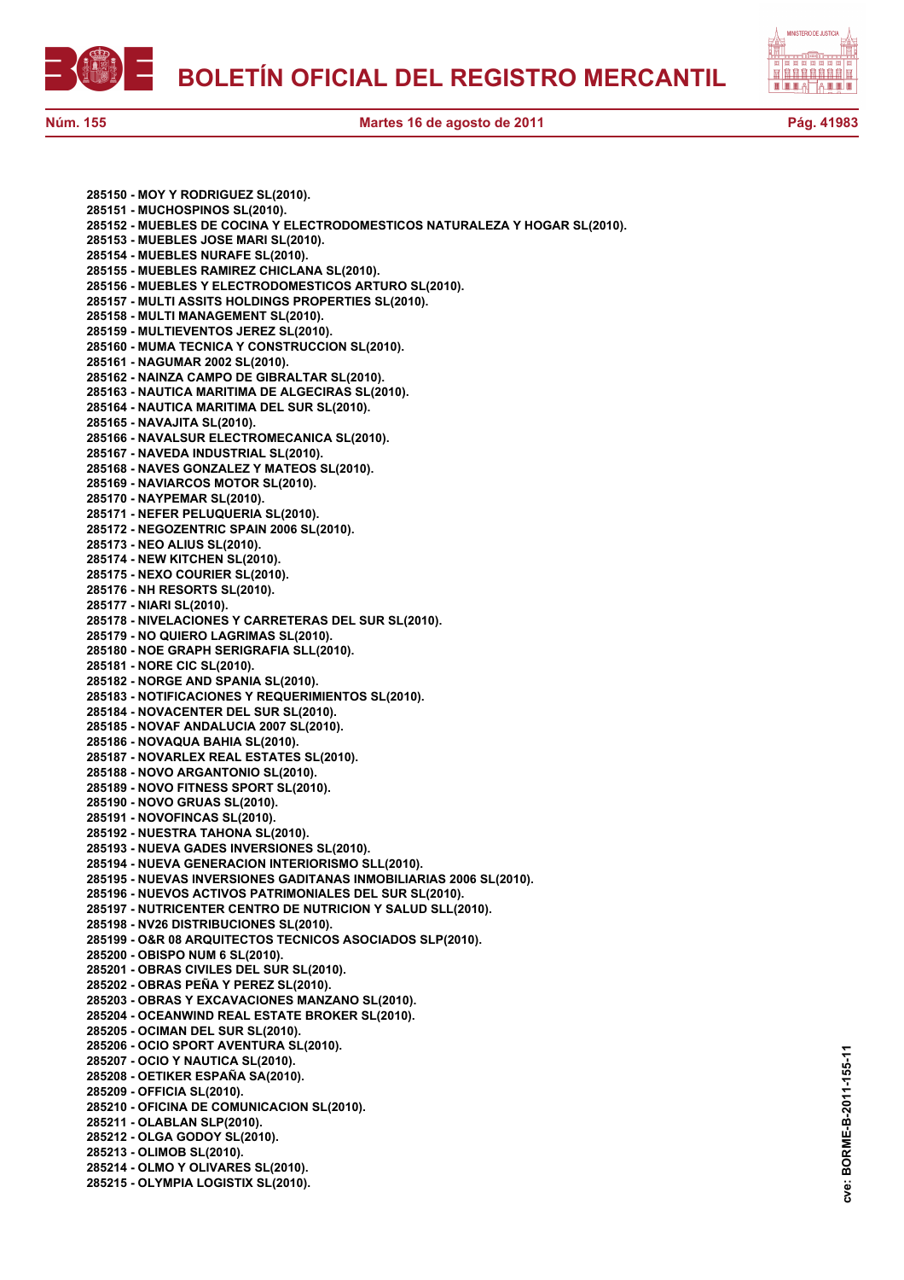



**285150 - MOY Y RODRIGUEZ SL(2010). 285151 - MUCHOSPINOS SL(2010). 285152 - MUEBLES DE COCINA Y ELECTRODOMESTICOS NATURALEZA Y HOGAR SL(2010). 285153 - MUEBLES JOSE MARI SL(2010). 285154 - MUEBLES NURAFE SL(2010). 285155 - MUEBLES RAMIREZ CHICLANA SL(2010). 285156 - MUEBLES Y ELECTRODOMESTICOS ARTURO SL(2010). 285157 - MULTI ASSITS HOLDINGS PROPERTIES SL(2010). 285158 - MULTI MANAGEMENT SL(2010). 285159 - MULTIEVENTOS JEREZ SL(2010). 285160 - MUMA TECNICA Y CONSTRUCCION SL(2010). 285161 - NAGUMAR 2002 SL(2010). 285162 - NAINZA CAMPO DE GIBRALTAR SL(2010). 285163 - NAUTICA MARITIMA DE ALGECIRAS SL(2010). 285164 - NAUTICA MARITIMA DEL SUR SL(2010). 285165 - NAVAJITA SL(2010). 285166 - NAVALSUR ELECTROMECANICA SL(2010). 285167 - NAVEDA INDUSTRIAL SL(2010). 285168 - NAVES GONZALEZ Y MATEOS SL(2010). 285169 - NAVIARCOS MOTOR SL(2010). 285170 - NAYPEMAR SL(2010). 285171 - NEFER PELUQUERIA SL(2010). 285172 - NEGOZENTRIC SPAIN 2006 SL(2010). 285173 - NEO ALIUS SL(2010). 285174 - NEW KITCHEN SL(2010). 285175 - NEXO COURIER SL(2010). 285176 - NH RESORTS SL(2010). 285177 - NIARI SL(2010). 285178 - NIVELACIONES Y CARRETERAS DEL SUR SL(2010). 285179 - NO QUIERO LAGRIMAS SL(2010). 285180 - NOE GRAPH SERIGRAFIA SLL(2010). 285181 - NORE CIC SL(2010). 285182 - NORGE AND SPANIA SL(2010). 285183 - NOTIFICACIONES Y REQUERIMIENTOS SL(2010). 285184 - NOVACENTER DEL SUR SL(2010). 285185 - NOVAF ANDALUCIA 2007 SL(2010). 285186 - NOVAQUA BAHIA SL(2010). 285187 - NOVARLEX REAL ESTATES SL(2010). 285188 - NOVO ARGANTONIO SL(2010). 285189 - NOVO FITNESS SPORT SL(2010). 285190 - NOVO GRUAS SL(2010). 285191 - NOVOFINCAS SL(2010). 285192 - NUESTRA TAHONA SL(2010). 285193 - NUEVA GADES INVERSIONES SL(2010). 285194 - NUEVA GENERACION INTERIORISMO SLL(2010). 285195 - NUEVAS INVERSIONES GADITANAS INMOBILIARIAS 2006 SL(2010). 285196 - NUEVOS ACTIVOS PATRIMONIALES DEL SUR SL(2010). 285197 - NUTRICENTER CENTRO DE NUTRICION Y SALUD SLL(2010). 285198 - NV26 DISTRIBUCIONES SL(2010). 285199 - O&R 08 ARQUITECTOS TECNICOS ASOCIADOS SLP(2010). 285200 - OBISPO NUM 6 SL(2010). 285201 - OBRAS CIVILES DEL SUR SL(2010). 285202 - OBRAS PEÑA Y PEREZ SL(2010). 285203 - OBRAS Y EXCAVACIONES MANZANO SL(2010). 285204 - OCEANWIND REAL ESTATE BROKER SL(2010). 285205 - OCIMAN DEL SUR SL(2010). 285206 - OCIO SPORT AVENTURA SL(2010). 285207 - OCIO Y NAUTICA SL(2010). 285208 - OETIKER ESPAÑA SA(2010). 285209 - OFFICIA SL(2010). 285210 - OFICINA DE COMUNICACION SL(2010). 285211 - OLABLAN SLP(2010). 285212 - OLGA GODOY SL(2010). 285213 - OLIMOB SL(2010). 285214 - OLMO Y OLIVARES SL(2010). 285215 - OLYMPIA LOGISTIX SL(2010).**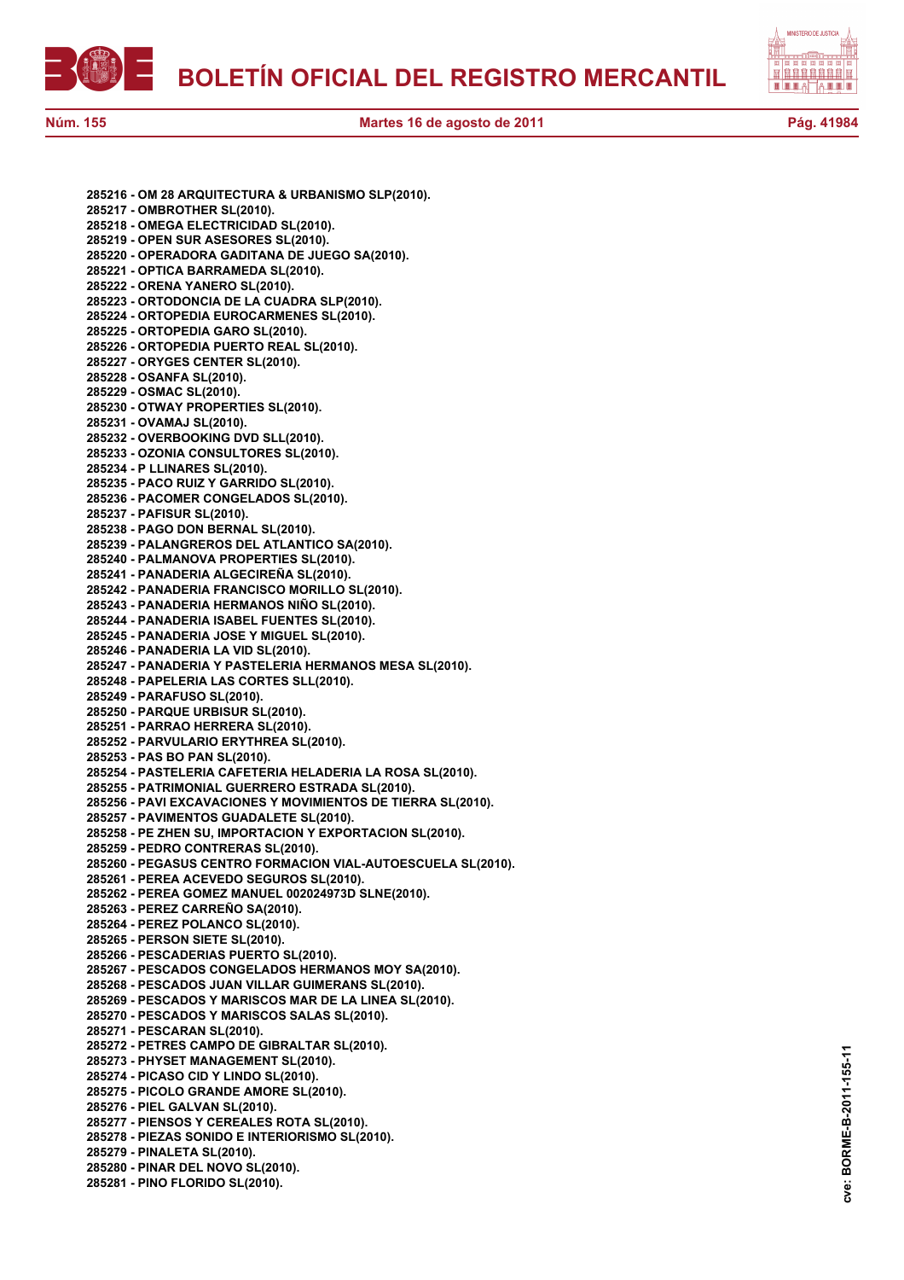



**285216 - OM 28 ARQUITECTURA & URBANISMO SLP(2010). 285217 - OMBROTHER SL(2010). 285218 - OMEGA ELECTRICIDAD SL(2010). 285219 - OPEN SUR ASESORES SL(2010). 285220 - OPERADORA GADITANA DE JUEGO SA(2010). 285221 - OPTICA BARRAMEDA SL(2010). 285222 - ORENA YANERO SL(2010). 285223 - ORTODONCIA DE LA CUADRA SLP(2010). 285224 - ORTOPEDIA EUROCARMENES SL(2010). 285225 - ORTOPEDIA GARO SL(2010). 285226 - ORTOPEDIA PUERTO REAL SL(2010). 285227 - ORYGES CENTER SL(2010). 285228 - OSANFA SL(2010). 285229 - OSMAC SL(2010). 285230 - OTWAY PROPERTIES SL(2010). 285231 - OVAMAJ SL(2010). 285232 - OVERBOOKING DVD SLL(2010). 285233 - OZONIA CONSULTORES SL(2010). 285234 - P LLINARES SL(2010). 285235 - PACO RUIZ Y GARRIDO SL(2010). 285236 - PACOMER CONGELADOS SL(2010). 285237 - PAFISUR SL(2010). 285238 - PAGO DON BERNAL SL(2010). 285239 - PALANGREROS DEL ATLANTICO SA(2010). 285240 - PALMANOVA PROPERTIES SL(2010). 285241 - PANADERIA ALGECIREÑA SL(2010). 285242 - PANADERIA FRANCISCO MORILLO SL(2010). 285243 - PANADERIA HERMANOS NIÑO SL(2010). 285244 - PANADERIA ISABEL FUENTES SL(2010). 285245 - PANADERIA JOSE Y MIGUEL SL(2010). 285246 - PANADERIA LA VID SL(2010). 285247 - PANADERIA Y PASTELERIA HERMANOS MESA SL(2010). 285248 - PAPELERIA LAS CORTES SLL(2010). 285249 - PARAFUSO SL(2010). 285250 - PARQUE URBISUR SL(2010). 285251 - PARRAO HERRERA SL(2010). 285252 - PARVULARIO ERYTHREA SL(2010). 285253 - PAS BO PAN SL(2010). 285254 - PASTELERIA CAFETERIA HELADERIA LA ROSA SL(2010). 285255 - PATRIMONIAL GUERRERO ESTRADA SL(2010). 285256 - PAVI EXCAVACIONES Y MOVIMIENTOS DE TIERRA SL(2010). 285257 - PAVIMENTOS GUADALETE SL(2010). 285258 - PE ZHEN SU, IMPORTACION Y EXPORTACION SL(2010). 285259 - PEDRO CONTRERAS SL(2010). 285260 - PEGASUS CENTRO FORMACION VIAL-AUTOESCUELA SL(2010). 285261 - PEREA ACEVEDO SEGUROS SL(2010). 285262 - PEREA GOMEZ MANUEL 002024973D SLNE(2010). 285263 - PEREZ CARREÑO SA(2010). 285264 - PEREZ POLANCO SL(2010). 285265 - PERSON SIETE SL(2010). 285266 - PESCADERIAS PUERTO SL(2010). 285267 - PESCADOS CONGELADOS HERMANOS MOY SA(2010). 285268 - PESCADOS JUAN VILLAR GUIMERANS SL(2010). 285269 - PESCADOS Y MARISCOS MAR DE LA LINEA SL(2010). 285270 - PESCADOS Y MARISCOS SALAS SL(2010). 285271 - PESCARAN SL(2010). 285272 - PETRES CAMPO DE GIBRALTAR SL(2010). 285273 - PHYSET MANAGEMENT SL(2010). 285274 - PICASO CID Y LINDO SL(2010). 285275 - PICOLO GRANDE AMORE SL(2010). 285276 - PIEL GALVAN SL(2010). 285277 - PIENSOS Y CEREALES ROTA SL(2010). 285278 - PIEZAS SONIDO E INTERIORISMO SL(2010). 285279 - PINALETA SL(2010). 285280 - PINAR DEL NOVO SL(2010). 285281 - PINO FLORIDO SL(2010).**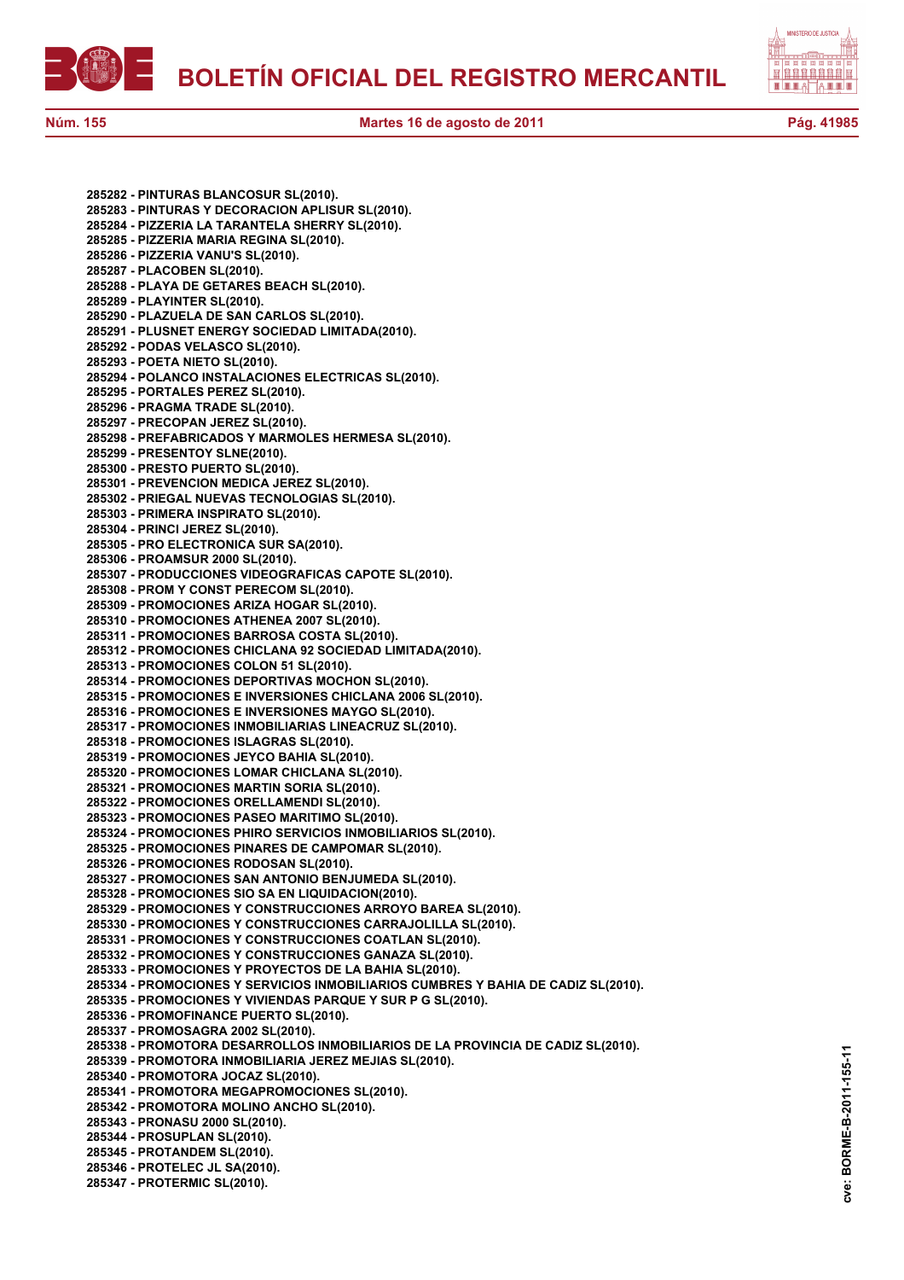



**285282 - PINTURAS BLANCOSUR SL(2010). 285283 - PINTURAS Y DECORACION APLISUR SL(2010). 285284 - PIZZERIA LA TARANTELA SHERRY SL(2010). 285285 - PIZZERIA MARIA REGINA SL(2010). 285286 - PIZZERIA VANU'S SL(2010). 285287 - PLACOBEN SL(2010). 285288 - PLAYA DE GETARES BEACH SL(2010). 285289 - PLAYINTER SL(2010). 285290 - PLAZUELA DE SAN CARLOS SL(2010). 285291 - PLUSNET ENERGY SOCIEDAD LIMITADA(2010). 285292 - PODAS VELASCO SL(2010). 285293 - POETA NIETO SL(2010). 285294 - POLANCO INSTALACIONES ELECTRICAS SL(2010). 285295 - PORTALES PEREZ SL(2010). 285296 - PRAGMA TRADE SL(2010). 285297 - PRECOPAN JEREZ SL(2010). 285298 - PREFABRICADOS Y MARMOLES HERMESA SL(2010). 285299 - PRESENTOY SLNE(2010). 285300 - PRESTO PUERTO SL(2010). 285301 - PREVENCION MEDICA JEREZ SL(2010). 285302 - PRIEGAL NUEVAS TECNOLOGIAS SL(2010). 285303 - PRIMERA INSPIRATO SL(2010). 285304 - PRINCI JEREZ SL(2010). 285305 - PRO ELECTRONICA SUR SA(2010). 285306 - PROAMSUR 2000 SL(2010). 285307 - PRODUCCIONES VIDEOGRAFICAS CAPOTE SL(2010). 285308 - PROM Y CONST PERECOM SL(2010). 285309 - PROMOCIONES ARIZA HOGAR SL(2010). 285310 - PROMOCIONES ATHENEA 2007 SL(2010). 285311 - PROMOCIONES BARROSA COSTA SL(2010). 285312 - PROMOCIONES CHICLANA 92 SOCIEDAD LIMITADA(2010). 285313 - PROMOCIONES COLON 51 SL(2010). 285314 - PROMOCIONES DEPORTIVAS MOCHON SL(2010). 285315 - PROMOCIONES E INVERSIONES CHICLANA 2006 SL(2010). 285316 - PROMOCIONES E INVERSIONES MAYGO SL(2010). 285317 - PROMOCIONES INMOBILIARIAS LINEACRUZ SL(2010). 285318 - PROMOCIONES ISLAGRAS SL(2010). 285319 - PROMOCIONES JEYCO BAHIA SL(2010). 285320 - PROMOCIONES LOMAR CHICLANA SL(2010). 285321 - PROMOCIONES MARTIN SORIA SL(2010). 285322 - PROMOCIONES ORELLAMENDI SL(2010). 285323 - PROMOCIONES PASEO MARITIMO SL(2010). 285324 - PROMOCIONES PHIRO SERVICIOS INMOBILIARIOS SL(2010). 285325 - PROMOCIONES PINARES DE CAMPOMAR SL(2010). 285326 - PROMOCIONES RODOSAN SL(2010). 285327 - PROMOCIONES SAN ANTONIO BENJUMEDA SL(2010). 285328 - PROMOCIONES SIO SA EN LIQUIDACION(2010). 285329 - PROMOCIONES Y CONSTRUCCIONES ARROYO BAREA SL(2010). 285330 - PROMOCIONES Y CONSTRUCCIONES CARRAJOLILLA SL(2010). 285331 - PROMOCIONES Y CONSTRUCCIONES COATLAN SL(2010). 285332 - PROMOCIONES Y CONSTRUCCIONES GANAZA SL(2010). 285333 - PROMOCIONES Y PROYECTOS DE LA BAHIA SL(2010). 285334 - PROMOCIONES Y SERVICIOS INMOBILIARIOS CUMBRES Y BAHIA DE CADIZ SL(2010). 285335 - PROMOCIONES Y VIVIENDAS PARQUE Y SUR P G SL(2010). 285336 - PROMOFINANCE PUERTO SL(2010). 285337 - PROMOSAGRA 2002 SL(2010). 285338 - PROMOTORA DESARROLLOS INMOBILIARIOS DE LA PROVINCIA DE CADIZ SL(2010). 285339 - PROMOTORA INMOBILIARIA JEREZ MEJIAS SL(2010). 285340 - PROMOTORA JOCAZ SL(2010). 285341 - PROMOTORA MEGAPROMOCIONES SL(2010). 285342 - PROMOTORA MOLINO ANCHO SL(2010). 285343 - PRONASU 2000 SL(2010). 285344 - PROSUPLAN SL(2010). 285345 - PROTANDEM SL(2010). 285346 - PROTELEC JL SA(2010). 285347 - PROTERMIC SL(2010).**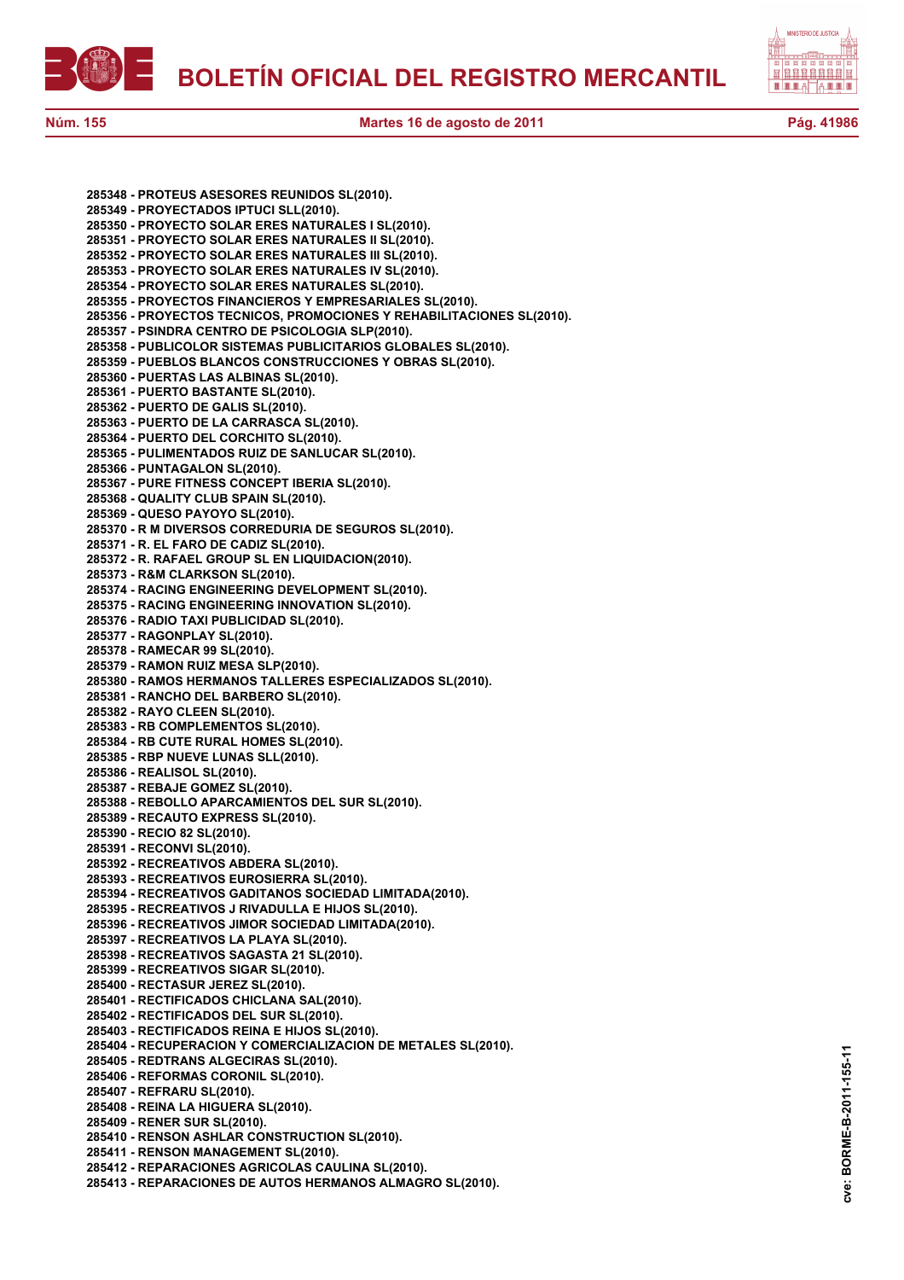

**Núm. 155 Martes 16 de agosto de 2011 Pág. 41986**

**285348 - PROTEUS ASESORES REUNIDOS SL(2010). 285349 - PROYECTADOS IPTUCI SLL(2010). 285350 - PROYECTO SOLAR ERES NATURALES I SL(2010). 285351 - PROYECTO SOLAR ERES NATURALES II SL(2010). 285352 - PROYECTO SOLAR ERES NATURALES III SL(2010). 285353 - PROYECTO SOLAR ERES NATURALES IV SL(2010). 285354 - PROYECTO SOLAR ERES NATURALES SL(2010). 285355 - PROYECTOS FINANCIEROS Y EMPRESARIALES SL(2010). 285356 - PROYECTOS TECNICOS, PROMOCIONES Y REHABILITACIONES SL(2010). 285357 - PSINDRA CENTRO DE PSICOLOGIA SLP(2010). 285358 - PUBLICOLOR SISTEMAS PUBLICITARIOS GLOBALES SL(2010). 285359 - PUEBLOS BLANCOS CONSTRUCCIONES Y OBRAS SL(2010). 285360 - PUERTAS LAS ALBINAS SL(2010). 285361 - PUERTO BASTANTE SL(2010). 285362 - PUERTO DE GALIS SL(2010). 285363 - PUERTO DE LA CARRASCA SL(2010). 285364 - PUERTO DEL CORCHITO SL(2010). 285365 - PULIMENTADOS RUIZ DE SANLUCAR SL(2010). 285366 - PUNTAGALON SL(2010). 285367 - PURE FITNESS CONCEPT IBERIA SL(2010). 285368 - QUALITY CLUB SPAIN SL(2010). 285369 - QUESO PAYOYO SL(2010). 285370 - R M DIVERSOS CORREDURIA DE SEGUROS SL(2010). 285371 - R. EL FARO DE CADIZ SL(2010). 285372 - R. RAFAEL GROUP SL EN LIQUIDACION(2010). 285373 - R&M CLARKSON SL(2010). 285374 - RACING ENGINEERING DEVELOPMENT SL(2010). 285375 - RACING ENGINEERING INNOVATION SL(2010). 285376 - RADIO TAXI PUBLICIDAD SL(2010). 285377 - RAGONPLAY SL(2010). 285378 - RAMECAR 99 SL(2010). 285379 - RAMON RUIZ MESA SLP(2010). 285380 - RAMOS HERMANOS TALLERES ESPECIALIZADOS SL(2010). 285381 - RANCHO DEL BARBERO SL(2010). 285382 - RAYO CLEEN SL(2010). 285383 - RB COMPLEMENTOS SL(2010). 285384 - RB CUTE RURAL HOMES SL(2010). 285385 - RBP NUEVE LUNAS SLL(2010). 285386 - REALISOL SL(2010). 285387 - REBAJE GOMEZ SL(2010). 285388 - REBOLLO APARCAMIENTOS DEL SUR SL(2010). 285389 - RECAUTO EXPRESS SL(2010). 285390 - RECIO 82 SL(2010). 285391 - RECONVI SL(2010). 285392 - RECREATIVOS ABDERA SL(2010). 285393 - RECREATIVOS EUROSIERRA SL(2010). 285394 - RECREATIVOS GADITANOS SOCIEDAD LIMITADA(2010). 285395 - RECREATIVOS J RIVADULLA E HIJOS SL(2010). 285396 - RECREATIVOS JIMOR SOCIEDAD LIMITADA(2010). 285397 - RECREATIVOS LA PLAYA SL(2010). 285398 - RECREATIVOS SAGASTA 21 SL(2010). 285399 - RECREATIVOS SIGAR SL(2010). 285400 - RECTASUR JEREZ SL(2010). 285401 - RECTIFICADOS CHICLANA SAL(2010). 285402 - RECTIFICADOS DEL SUR SL(2010). 285403 - RECTIFICADOS REINA E HIJOS SL(2010). 285404 - RECUPERACION Y COMERCIALIZACION DE METALES SL(2010). 285405 - REDTRANS ALGECIRAS SL(2010). 285406 - REFORMAS CORONIL SL(2010). 285407 - REFRARU SL(2010). 285408 - REINA LA HIGUERA SL(2010). 285409 - RENER SUR SL(2010). 285410 - RENSON ASHLAR CONSTRUCTION SL(2010). 285411 - RENSON MANAGEMENT SL(2010). 285412 - REPARACIONES AGRICOLAS CAULINA SL(2010). 285413 - REPARACIONES DE AUTOS HERMANOS ALMAGRO SL(2010).**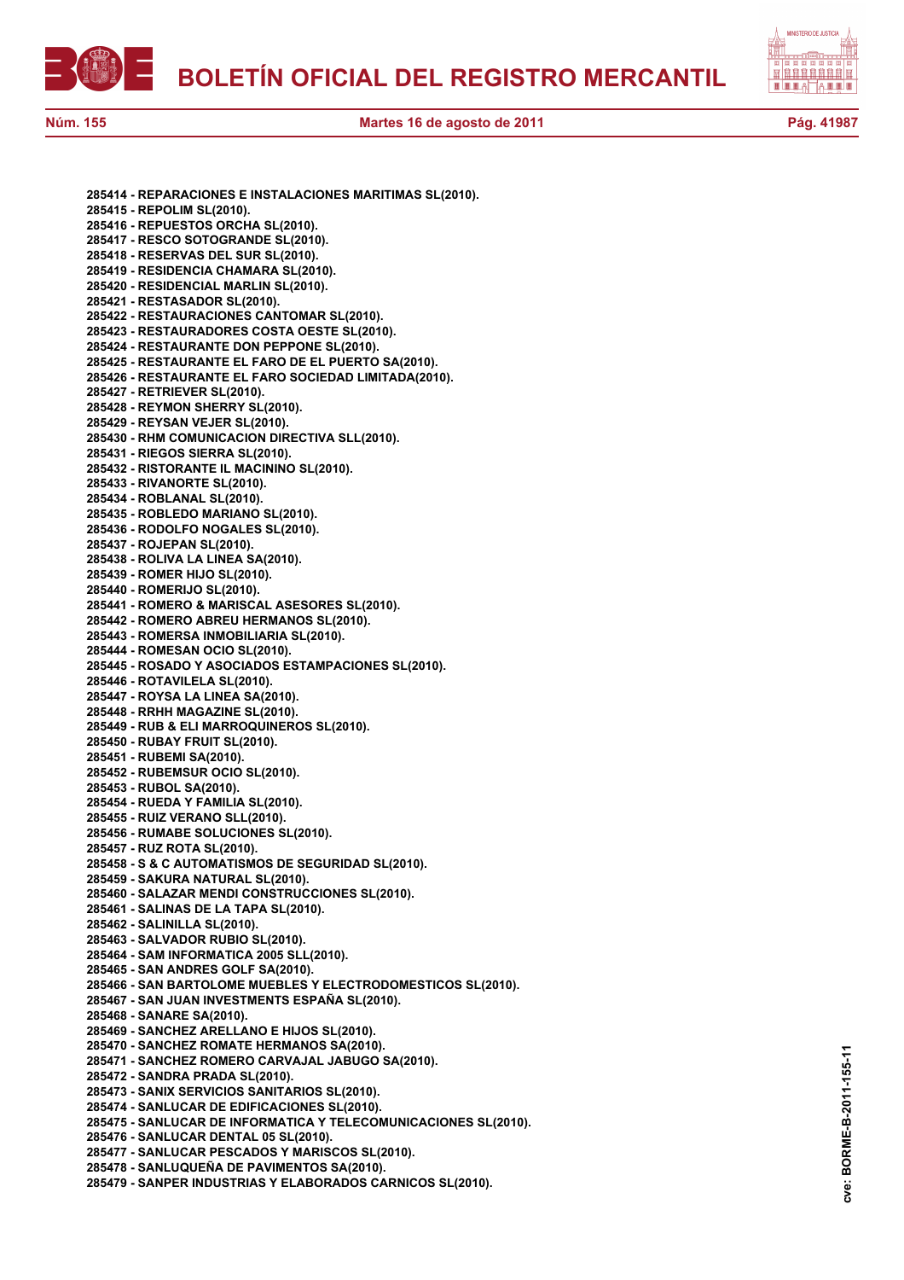自自自自自自自 <u>Le el e</u>

**285414 - REPARACIONES E INSTALACIONES MARITIMAS SL(2010). 285415 - REPOLIM SL(2010). 285416 - REPUESTOS ORCHA SL(2010). 285417 - RESCO SOTOGRANDE SL(2010). 285418 - RESERVAS DEL SUR SL(2010). 285419 - RESIDENCIA CHAMARA SL(2010). 285420 - RESIDENCIAL MARLIN SL(2010). 285421 - RESTASADOR SL(2010). 285422 - RESTAURACIONES CANTOMAR SL(2010). 285423 - RESTAURADORES COSTA OESTE SL(2010). 285424 - RESTAURANTE DON PEPPONE SL(2010). 285425 - RESTAURANTE EL FARO DE EL PUERTO SA(2010). 285426 - RESTAURANTE EL FARO SOCIEDAD LIMITADA(2010). 285427 - RETRIEVER SL(2010). 285428 - REYMON SHERRY SL(2010). 285429 - REYSAN VEJER SL(2010). 285430 - RHM COMUNICACION DIRECTIVA SLL(2010). 285431 - RIEGOS SIERRA SL(2010). 285432 - RISTORANTE IL MACININO SL(2010). 285433 - RIVANORTE SL(2010). 285434 - ROBLANAL SL(2010). 285435 - ROBLEDO MARIANO SL(2010). 285436 - RODOLFO NOGALES SL(2010). 285437 - ROJEPAN SL(2010). 285438 - ROLIVA LA LINEA SA(2010). 285439 - ROMER HIJO SL(2010). 285440 - ROMERIJO SL(2010). 285441 - ROMERO & MARISCAL ASESORES SL(2010). 285442 - ROMERO ABREU HERMANOS SL(2010). 285443 - ROMERSA INMOBILIARIA SL(2010). 285444 - ROMESAN OCIO SL(2010). 285445 - ROSADO Y ASOCIADOS ESTAMPACIONES SL(2010). 285446 - ROTAVILELA SL(2010). 285447 - ROYSA LA LINEA SA(2010). 285448 - RRHH MAGAZINE SL(2010). 285449 - RUB & ELI MARROQUINEROS SL(2010). 285450 - RUBAY FRUIT SL(2010). 285451 - RUBEMI SA(2010). 285452 - RUBEMSUR OCIO SL(2010). 285453 - RUBOL SA(2010). 285454 - RUEDA Y FAMILIA SL(2010). 285455 - RUIZ VERANO SLL(2010). 285456 - RUMABE SOLUCIONES SL(2010). 285457 - RUZ ROTA SL(2010). 285458 - S & C AUTOMATISMOS DE SEGURIDAD SL(2010). 285459 - SAKURA NATURAL SL(2010). 285460 - SALAZAR MENDI CONSTRUCCIONES SL(2010). 285461 - SALINAS DE LA TAPA SL(2010). 285462 - SALINILLA SL(2010). 285463 - SALVADOR RUBIO SL(2010). 285464 - SAM INFORMATICA 2005 SLL(2010). 285465 - SAN ANDRES GOLF SA(2010). 285466 - SAN BARTOLOME MUEBLES Y ELECTRODOMESTICOS SL(2010). 285467 - SAN JUAN INVESTMENTS ESPAÑA SL(2010). 285468 - SANARE SA(2010). 285469 - SANCHEZ ARELLANO E HIJOS SL(2010). 285470 - SANCHEZ ROMATE HERMANOS SA(2010). 285471 - SANCHEZ ROMERO CARVAJAL JABUGO SA(2010). 285472 - SANDRA PRADA SL(2010). 285473 - SANIX SERVICIOS SANITARIOS SL(2010). 285474 - SANLUCAR DE EDIFICACIONES SL(2010). 285475 - SANLUCAR DE INFORMATICA Y TELECOMUNICACIONES SL(2010). 285476 - SANLUCAR DENTAL 05 SL(2010). 285477 - SANLUCAR PESCADOS Y MARISCOS SL(2010). 285478 - SANLUQUEÑA DE PAVIMENTOS SA(2010). 285479 - SANPER INDUSTRIAS Y ELABORADOS CARNICOS SL(2010).**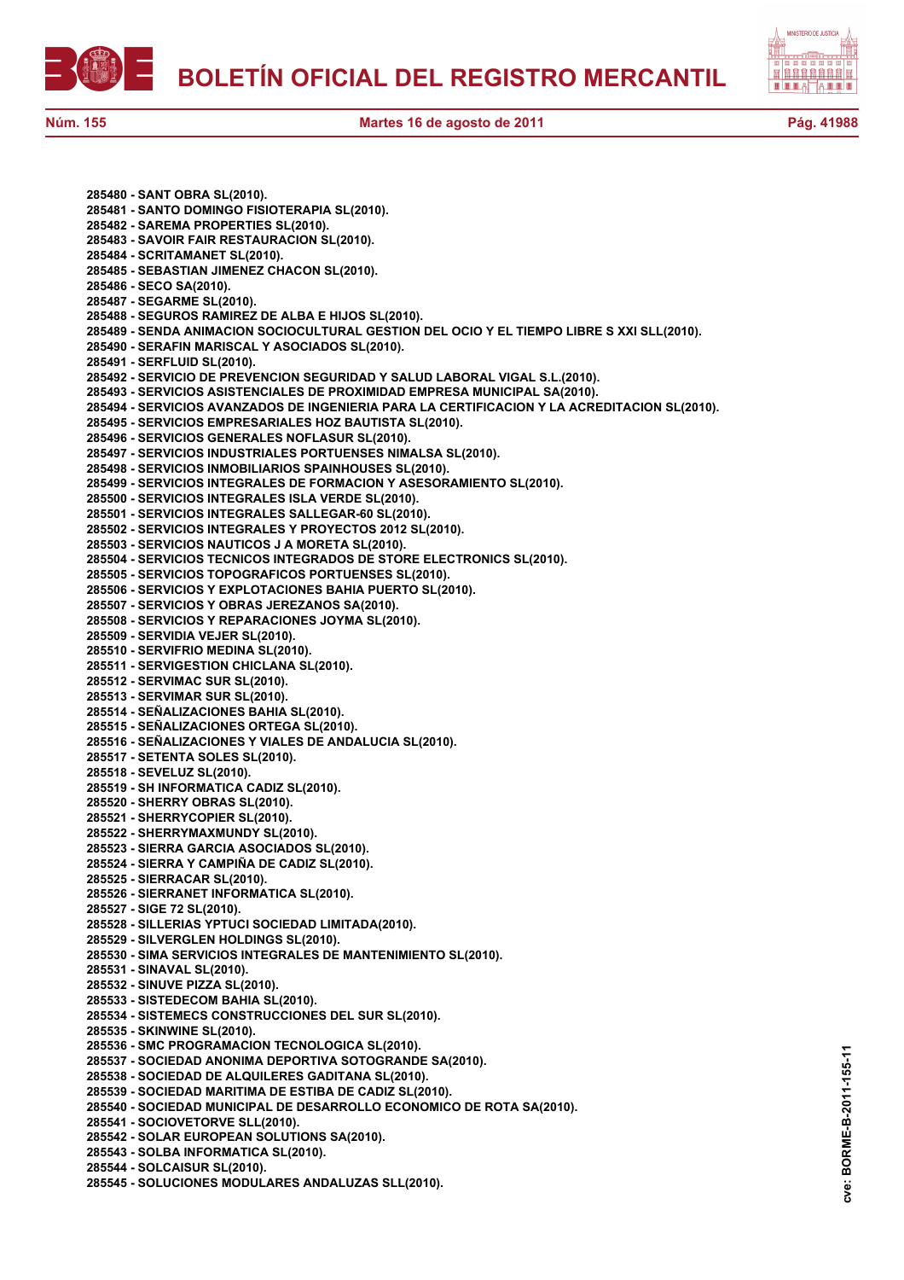



**285480 - SANT OBRA SL(2010). 285481 - SANTO DOMINGO FISIOTERAPIA SL(2010). 285482 - SAREMA PROPERTIES SL(2010). 285483 - SAVOIR FAIR RESTAURACION SL(2010). 285484 - SCRITAMANET SL(2010). 285485 - SEBASTIAN JIMENEZ CHACON SL(2010). 285486 - SECO SA(2010). 285487 - SEGARME SL(2010). 285488 - SEGUROS RAMIREZ DE ALBA E HIJOS SL(2010). 285489 - SENDA ANIMACION SOCIOCULTURAL GESTION DEL OCIO Y EL TIEMPO LIBRE S XXI SLL(2010). 285490 - SERAFIN MARISCAL Y ASOCIADOS SL(2010). 285491 - SERFLUID SL(2010). 285492 - SERVICIO DE PREVENCION SEGURIDAD Y SALUD LABORAL VIGAL S.L.(2010). 285493 - SERVICIOS ASISTENCIALES DE PROXIMIDAD EMPRESA MUNICIPAL SA(2010). 285494 - SERVICIOS AVANZADOS DE INGENIERIA PARA LA CERTIFICACION Y LA ACREDITACION SL(2010). 285495 - SERVICIOS EMPRESARIALES HOZ BAUTISTA SL(2010). 285496 - SERVICIOS GENERALES NOFLASUR SL(2010). 285497 - SERVICIOS INDUSTRIALES PORTUENSES NIMALSA SL(2010). 285498 - SERVICIOS INMOBILIARIOS SPAINHOUSES SL(2010). 285499 - SERVICIOS INTEGRALES DE FORMACION Y ASESORAMIENTO SL(2010). 285500 - SERVICIOS INTEGRALES ISLA VERDE SL(2010). 285501 - SERVICIOS INTEGRALES SALLEGAR-60 SL(2010). 285502 - SERVICIOS INTEGRALES Y PROYECTOS 2012 SL(2010). 285503 - SERVICIOS NAUTICOS J A MORETA SL(2010). 285504 - SERVICIOS TECNICOS INTEGRADOS DE STORE ELECTRONICS SL(2010). 285505 - SERVICIOS TOPOGRAFICOS PORTUENSES SL(2010). 285506 - SERVICIOS Y EXPLOTACIONES BAHIA PUERTO SL(2010). 285507 - SERVICIOS Y OBRAS JEREZANOS SA(2010). 285508 - SERVICIOS Y REPARACIONES JOYMA SL(2010). 285509 - SERVIDIA VEJER SL(2010). 285510 - SERVIFRIO MEDINA SL(2010). 285511 - SERVIGESTION CHICLANA SL(2010). 285512 - SERVIMAC SUR SL(2010). 285513 - SERVIMAR SUR SL(2010). 285514 - SEÑALIZACIONES BAHIA SL(2010). 285515 - SEÑALIZACIONES ORTEGA SL(2010). 285516 - SEÑALIZACIONES Y VIALES DE ANDALUCIA SL(2010). 285517 - SETENTA SOLES SL(2010). 285518 - SEVELUZ SL(2010). 285519 - SH INFORMATICA CADIZ SL(2010). 285520 - SHERRY OBRAS SL(2010). 285521 - SHERRYCOPIER SL(2010). 285522 - SHERRYMAXMUNDY SL(2010). 285523 - SIERRA GARCIA ASOCIADOS SL(2010). 285524 - SIERRA Y CAMPIÑA DE CADIZ SL(2010). 285525 - SIERRACAR SL(2010). 285526 - SIERRANET INFORMATICA SL(2010). 285527 - SIGE 72 SL(2010). 285528 - SILLERIAS YPTUCI SOCIEDAD LIMITADA(2010). 285529 - SILVERGLEN HOLDINGS SL(2010). 285530 - SIMA SERVICIOS INTEGRALES DE MANTENIMIENTO SL(2010). 285531 - SINAVAL SL(2010). 285532 - SINUVE PIZZA SL(2010). 285533 - SISTEDECOM BAHIA SL(2010). 285534 - SISTEMECS CONSTRUCCIONES DEL SUR SL(2010). 285535 - SKINWINE SL(2010). 285536 - SMC PROGRAMACION TECNOLOGICA SL(2010). 285537 - SOCIEDAD ANONIMA DEPORTIVA SOTOGRANDE SA(2010). 285538 - SOCIEDAD DE ALQUILERES GADITANA SL(2010). 285539 - SOCIEDAD MARITIMA DE ESTIBA DE CADIZ SL(2010). 285540 - SOCIEDAD MUNICIPAL DE DESARROLLO ECONOMICO DE ROTA SA(2010). 285541 - SOCIOVETORVE SLL(2010). 285542 - SOLAR EUROPEAN SOLUTIONS SA(2010). 285543 - SOLBA INFORMATICA SL(2010). 285544 - SOLCAISUR SL(2010). 285545 - SOLUCIONES MODULARES ANDALUZAS SLL(2010).**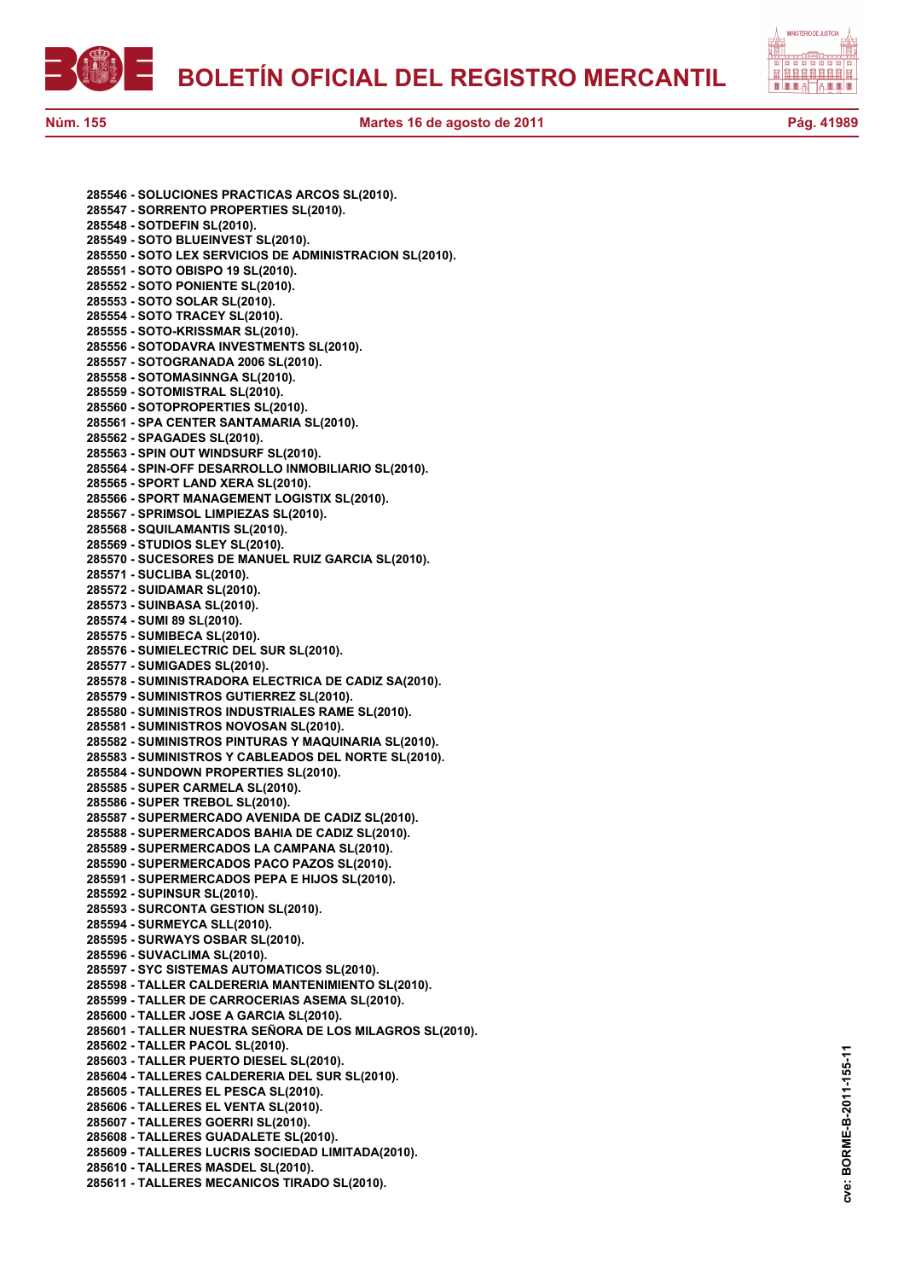



**285546 - SOLUCIONES PRACTICAS ARCOS SL(2010). 285547 - SORRENTO PROPERTIES SL(2010). 285548 - SOTDEFIN SL(2010). 285549 - SOTO BLUEINVEST SL(2010). 285550 - SOTO LEX SERVICIOS DE ADMINISTRACION SL(2010). 285551 - SOTO OBISPO 19 SL(2010). 285552 - SOTO PONIENTE SL(2010). 285553 - SOTO SOLAR SL(2010). 285554 - SOTO TRACEY SL(2010). 285555 - SOTO-KRISSMAR SL(2010). 285556 - SOTODAVRA INVESTMENTS SL(2010). 285557 - SOTOGRANADA 2006 SL(2010). 285558 - SOTOMASINNGA SL(2010). 285559 - SOTOMISTRAL SL(2010). 285560 - SOTOPROPERTIES SL(2010). 285561 - SPA CENTER SANTAMARIA SL(2010). 285562 - SPAGADES SL(2010). 285563 - SPIN OUT WINDSURF SL(2010). 285564 - SPIN-OFF DESARROLLO INMOBILIARIO SL(2010). 285565 - SPORT LAND XERA SL(2010). 285566 - SPORT MANAGEMENT LOGISTIX SL(2010). 285567 - SPRIMSOL LIMPIEZAS SL(2010). 285568 - SQUILAMANTIS SL(2010). 285569 - STUDIOS SLEY SL(2010). 285570 - SUCESORES DE MANUEL RUIZ GARCIA SL(2010). 285571 - SUCLIBA SL(2010). 285572 - SUIDAMAR SL(2010). 285573 - SUINBASA SL(2010). 285574 - SUMI 89 SL(2010). 285575 - SUMIBECA SL(2010). 285576 - SUMIELECTRIC DEL SUR SL(2010). 285577 - SUMIGADES SL(2010). 285578 - SUMINISTRADORA ELECTRICA DE CADIZ SA(2010). 285579 - SUMINISTROS GUTIERREZ SL(2010). 285580 - SUMINISTROS INDUSTRIALES RAME SL(2010). 285581 - SUMINISTROS NOVOSAN SL(2010). 285582 - SUMINISTROS PINTURAS Y MAQUINARIA SL(2010). 285583 - SUMINISTROS Y CABLEADOS DEL NORTE SL(2010). 285584 - SUNDOWN PROPERTIES SL(2010). 285585 - SUPER CARMELA SL(2010). 285586 - SUPER TREBOL SL(2010). 285587 - SUPERMERCADO AVENIDA DE CADIZ SL(2010). 285588 - SUPERMERCADOS BAHIA DE CADIZ SL(2010). 285589 - SUPERMERCADOS LA CAMPANA SL(2010). 285590 - SUPERMERCADOS PACO PAZOS SL(2010). 285591 - SUPERMERCADOS PEPA E HIJOS SL(2010). 285592 - SUPINSUR SL(2010). 285593 - SURCONTA GESTION SL(2010). 285594 - SURMEYCA SLL(2010). 285595 - SURWAYS OSBAR SL(2010). 285596 - SUVACLIMA SL(2010). 285597 - SYC SISTEMAS AUTOMATICOS SL(2010). 285598 - TALLER CALDERERIA MANTENIMIENTO SL(2010). 285599 - TALLER DE CARROCERIAS ASEMA SL(2010). 285600 - TALLER JOSE A GARCIA SL(2010). 285601 - TALLER NUESTRA SEÑORA DE LOS MILAGROS SL(2010). 285602 - TALLER PACOL SL(2010). 285603 - TALLER PUERTO DIESEL SL(2010). 285604 - TALLERES CALDERERIA DEL SUR SL(2010). 285605 - TALLERES EL PESCA SL(2010). 285606 - TALLERES EL VENTA SL(2010). 285607 - TALLERES GOERRI SL(2010). 285608 - TALLERES GUADALETE SL(2010). 285609 - TALLERES LUCRIS SOCIEDAD LIMITADA(2010). 285610 - TALLERES MASDEL SL(2010). 285611 - TALLERES MECANICOS TIRADO SL(2010).**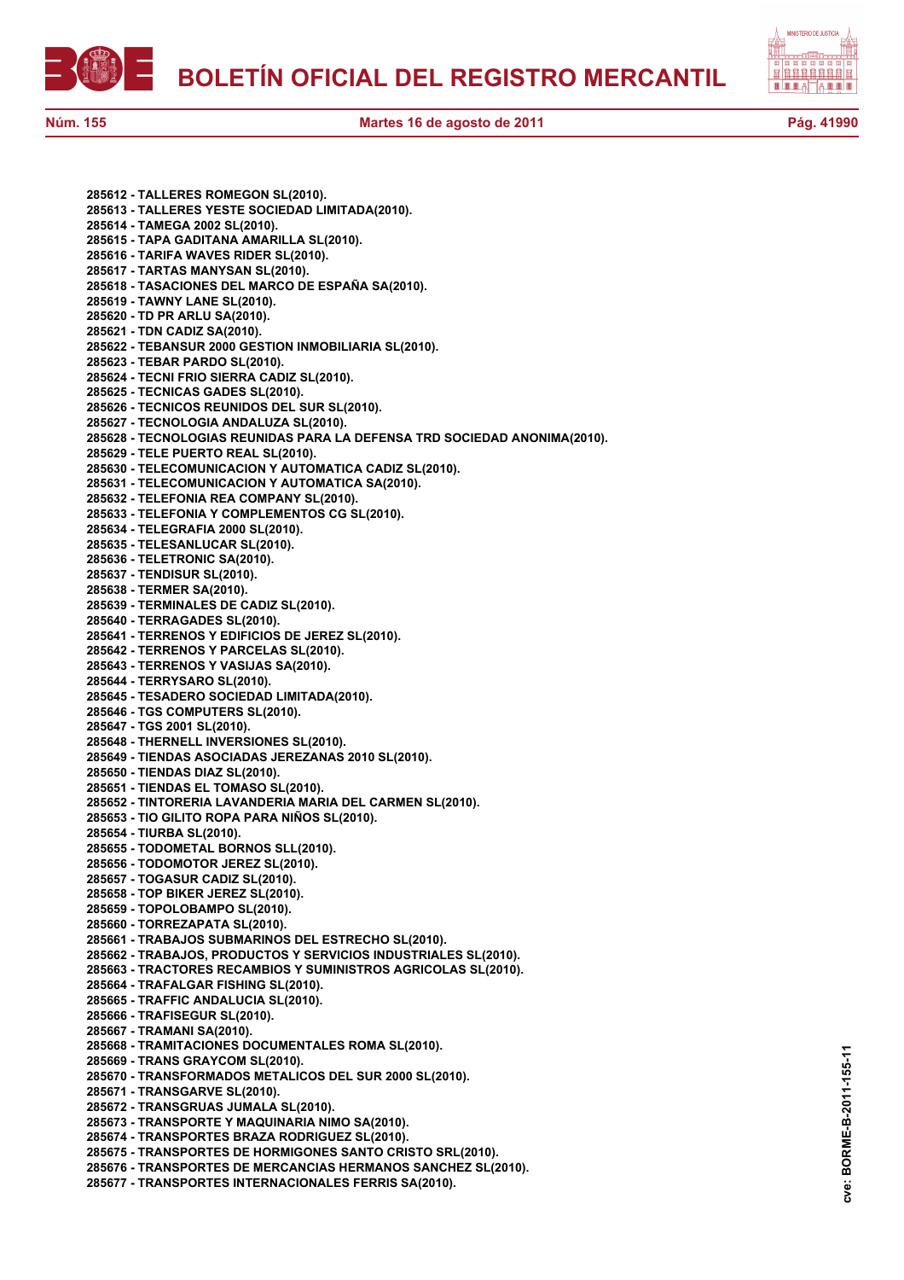



**cve: BORME-B-2011-155-11**

cve:

BORME-B-2011-155-11

**285612 - TALLERES ROMEGON SL(2010). 285613 - TALLERES YESTE SOCIEDAD LIMITADA(2010). 285614 - TAMEGA 2002 SL(2010). 285615 - TAPA GADITANA AMARILLA SL(2010). 285616 - TARIFA WAVES RIDER SL(2010). 285617 - TARTAS MANYSAN SL(2010). 285618 - TASACIONES DEL MARCO DE ESPAÑA SA(2010). 285619 - TAWNY LANE SL(2010). 285620 - TD PR ARLU SA(2010). 285621 - TDN CADIZ SA(2010). 285622 - TEBANSUR 2000 GESTION INMOBILIARIA SL(2010). 285623 - TEBAR PARDO SL(2010). 285624 - TECNI FRIO SIERRA CADIZ SL(2010). 285625 - TECNICAS GADES SL(2010). 285626 - TECNICOS REUNIDOS DEL SUR SL(2010). 285627 - TECNOLOGIA ANDALUZA SL(2010). 285628 - TECNOLOGIAS REUNIDAS PARA LA DEFENSA TRD SOCIEDAD ANONIMA(2010). 285629 - TELE PUERTO REAL SL(2010). 285630 - TELECOMUNICACION Y AUTOMATICA CADIZ SL(2010). 285631 - TELECOMUNICACION Y AUTOMATICA SA(2010). 285632 - TELEFONIA REA COMPANY SL(2010). 285633 - TELEFONIA Y COMPLEMENTOS CG SL(2010). 285634 - TELEGRAFIA 2000 SL(2010). 285635 - TELESANLUCAR SL(2010). 285636 - TELETRONIC SA(2010). 285637 - TENDISUR SL(2010). 285638 - TERMER SA(2010). 285639 - TERMINALES DE CADIZ SL(2010). 285640 - TERRAGADES SL(2010). 285641 - TERRENOS Y EDIFICIOS DE JEREZ SL(2010). 285642 - TERRENOS Y PARCELAS SL(2010). 285643 - TERRENOS Y VASIJAS SA(2010). 285644 - TERRYSARO SL(2010). 285645 - TESADERO SOCIEDAD LIMITADA(2010). 285646 - TGS COMPUTERS SL(2010). 285647 - TGS 2001 SL(2010). 285648 - THERNELL INVERSIONES SL(2010). 285649 - TIENDAS ASOCIADAS JEREZANAS 2010 SL(2010). 285650 - TIENDAS DIAZ SL(2010). 285651 - TIENDAS EL TOMASO SL(2010). 285652 - TINTORERIA LAVANDERIA MARIA DEL CARMEN SL(2010). 285653 - TIO GILITO ROPA PARA NIÑOS SL(2010). 285654 - TIURBA SL(2010). 285655 - TODOMETAL BORNOS SLL(2010). 285656 - TODOMOTOR JEREZ SL(2010). 285657 - TOGASUR CADIZ SL(2010). 285658 - TOP BIKER JEREZ SL(2010). 285659 - TOPOLOBAMPO SL(2010). 285660 - TORREZAPATA SL(2010). 285661 - TRABAJOS SUBMARINOS DEL ESTRECHO SL(2010). 285662 - TRABAJOS, PRODUCTOS Y SERVICIOS INDUSTRIALES SL(2010). 285663 - TRACTORES RECAMBIOS Y SUMINISTROS AGRICOLAS SL(2010). 285664 - TRAFALGAR FISHING SL(2010). 285665 - TRAFFIC ANDALUCIA SL(2010). 285666 - TRAFISEGUR SL(2010). 285667 - TRAMANI SA(2010). 285668 - TRAMITACIONES DOCUMENTALES ROMA SL(2010). 285669 - TRANS GRAYCOM SL(2010). 285670 - TRANSFORMADOS METALICOS DEL SUR 2000 SL(2010). 285671 - TRANSGARVE SL(2010). 285672 - TRANSGRUAS JUMALA SL(2010). 285673 - TRANSPORTE Y MAQUINARIA NIMO SA(2010). 285674 - TRANSPORTES BRAZA RODRIGUEZ SL(2010). 285675 - TRANSPORTES DE HORMIGONES SANTO CRISTO SRL(2010). 285676 - TRANSPORTES DE MERCANCIAS HERMANOS SANCHEZ SL(2010). 285677 - TRANSPORTES INTERNACIONALES FERRIS SA(2010).**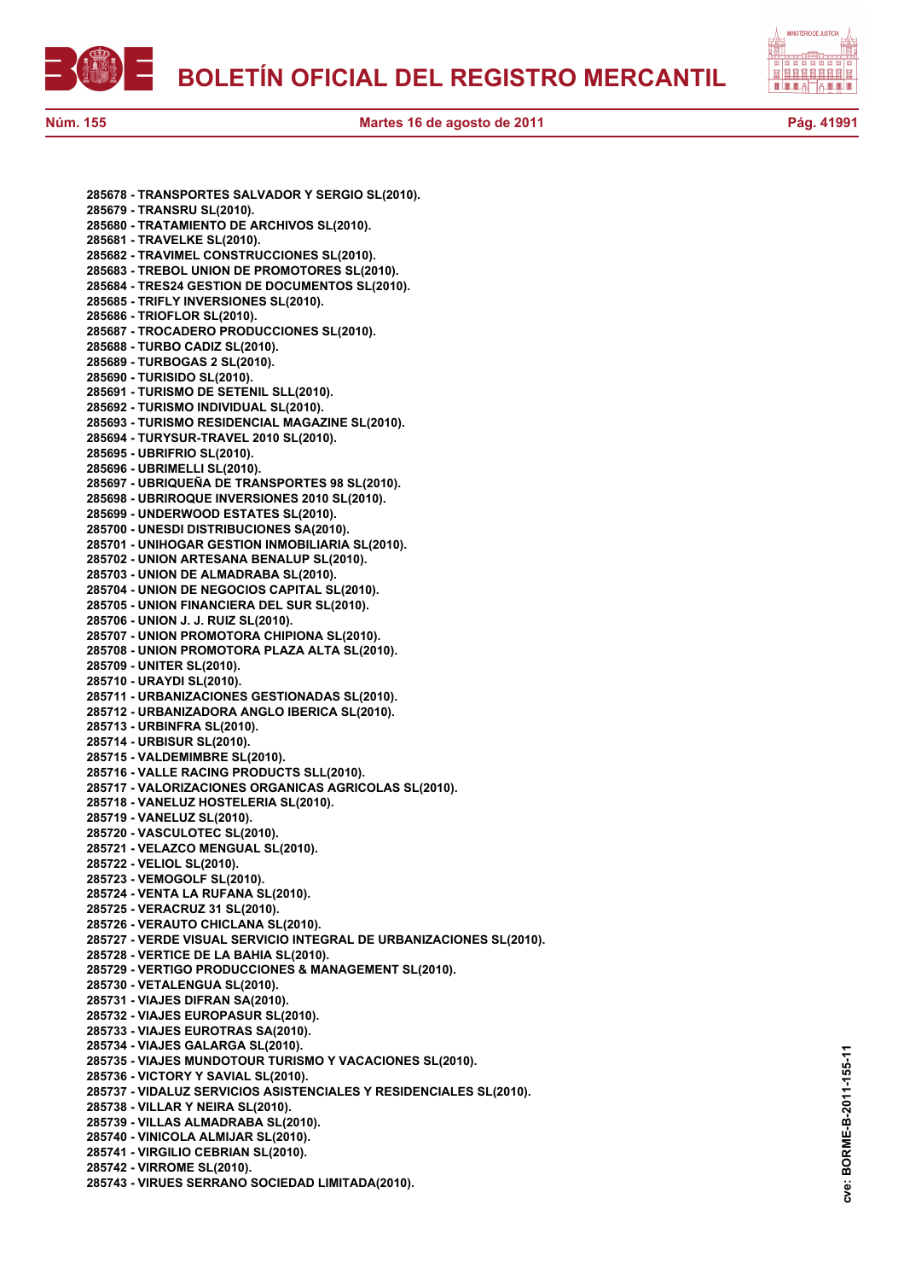



**285678 - TRANSPORTES SALVADOR Y SERGIO SL(2010). 285679 - TRANSRU SL(2010). 285680 - TRATAMIENTO DE ARCHIVOS SL(2010). 285681 - TRAVELKE SL(2010). 285682 - TRAVIMEL CONSTRUCCIONES SL(2010). 285683 - TREBOL UNION DE PROMOTORES SL(2010). 285684 - TRES24 GESTION DE DOCUMENTOS SL(2010). 285685 - TRIFLY INVERSIONES SL(2010). 285686 - TRIOFLOR SL(2010). 285687 - TROCADERO PRODUCCIONES SL(2010). 285688 - TURBO CADIZ SL(2010). 285689 - TURBOGAS 2 SL(2010). 285690 - TURISIDO SL(2010). 285691 - TURISMO DE SETENIL SLL(2010). 285692 - TURISMO INDIVIDUAL SL(2010). 285693 - TURISMO RESIDENCIAL MAGAZINE SL(2010). 285694 - TURYSUR-TRAVEL 2010 SL(2010). 285695 - UBRIFRIO SL(2010). 285696 - UBRIMELLI SL(2010). 285697 - UBRIQUEÑA DE TRANSPORTES 98 SL(2010). 285698 - UBRIROQUE INVERSIONES 2010 SL(2010). 285699 - UNDERWOOD ESTATES SL(2010). 285700 - UNESDI DISTRIBUCIONES SA(2010). 285701 - UNIHOGAR GESTION INMOBILIARIA SL(2010). 285702 - UNION ARTESANA BENALUP SL(2010). 285703 - UNION DE ALMADRABA SL(2010). 285704 - UNION DE NEGOCIOS CAPITAL SL(2010). 285705 - UNION FINANCIERA DEL SUR SL(2010). 285706 - UNION J. J. RUIZ SL(2010). 285707 - UNION PROMOTORA CHIPIONA SL(2010). 285708 - UNION PROMOTORA PLAZA ALTA SL(2010). 285709 - UNITER SL(2010). 285710 - URAYDI SL(2010). 285711 - URBANIZACIONES GESTIONADAS SL(2010). 285712 - URBANIZADORA ANGLO IBERICA SL(2010). 285713 - URBINFRA SL(2010). 285714 - URBISUR SL(2010). 285715 - VALDEMIMBRE SL(2010). 285716 - VALLE RACING PRODUCTS SLL(2010). 285717 - VALORIZACIONES ORGANICAS AGRICOLAS SL(2010). 285718 - VANELUZ HOSTELERIA SL(2010). 285719 - VANELUZ SL(2010). 285720 - VASCULOTEC SL(2010). 285721 - VELAZCO MENGUAL SL(2010). 285722 - VELIOL SL(2010). 285723 - VEMOGOLF SL(2010). 285724 - VENTA LA RUFANA SL(2010). 285725 - VERACRUZ 31 SL(2010). 285726 - VERAUTO CHICLANA SL(2010). 285727 - VERDE VISUAL SERVICIO INTEGRAL DE URBANIZACIONES SL(2010). 285728 - VERTICE DE LA BAHIA SL(2010). 285729 - VERTIGO PRODUCCIONES & MANAGEMENT SL(2010). 285730 - VETALENGUA SL(2010). 285731 - VIAJES DIFRAN SA(2010). 285732 - VIAJES EUROPASUR SL(2010). 285733 - VIAJES EUROTRAS SA(2010). 285734 - VIAJES GALARGA SL(2010). 285735 - VIAJES MUNDOTOUR TURISMO Y VACACIONES SL(2010). 285736 - VICTORY Y SAVIAL SL(2010). 285737 - VIDALUZ SERVICIOS ASISTENCIALES Y RESIDENCIALES SL(2010). 285738 - VILLAR Y NEIRA SL(2010). 285739 - VILLAS ALMADRABA SL(2010). 285740 - VINICOLA ALMIJAR SL(2010). 285741 - VIRGILIO CEBRIAN SL(2010). 285742 - VIRROME SL(2010). 285743 - VIRUES SERRANO SOCIEDAD LIMITADA(2010).**